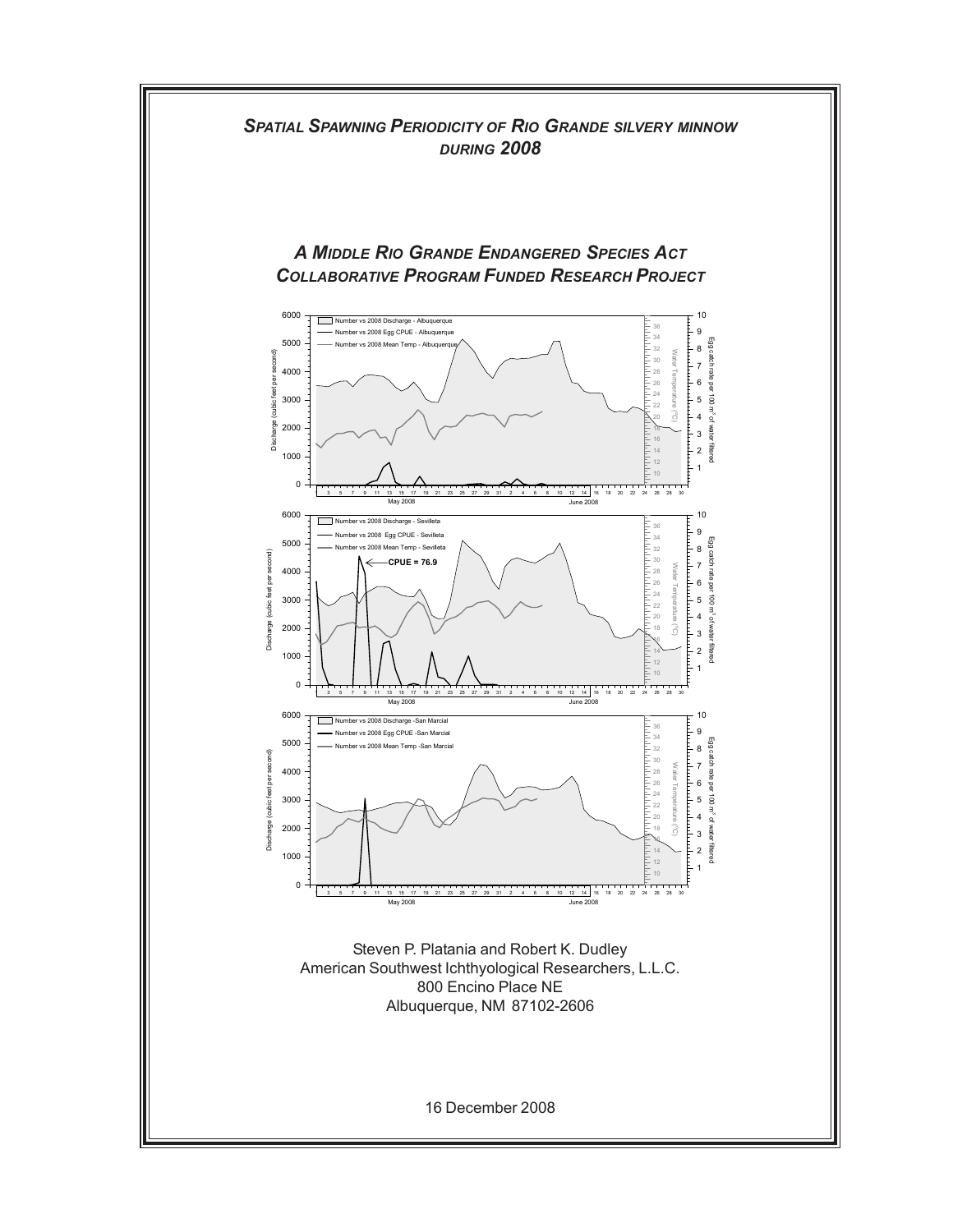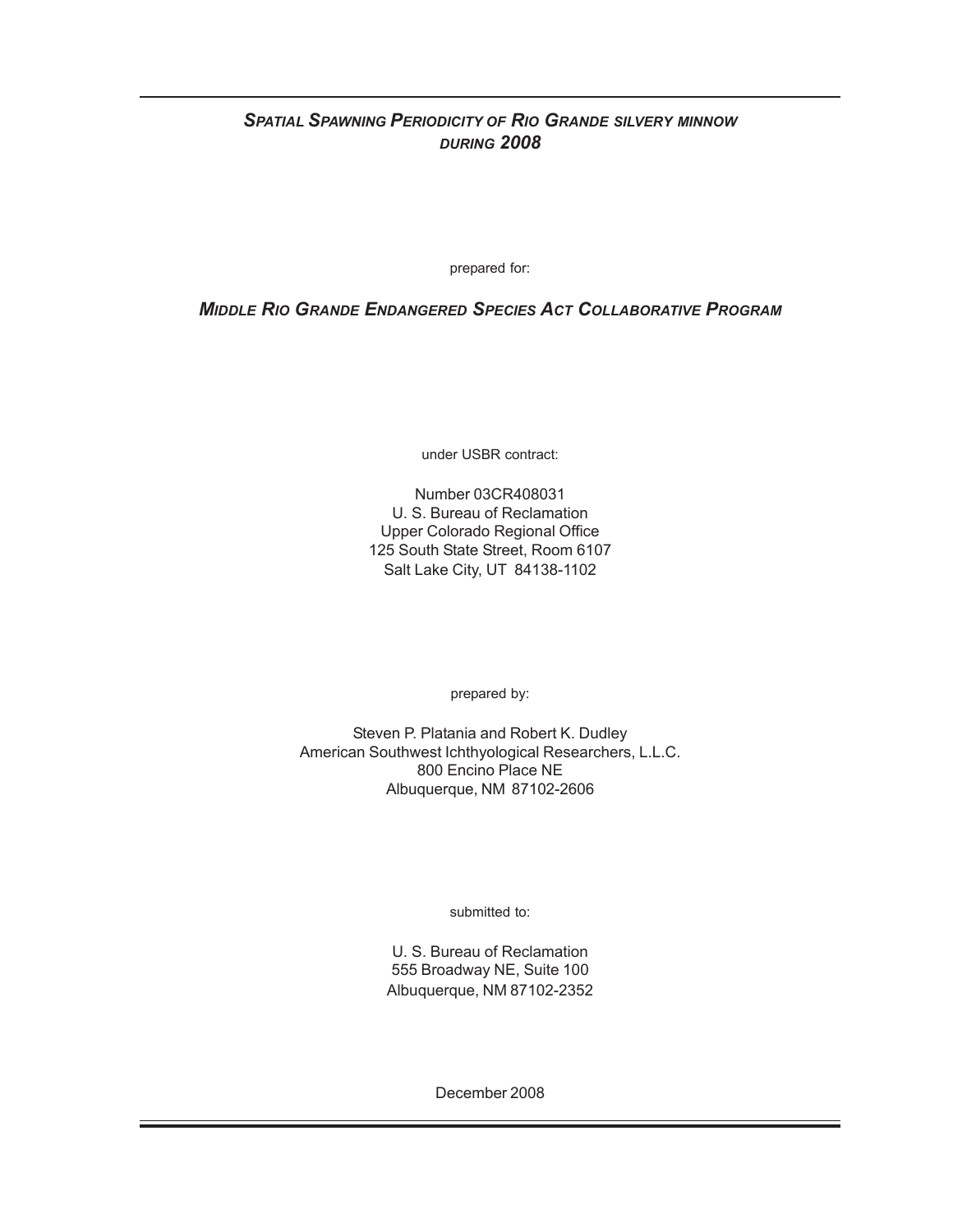# *SPATIAL SPAWNING PERIODICITY OF RIO GRANDE SILVERY MINNOW DURING 2008*

prepared for:

*MIDDLE RIO GRANDE ENDANGERED SPECIES ACT COLLABORATIVE PROGRAM*

under USBR contract:

Number 03CR408031 U. S. Bureau of Reclamation Upper Colorado Regional Office 125 South State Street, Room 6107 Salt Lake City, UT 84138-1102

prepared by:

Steven P. Platania and Robert K. Dudley American Southwest Ichthyological Researchers, L.L.C. 800 Encino Place NE Albuquerque, NM 87102-2606

submitted to:

U. S. Bureau of Reclamation 555 Broadway NE, Suite 100 Albuquerque, NM 87102-2352

December 2008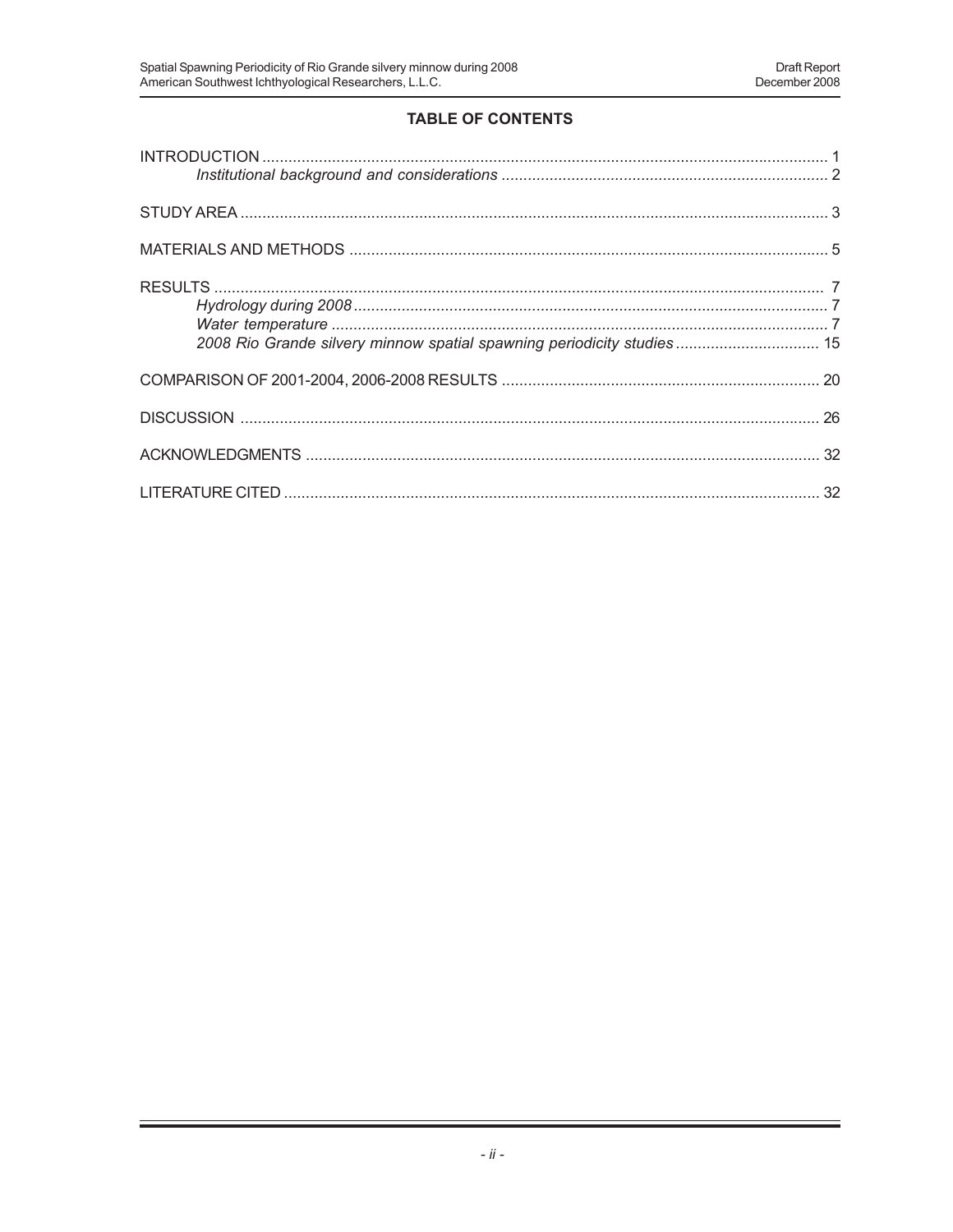# **TABLE OF CONTENTS**

| 2008 Rio Grande silvery minnow spatial spawning periodicity studies 15 |  |
|------------------------------------------------------------------------|--|
|                                                                        |  |
|                                                                        |  |
|                                                                        |  |
|                                                                        |  |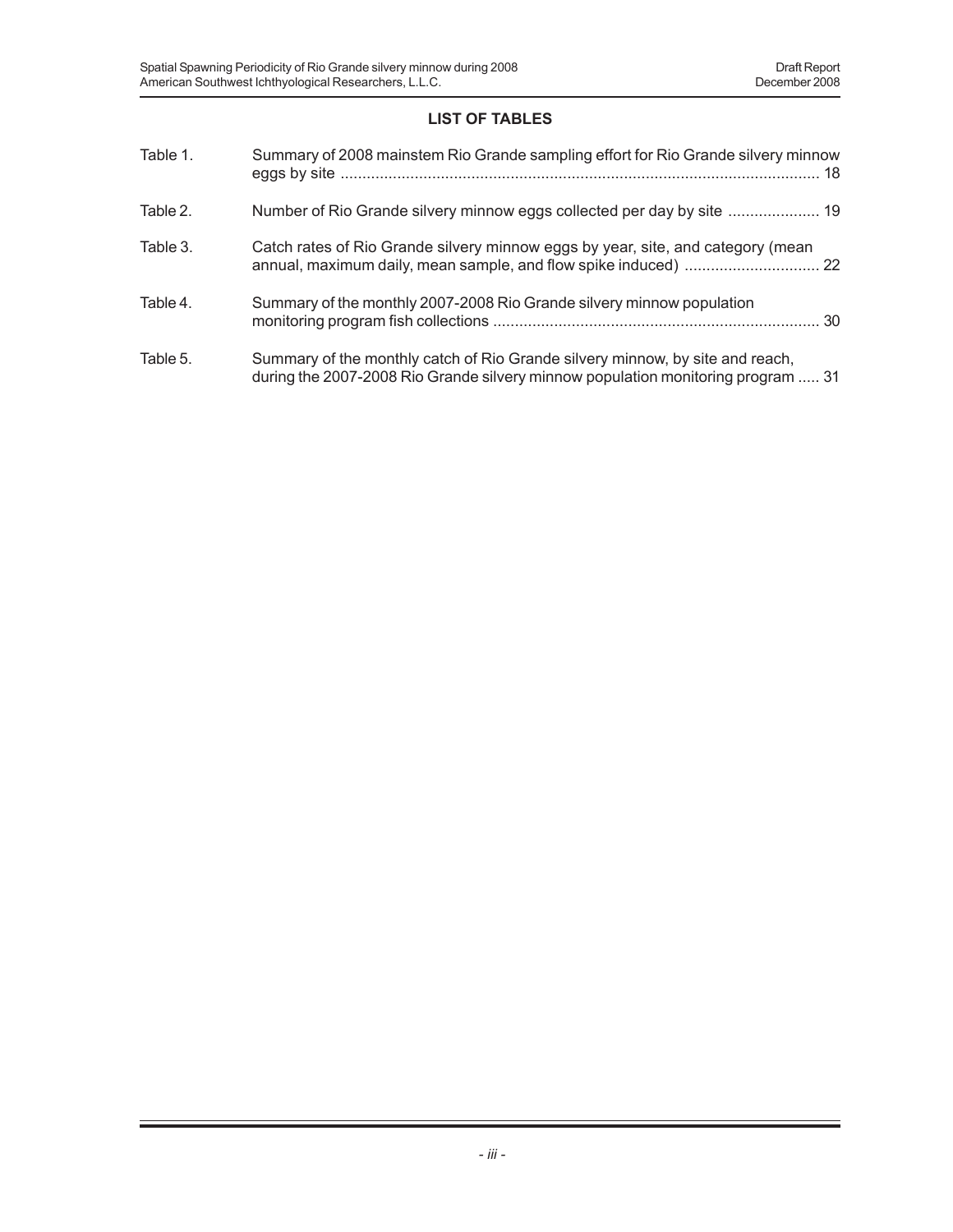# **LIST OF TABLES**

| Table 1. | Summary of 2008 mainstem Rio Grande sampling effort for Rio Grande silvery minnow                                                                                 |
|----------|-------------------------------------------------------------------------------------------------------------------------------------------------------------------|
| Table 2. | Number of Rio Grande silvery minnow eggs collected per day by site  19                                                                                            |
| Table 3. | Catch rates of Rio Grande silvery minnow eggs by year, site, and category (mean                                                                                   |
| Table 4. | Summary of the monthly 2007-2008 Rio Grande silvery minnow population                                                                                             |
| Table 5. | Summary of the monthly catch of Rio Grande silvery minnow, by site and reach,<br>during the 2007-2008 Rio Grande silvery minnow population monitoring program  31 |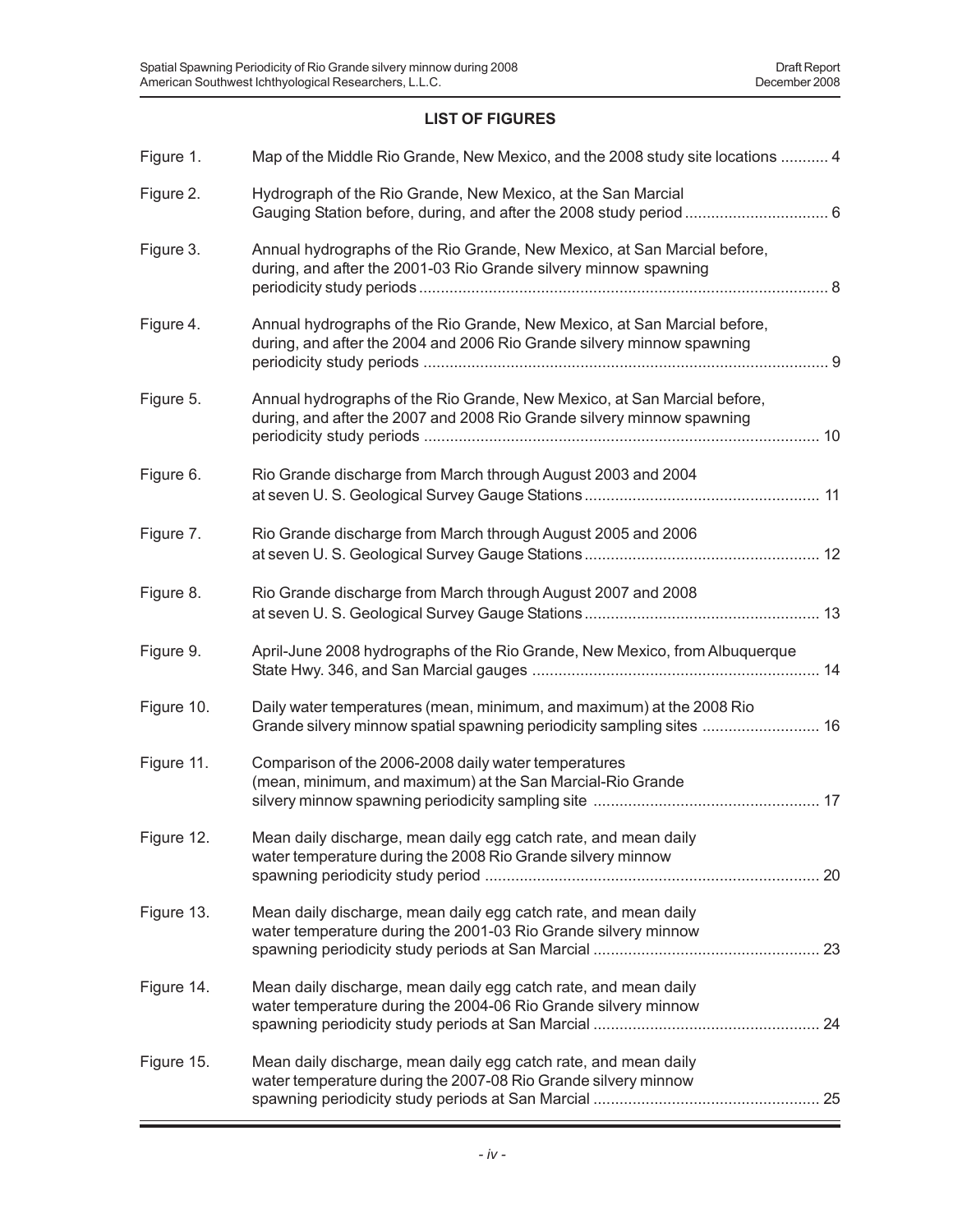## **LIST OF FIGURES**

| Figure 1.  | Map of the Middle Rio Grande, New Mexico, and the 2008 study site locations  4                                                                     |
|------------|----------------------------------------------------------------------------------------------------------------------------------------------------|
| Figure 2.  | Hydrograph of the Rio Grande, New Mexico, at the San Marcial                                                                                       |
| Figure 3.  | Annual hydrographs of the Rio Grande, New Mexico, at San Marcial before,<br>during, and after the 2001-03 Rio Grande silvery minnow spawning       |
| Figure 4.  | Annual hydrographs of the Rio Grande, New Mexico, at San Marcial before,<br>during, and after the 2004 and 2006 Rio Grande silvery minnow spawning |
| Figure 5.  | Annual hydrographs of the Rio Grande, New Mexico, at San Marcial before,<br>during, and after the 2007 and 2008 Rio Grande silvery minnow spawning |
| Figure 6.  | Rio Grande discharge from March through August 2003 and 2004                                                                                       |
| Figure 7.  | Rio Grande discharge from March through August 2005 and 2006                                                                                       |
| Figure 8.  | Rio Grande discharge from March through August 2007 and 2008                                                                                       |
| Figure 9.  | April-June 2008 hydrographs of the Rio Grande, New Mexico, from Albuquerque                                                                        |
| Figure 10. | Daily water temperatures (mean, minimum, and maximum) at the 2008 Rio<br>Grande silvery minnow spatial spawning periodicity sampling sites  16     |
| Figure 11. | Comparison of the 2006-2008 daily water temperatures<br>(mean, minimum, and maximum) at the San Marcial-Rio Grande                                 |
| Figure 12. | Mean daily discharge, mean daily egg catch rate, and mean daily<br>water temperature during the 2008 Rio Grande silvery minnow                     |
|            |                                                                                                                                                    |
| Figure 13. | Mean daily discharge, mean daily egg catch rate, and mean daily<br>water temperature during the 2001-03 Rio Grande silvery minnow                  |
| Figure 14. | Mean daily discharge, mean daily egg catch rate, and mean daily<br>water temperature during the 2004-06 Rio Grande silvery minnow                  |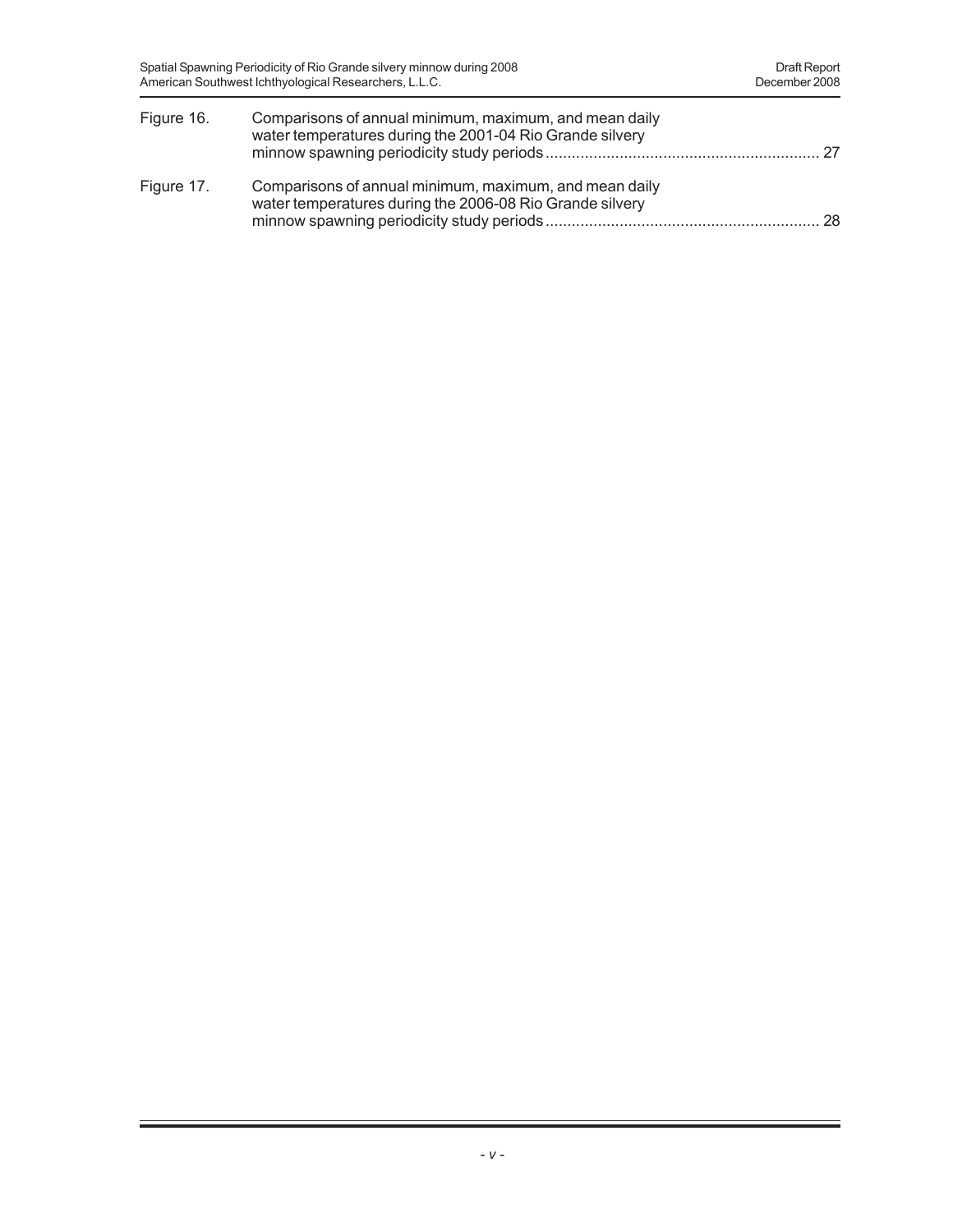| Figure 16. | Comparisons of annual minimum, maximum, and mean daily<br>water temperatures during the 2001-04 Rio Grande silvery |  |
|------------|--------------------------------------------------------------------------------------------------------------------|--|
| Figure 17. | Comparisons of annual minimum, maximum, and mean daily<br>water temperatures during the 2006-08 Rio Grande silvery |  |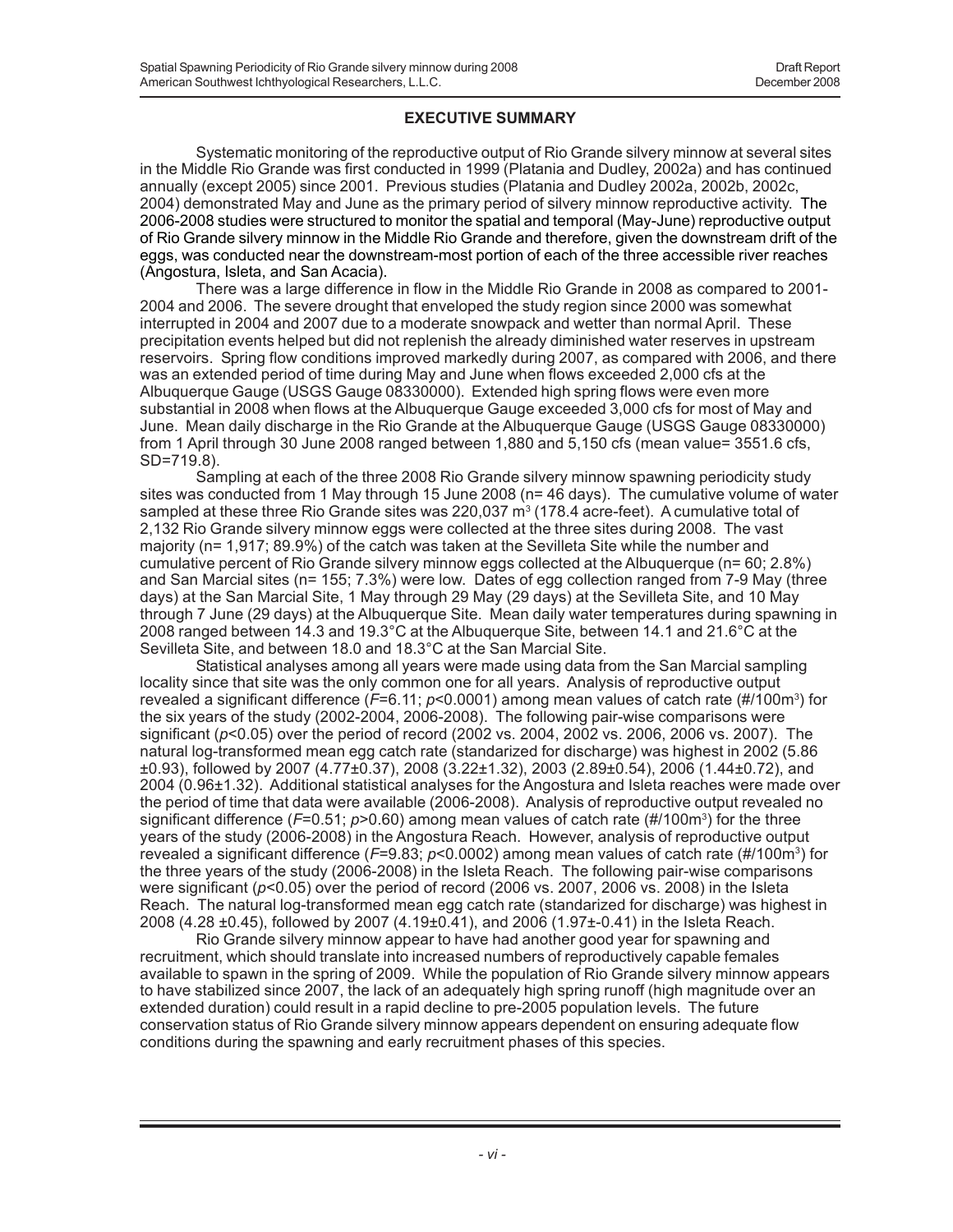### **EXECUTIVE SUMMARY**

Systematic monitoring of the reproductive output of Rio Grande silvery minnow at several sites in the Middle Rio Grande was first conducted in 1999 (Platania and Dudley, 2002a) and has continued annually (except 2005) since 2001. Previous studies (Platania and Dudley 2002a, 2002b, 2002c, 2004) demonstrated May and June as the primary period of silvery minnow reproductive activity. The 2006-2008 studies were structured to monitor the spatial and temporal (May-June) reproductive output of Rio Grande silvery minnow in the Middle Rio Grande and therefore, given the downstream drift of the eggs, was conducted near the downstream-most portion of each of the three accessible river reaches (Angostura, Isleta, and San Acacia).

There was a large difference in flow in the Middle Rio Grande in 2008 as compared to 2001- 2004 and 2006. The severe drought that enveloped the study region since 2000 was somewhat interrupted in 2004 and 2007 due to a moderate snowpack and wetter than normal April. These precipitation events helped but did not replenish the already diminished water reserves in upstream reservoirs. Spring flow conditions improved markedly during 2007, as compared with 2006, and there was an extended period of time during May and June when flows exceeded 2,000 cfs at the Albuquerque Gauge (USGS Gauge 08330000). Extended high spring flows were even more substantial in 2008 when flows at the Albuquerque Gauge exceeded 3,000 cfs for most of May and June. Mean daily discharge in the Rio Grande at the Albuquerque Gauge (USGS Gauge 08330000) from 1 April through 30 June 2008 ranged between 1,880 and 5,150 cfs (mean value= 3551.6 cfs, SD=719.8).

Sampling at each of the three 2008 Rio Grande silvery minnow spawning periodicity study sites was conducted from 1 May through 15 June 2008 (n= 46 days). The cumulative volume of water sampled at these three Rio Grande sites was 220,037  $\textsf{m}^{3}$  (178.4 acre-feet). A cumulative total of 2,132 Rio Grande silvery minnow eggs were collected at the three sites during 2008. The vast majority (n= 1,917; 89.9%) of the catch was taken at the Sevilleta Site while the number and cumulative percent of Rio Grande silvery minnow eggs collected at the Albuquerque (n= 60; 2.8%) and San Marcial sites (n= 155; 7.3%) were low. Dates of egg collection ranged from 7-9 May (three days) at the San Marcial Site, 1 May through 29 May (29 days) at the Sevilleta Site, and 10 May through 7 June (29 days) at the Albuquerque Site. Mean daily water temperatures during spawning in 2008 ranged between 14.3 and 19.3°C at the Albuquerque Site, between 14.1 and 21.6°C at the Sevilleta Site, and between 18.0 and 18.3°C at the San Marcial Site.

Statistical analyses among all years were made using data from the San Marcial sampling locality since that site was the only common one for all years. Analysis of reproductive output revealed a significant difference (*F*=6.11; *p*<0.0001) among mean values of catch rate (#/100m3 ) for the six years of the study (2002-2004, 2006-2008). The following pair-wise comparisons were significant (*p*<0.05) over the period of record (2002 vs. 2004, 2002 vs. 2006, 2006 vs. 2007). The natural log-transformed mean egg catch rate (standarized for discharge) was highest in 2002 (5.86 ±0.93), followed by 2007 (4.77±0.37), 2008 (3.22±1.32), 2003 (2.89±0.54), 2006 (1.44±0.72), and 2004 (0.96±1.32). Additional statistical analyses for the Angostura and Isleta reaches were made over the period of time that data were available (2006-2008). Analysis of reproductive output revealed no significant difference (*F*=0.51; *p*>0.60) among mean values of catch rate (#/100m<sup>3</sup>) for the three years of the study (2006-2008) in the Angostura Reach. However, analysis of reproductive output revealed a significant difference (*F*=9.83; *p*<0.0002) among mean values of catch rate (#/100m3) for the three years of the study (2006-2008) in the Isleta Reach. The following pair-wise comparisons were significant (*p*<0.05) over the period of record (2006 vs. 2007, 2006 vs. 2008) in the Isleta Reach. The natural log-transformed mean egg catch rate (standarized for discharge) was highest in 2008 (4.28 ±0.45), followed by 2007 (4.19±0.41), and 2006 (1.97±-0.41) in the Isleta Reach.

Rio Grande silvery minnow appear to have had another good year for spawning and recruitment, which should translate into increased numbers of reproductively capable females available to spawn in the spring of 2009. While the population of Rio Grande silvery minnow appears to have stabilized since 2007, the lack of an adequately high spring runoff (high magnitude over an extended duration) could result in a rapid decline to pre-2005 population levels. The future conservation status of Rio Grande silvery minnow appears dependent on ensuring adequate flow conditions during the spawning and early recruitment phases of this species.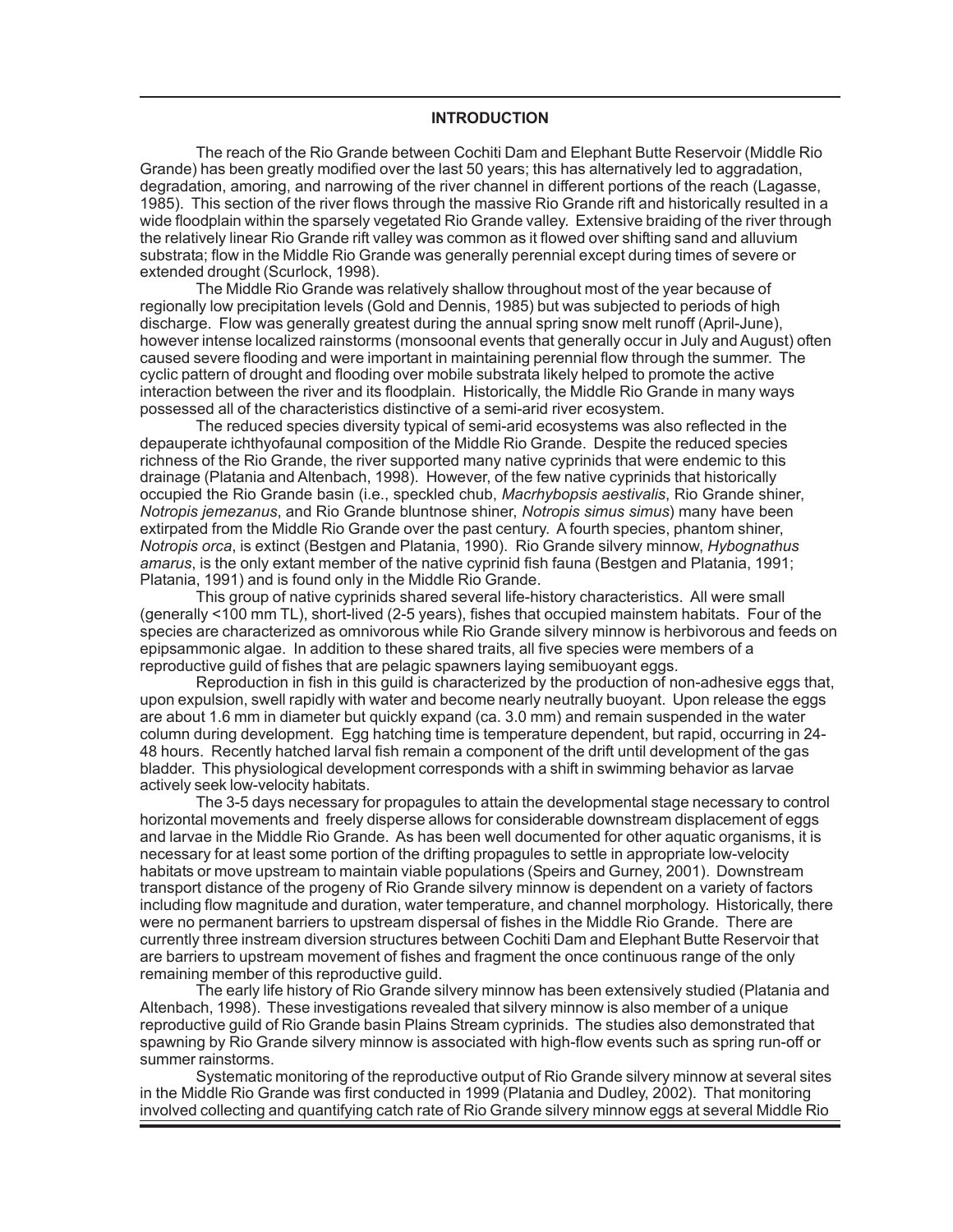#### **INTRODUCTION**

The reach of the Rio Grande between Cochiti Dam and Elephant Butte Reservoir (Middle Rio Grande) has been greatly modified over the last 50 years; this has alternatively led to aggradation, degradation, amoring, and narrowing of the river channel in different portions of the reach (Lagasse, 1985). This section of the river flows through the massive Rio Grande rift and historically resulted in a wide floodplain within the sparsely vegetated Rio Grande valley. Extensive braiding of the river through the relatively linear Rio Grande rift valley was common as it flowed over shifting sand and alluvium substrata; flow in the Middle Rio Grande was generally perennial except during times of severe or extended drought (Scurlock, 1998).

The Middle Rio Grande was relatively shallow throughout most of the year because of regionally low precipitation levels (Gold and Dennis, 1985) but was subjected to periods of high discharge. Flow was generally greatest during the annual spring snow melt runoff (April-June), however intense localized rainstorms (monsoonal events that generally occur in July and August) often caused severe flooding and were important in maintaining perennial flow through the summer. The cyclic pattern of drought and flooding over mobile substrata likely helped to promote the active interaction between the river and its floodplain. Historically, the Middle Rio Grande in many ways possessed all of the characteristics distinctive of a semi-arid river ecosystem.

The reduced species diversity typical of semi-arid ecosystems was also reflected in the depauperate ichthyofaunal composition of the Middle Rio Grande. Despite the reduced species richness of the Rio Grande, the river supported many native cyprinids that were endemic to this drainage (Platania and Altenbach, 1998). However, of the few native cyprinids that historically occupied the Rio Grande basin (i.e., speckled chub, *Macrhybopsis aestivalis*, Rio Grande shiner, *Notropis jemezanus*, and Rio Grande bluntnose shiner, *Notropis simus simus*) many have been extirpated from the Middle Rio Grande over the past century. A fourth species, phantom shiner, *Notropis orca*, is extinct (Bestgen and Platania, 1990). Rio Grande silvery minnow, *Hybognathus amarus*, is the only extant member of the native cyprinid fish fauna (Bestgen and Platania, 1991; Platania, 1991) and is found only in the Middle Rio Grande.

This group of native cyprinids shared several life-history characteristics. All were small (generally <100 mm TL), short-lived (2-5 years), fishes that occupied mainstem habitats. Four of the species are characterized as omnivorous while Rio Grande silvery minnow is herbivorous and feeds on epipsammonic algae. In addition to these shared traits, all five species were members of a reproductive guild of fishes that are pelagic spawners laying semibuoyant eggs.

Reproduction in fish in this guild is characterized by the production of non-adhesive eggs that, upon expulsion, swell rapidly with water and become nearly neutrally buoyant. Upon release the eggs are about 1.6 mm in diameter but quickly expand (ca. 3.0 mm) and remain suspended in the water column during development. Egg hatching time is temperature dependent, but rapid, occurring in 24- 48 hours. Recently hatched larval fish remain a component of the drift until development of the gas bladder. This physiological development corresponds with a shift in swimming behavior as larvae actively seek low-velocity habitats.

The 3-5 days necessary for propagules to attain the developmental stage necessary to control horizontal movements and freely disperse allows for considerable downstream displacement of eggs and larvae in the Middle Rio Grande. As has been well documented for other aquatic organisms, it is necessary for at least some portion of the drifting propagules to settle in appropriate low-velocity habitats or move upstream to maintain viable populations (Speirs and Gurney, 2001). Downstream transport distance of the progeny of Rio Grande silvery minnow is dependent on a variety of factors including flow magnitude and duration, water temperature, and channel morphology. Historically, there were no permanent barriers to upstream dispersal of fishes in the Middle Rio Grande. There are currently three instream diversion structures between Cochiti Dam and Elephant Butte Reservoir that are barriers to upstream movement of fishes and fragment the once continuous range of the only remaining member of this reproductive guild.

The early life history of Rio Grande silvery minnow has been extensively studied (Platania and Altenbach, 1998). These investigations revealed that silvery minnow is also member of a unique reproductive guild of Rio Grande basin Plains Stream cyprinids. The studies also demonstrated that spawning by Rio Grande silvery minnow is associated with high-flow events such as spring run-off or summer rainstorms.

Systematic monitoring of the reproductive output of Rio Grande silvery minnow at several sites in the Middle Rio Grande was first conducted in 1999 (Platania and Dudley, 2002). That monitoring involved collecting and quantifying catch rate of Rio Grande silvery minnow eggs at several Middle Rio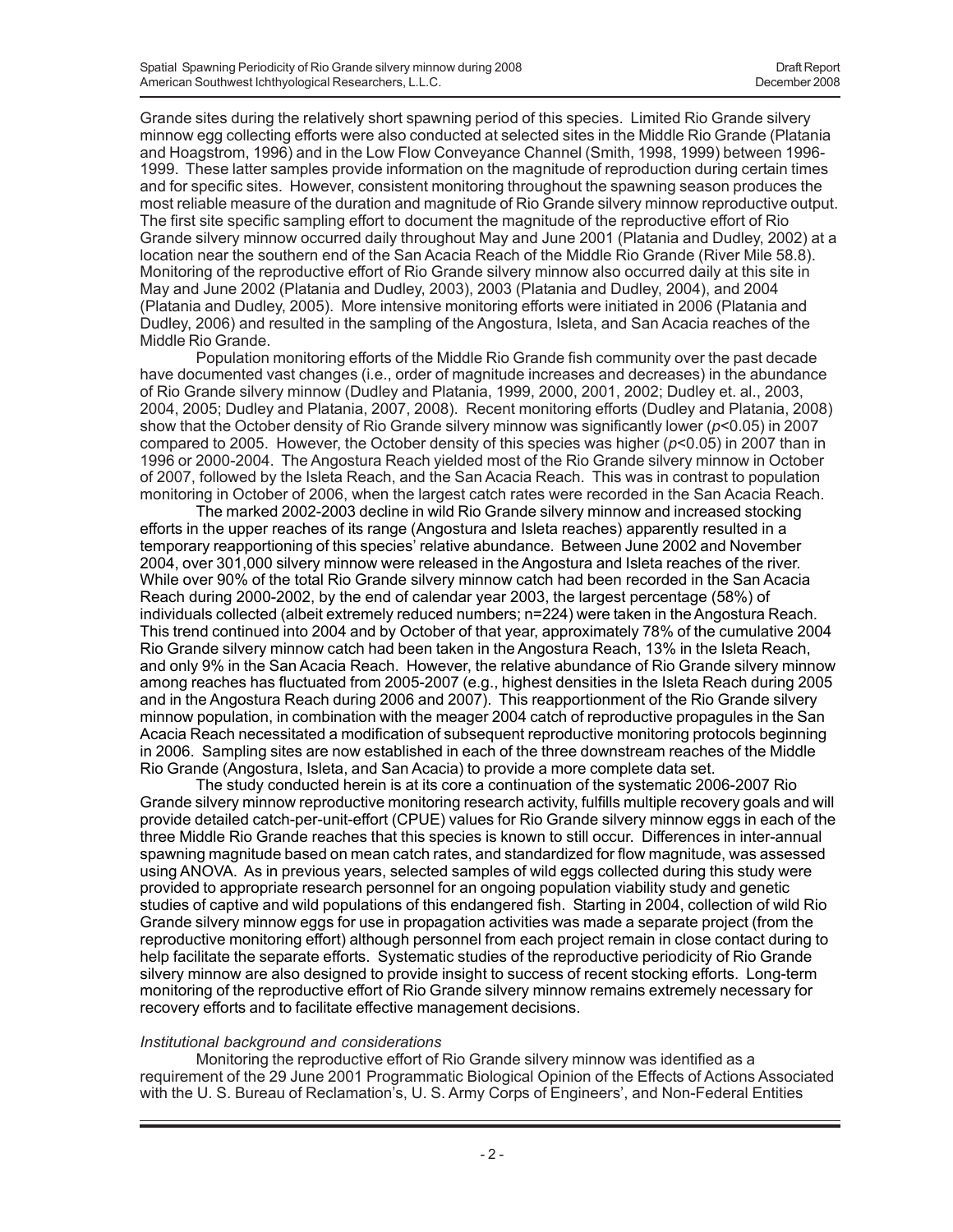Grande sites during the relatively short spawning period of this species. Limited Rio Grande silvery minnow egg collecting efforts were also conducted at selected sites in the Middle Rio Grande (Platania and Hoagstrom, 1996) and in the Low Flow Conveyance Channel (Smith, 1998, 1999) between 1996- 1999. These latter samples provide information on the magnitude of reproduction during certain times and for specific sites. However, consistent monitoring throughout the spawning season produces the most reliable measure of the duration and magnitude of Rio Grande silvery minnow reproductive output. The first site specific sampling effort to document the magnitude of the reproductive effort of Rio Grande silvery minnow occurred daily throughout May and June 2001 (Platania and Dudley, 2002) at a location near the southern end of the San Acacia Reach of the Middle Rio Grande (River Mile 58.8). Monitoring of the reproductive effort of Rio Grande silvery minnow also occurred daily at this site in May and June 2002 (Platania and Dudley, 2003), 2003 (Platania and Dudley, 2004), and 2004 (Platania and Dudley, 2005). More intensive monitoring efforts were initiated in 2006 (Platania and Dudley, 2006) and resulted in the sampling of the Angostura, Isleta, and San Acacia reaches of the Middle Rio Grande.

Population monitoring efforts of the Middle Rio Grande fish community over the past decade have documented vast changes (i.e., order of magnitude increases and decreases) in the abundance of Rio Grande silvery minnow (Dudley and Platania, 1999, 2000, 2001, 2002; Dudley et. al., 2003, 2004, 2005; Dudley and Platania, 2007, 2008). Recent monitoring efforts (Dudley and Platania, 2008) show that the October density of Rio Grande silvery minnow was significantly lower (*p*<0.05) in 2007 compared to 2005. However, the October density of this species was higher (*p*<0.05) in 2007 than in 1996 or 2000-2004. The Angostura Reach yielded most of the Rio Grande silvery minnow in October of 2007, followed by the Isleta Reach, and the San Acacia Reach. This was in contrast to population monitoring in October of 2006, when the largest catch rates were recorded in the San Acacia Reach.

The marked 2002-2003 decline in wild Rio Grande silvery minnow and increased stocking efforts in the upper reaches of its range (Angostura and Isleta reaches) apparently resulted in a temporary reapportioning of this species' relative abundance. Between June 2002 and November 2004, over 301,000 silvery minnow were released in the Angostura and Isleta reaches of the river. While over 90% of the total Rio Grande silvery minnow catch had been recorded in the San Acacia Reach during 2000-2002, by the end of calendar year 2003, the largest percentage (58%) of individuals collected (albeit extremely reduced numbers; n=224) were taken in the Angostura Reach. This trend continued into 2004 and by October of that year, approximately 78% of the cumulative 2004 Rio Grande silvery minnow catch had been taken in the Angostura Reach, 13% in the Isleta Reach, and only 9% in the San Acacia Reach. However, the relative abundance of Rio Grande silvery minnow among reaches has fluctuated from 2005-2007 (e.g., highest densities in the Isleta Reach during 2005 and in the Angostura Reach during 2006 and 2007). This reapportionment of the Rio Grande silvery minnow population, in combination with the meager 2004 catch of reproductive propagules in the San Acacia Reach necessitated a modification of subsequent reproductive monitoring protocols beginning in 2006. Sampling sites are now established in each of the three downstream reaches of the Middle Rio Grande (Angostura, Isleta, and San Acacia) to provide a more complete data set.

The study conducted herein is at its core a continuation of the systematic 2006-2007 Rio Grande silvery minnow reproductive monitoring research activity, fulfills multiple recovery goals and will provide detailed catch-per-unit-effort (CPUE) values for Rio Grande silvery minnow eggs in each of the three Middle Rio Grande reaches that this species is known to still occur. Differences in inter-annual spawning magnitude based on mean catch rates, and standardized for flow magnitude, was assessed using ANOVA. As in previous years, selected samples of wild eggs collected during this study were provided to appropriate research personnel for an ongoing population viability study and genetic studies of captive and wild populations of this endangered fish. Starting in 2004, collection of wild Rio Grande silvery minnow eggs for use in propagation activities was made a separate project (from the reproductive monitoring effort) although personnel from each project remain in close contact during to help facilitate the separate efforts. Systematic studies of the reproductive periodicity of Rio Grande silvery minnow are also designed to provide insight to success of recent stocking efforts. Long-term monitoring of the reproductive effort of Rio Grande silvery minnow remains extremely necessary for recovery efforts and to facilitate effective management decisions.

#### *Institutional background and considerations*

Monitoring the reproductive effort of Rio Grande silvery minnow was identified as a requirement of the 29 June 2001 Programmatic Biological Opinion of the Effects of Actions Associated with the U. S. Bureau of Reclamation's, U. S. Army Corps of Engineers', and Non-Federal Entities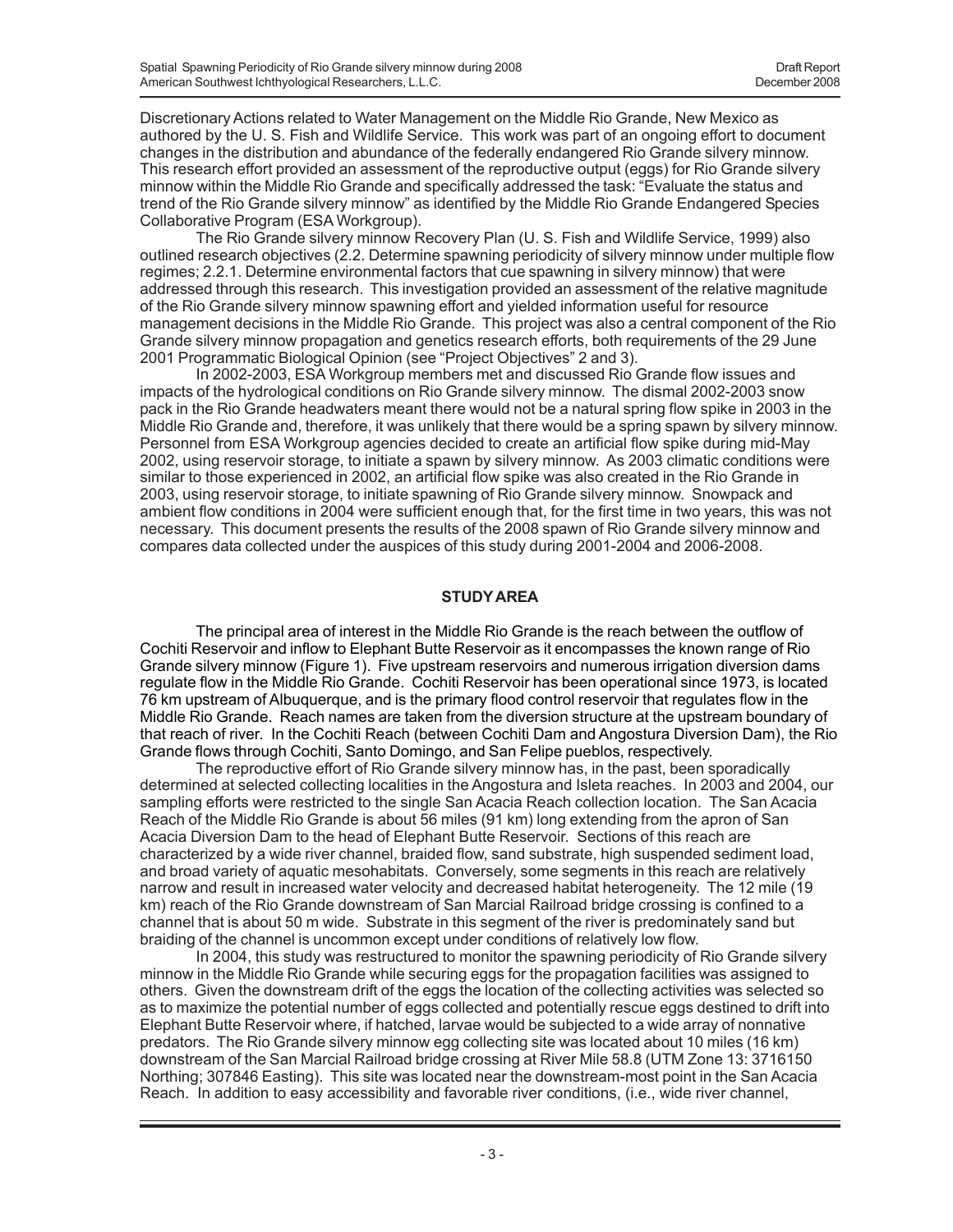Discretionary Actions related to Water Management on the Middle Rio Grande, New Mexico as authored by the U. S. Fish and Wildlife Service. This work was part of an ongoing effort to document changes in the distribution and abundance of the federally endangered Rio Grande silvery minnow. This research effort provided an assessment of the reproductive output (eggs) for Rio Grande silvery minnow within the Middle Rio Grande and specifically addressed the task: "Evaluate the status and trend of the Rio Grande silvery minnow" as identified by the Middle Rio Grande Endangered Species Collaborative Program (ESA Workgroup).

The Rio Grande silvery minnow Recovery Plan (U. S. Fish and Wildlife Service, 1999) also outlined research objectives (2.2. Determine spawning periodicity of silvery minnow under multiple flow regimes; 2.2.1. Determine environmental factors that cue spawning in silvery minnow) that were addressed through this research. This investigation provided an assessment of the relative magnitude of the Rio Grande silvery minnow spawning effort and yielded information useful for resource management decisions in the Middle Rio Grande. This project was also a central component of the Rio Grande silvery minnow propagation and genetics research efforts, both requirements of the 29 June 2001 Programmatic Biological Opinion (see "Project Objectives" 2 and 3).

In 2002-2003, ESA Workgroup members met and discussed Rio Grande flow issues and impacts of the hydrological conditions on Rio Grande silvery minnow. The dismal 2002-2003 snow pack in the Rio Grande headwaters meant there would not be a natural spring flow spike in 2003 in the Middle Rio Grande and, therefore, it was unlikely that there would be a spring spawn by silvery minnow. Personnel from ESA Workgroup agencies decided to create an artificial flow spike during mid-May 2002, using reservoir storage, to initiate a spawn by silvery minnow. As 2003 climatic conditions were similar to those experienced in 2002, an artificial flow spike was also created in the Rio Grande in 2003, using reservoir storage, to initiate spawning of Rio Grande silvery minnow. Snowpack and ambient flow conditions in 2004 were sufficient enough that, for the first time in two years, this was not necessary. This document presents the results of the 2008 spawn of Rio Grande silvery minnow and compares data collected under the auspices of this study during 2001-2004 and 2006-2008.

### **STUDY AREA**

The principal area of interest in the Middle Rio Grande is the reach between the outflow of Cochiti Reservoir and inflow to Elephant Butte Reservoir as it encompasses the known range of Rio Grande silvery minnow (Figure 1). Five upstream reservoirs and numerous irrigation diversion dams regulate flow in the Middle Rio Grande. Cochiti Reservoir has been operational since 1973, is located 76 km upstream of Albuquerque, and is the primary flood control reservoir that regulates flow in the Middle Rio Grande. Reach names are taken from the diversion structure at the upstream boundary of that reach of river. In the Cochiti Reach (between Cochiti Dam and Angostura Diversion Dam), the Rio Grande flows through Cochiti, Santo Domingo, and San Felipe pueblos, respectively.

The reproductive effort of Rio Grande silvery minnow has, in the past, been sporadically determined at selected collecting localities in the Angostura and Isleta reaches. In 2003 and 2004, our sampling efforts were restricted to the single San Acacia Reach collection location. The San Acacia Reach of the Middle Rio Grande is about 56 miles (91 km) long extending from the apron of San Acacia Diversion Dam to the head of Elephant Butte Reservoir. Sections of this reach are characterized by a wide river channel, braided flow, sand substrate, high suspended sediment load, and broad variety of aquatic mesohabitats. Conversely, some segments in this reach are relatively narrow and result in increased water velocity and decreased habitat heterogeneity. The 12 mile (19 km) reach of the Rio Grande downstream of San Marcial Railroad bridge crossing is confined to a channel that is about 50 m wide. Substrate in this segment of the river is predominately sand but braiding of the channel is uncommon except under conditions of relatively low flow.

In 2004, this study was restructured to monitor the spawning periodicity of Rio Grande silvery minnow in the Middle Rio Grande while securing eggs for the propagation facilities was assigned to others. Given the downstream drift of the eggs the location of the collecting activities was selected so as to maximize the potential number of eggs collected and potentially rescue eggs destined to drift into Elephant Butte Reservoir where, if hatched, larvae would be subjected to a wide array of nonnative predators. The Rio Grande silvery minnow egg collecting site was located about 10 miles (16 km) downstream of the San Marcial Railroad bridge crossing at River Mile 58.8 (UTM Zone 13: 3716150 Northing; 307846 Easting). This site was located near the downstream-most point in the San Acacia Reach. In addition to easy accessibility and favorable river conditions, (i.e., wide river channel,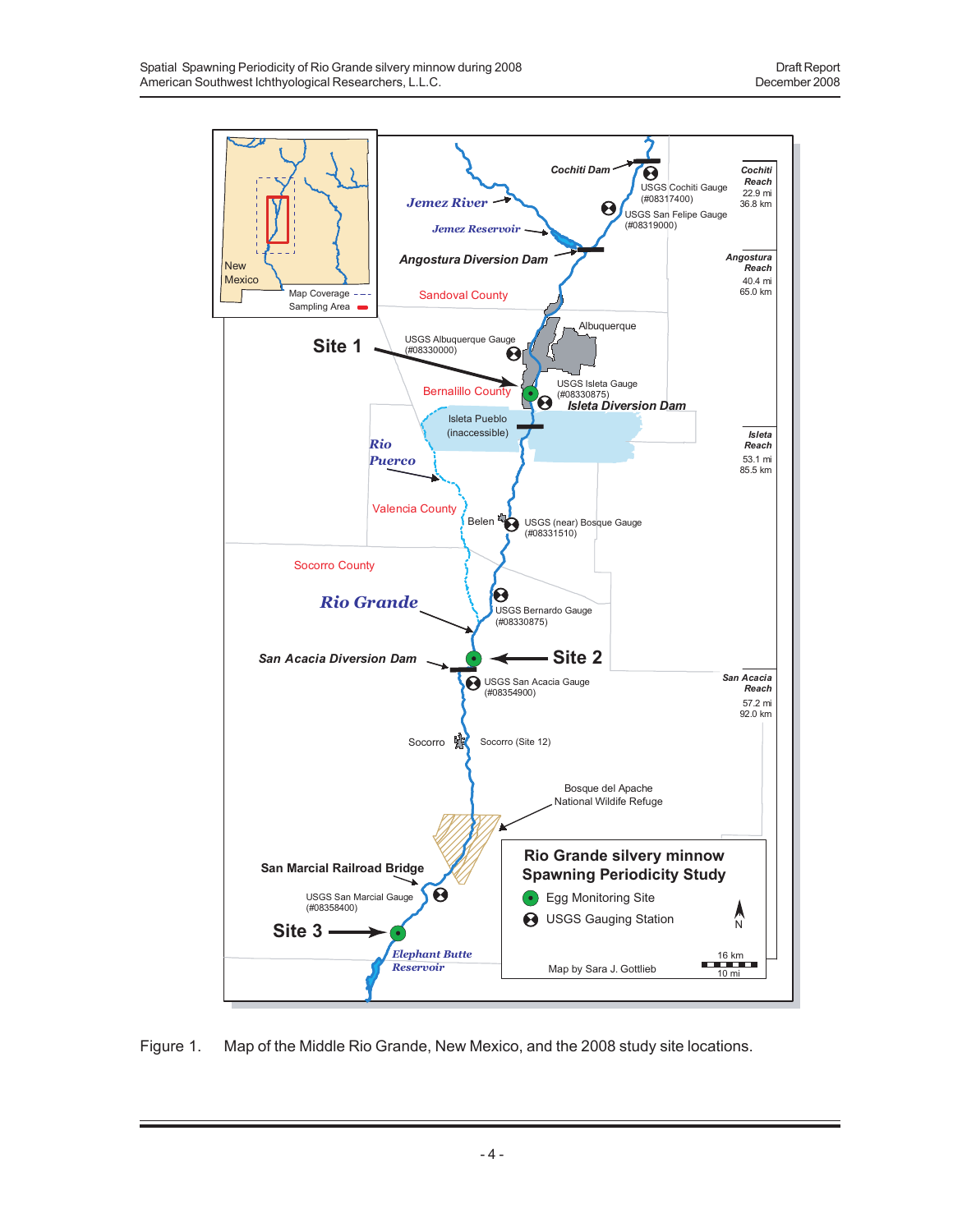

Figure 1. Map of the Middle Rio Grande, New Mexico, and the 2008 study site locations.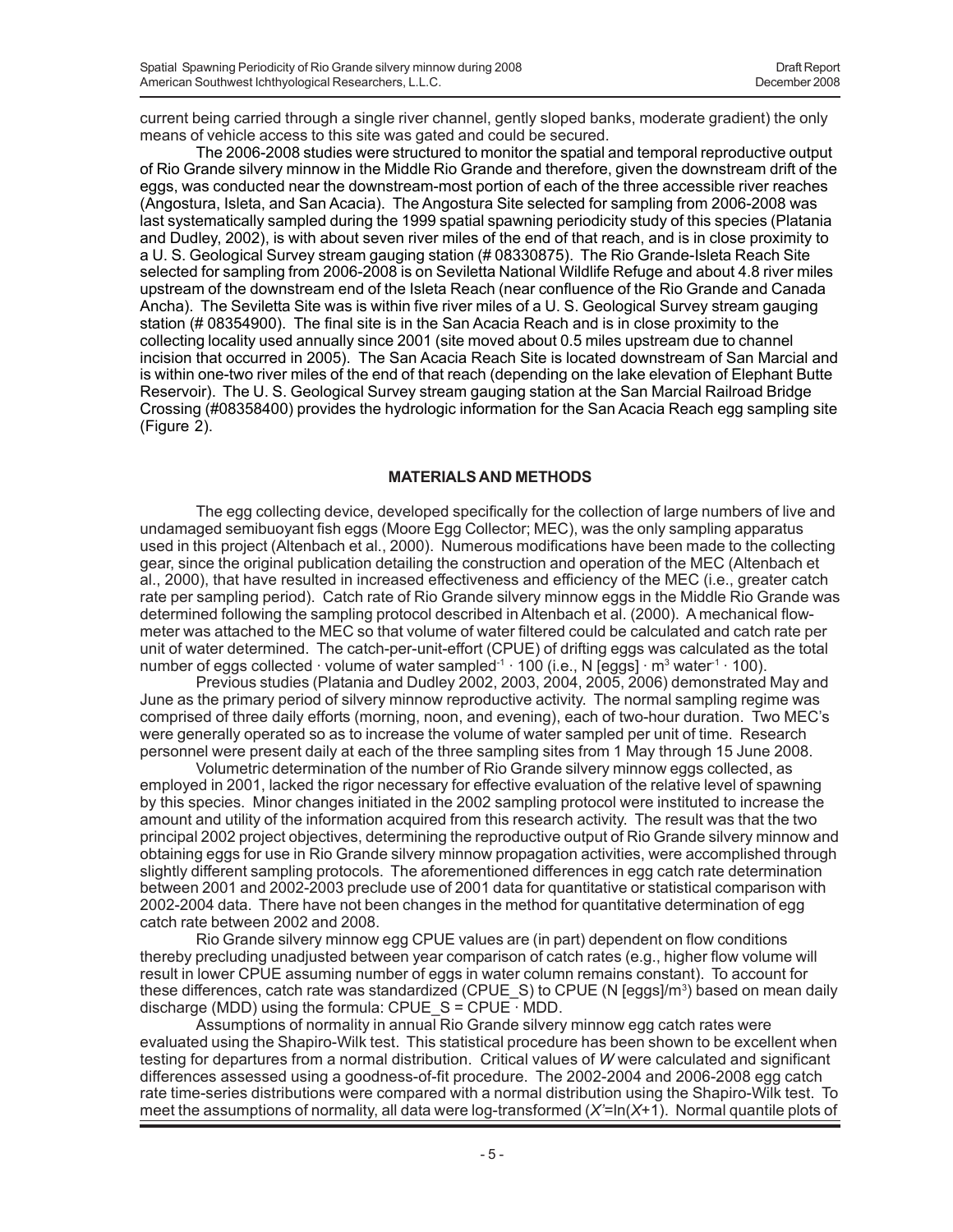current being carried through a single river channel, gently sloped banks, moderate gradient) the only means of vehicle access to this site was gated and could be secured.

The 2006-2008 studies were structured to monitor the spatial and temporal reproductive output of Rio Grande silvery minnow in the Middle Rio Grande and therefore, given the downstream drift of the eggs, was conducted near the downstream-most portion of each of the three accessible river reaches (Angostura, Isleta, and San Acacia). The Angostura Site selected for sampling from 2006-2008 was last systematically sampled during the 1999 spatial spawning periodicity study of this species (Platania and Dudley, 2002), is with about seven river miles of the end of that reach, and is in close proximity to a U. S. Geological Survey stream gauging station (# 08330875). The Rio Grande-Isleta Reach Site selected for sampling from 2006-2008 is on Seviletta National Wildlife Refuge and about 4.8 river miles upstream of the downstream end of the Isleta Reach (near confluence of the Rio Grande and Canada Ancha). The Seviletta Site was is within five river miles of a U. S. Geological Survey stream gauging station (# 08354900). The final site is in the San Acacia Reach and is in close proximity to the collecting locality used annually since 2001 (site moved about 0.5 miles upstream due to channel incision that occurred in 2005). The San Acacia Reach Site is located downstream of San Marcial and is within one-two river miles of the end of that reach (depending on the lake elevation of Elephant Butte Reservoir). The U. S. Geological Survey stream gauging station at the San Marcial Railroad Bridge Crossing (#08358400) provides the hydrologic information for the San Acacia Reach egg sampling site (Figure 2).

#### **MATERIALS AND METHODS**

The egg collecting device, developed specifically for the collection of large numbers of live and undamaged semibuoyant fish eggs (Moore Egg Collector; MEC), was the only sampling apparatus used in this project (Altenbach et al., 2000). Numerous modifications have been made to the collecting gear, since the original publication detailing the construction and operation of the MEC (Altenbach et al., 2000), that have resulted in increased effectiveness and efficiency of the MEC (i.e., greater catch rate per sampling period). Catch rate of Rio Grande silvery minnow eggs in the Middle Rio Grande was determined following the sampling protocol described in Altenbach et al. (2000). A mechanical flowmeter was attached to the MEC so that volume of water filtered could be calculated and catch rate per unit of water determined. The catch-per-unit-effort (CPUE) of drifting eggs was calculated as the total number of eggs collected  $\cdot$  volume of water sampled $^{\text{-}1}$   $\cdot$  100 (i.e., N [eggs]  $\cdot$  m $^{\text{3}}$  water $^{\text{-}1}$   $\cdot$  100).

Previous studies (Platania and Dudley 2002, 2003, 2004, 2005, 2006) demonstrated May and June as the primary period of silvery minnow reproductive activity. The normal sampling regime was comprised of three daily efforts (morning, noon, and evening), each of two-hour duration. Two MEC's were generally operated so as to increase the volume of water sampled per unit of time. Research personnel were present daily at each of the three sampling sites from 1 May through 15 June 2008.

Volumetric determination of the number of Rio Grande silvery minnow eggs collected, as employed in 2001, lacked the rigor necessary for effective evaluation of the relative level of spawning by this species. Minor changes initiated in the 2002 sampling protocol were instituted to increase the amount and utility of the information acquired from this research activity. The result was that the two principal 2002 project objectives, determining the reproductive output of Rio Grande silvery minnow and obtaining eggs for use in Rio Grande silvery minnow propagation activities, were accomplished through slightly different sampling protocols. The aforementioned differences in egg catch rate determination between 2001 and 2002-2003 preclude use of 2001 data for quantitative or statistical comparison with 2002-2004 data. There have not been changes in the method for quantitative determination of egg catch rate between 2002 and 2008.

Rio Grande silvery minnow egg CPUE values are (in part) dependent on flow conditions thereby precluding unadjusted between year comparison of catch rates (e.g., higher flow volume will result in lower CPUE assuming number of eggs in water column remains constant). To account for these differences, catch rate was standardized (CPUE\_S) to CPUE (N [eggs]/m<sup>3</sup>) based on mean daily discharge (MDD) using the formula: CPUE  $S = CPUE$  MDD.

Assumptions of normality in annual Rio Grande silvery minnow egg catch rates were evaluated using the Shapiro-Wilk test. This statistical procedure has been shown to be excellent when testing for departures from a normal distribution. Critical values of *W* were calculated and significant differences assessed using a goodness-of-fit procedure. The 2002-2004 and 2006-2008 egg catch rate time-series distributions were compared with a normal distribution using the Shapiro-Wilk test. To meet the assumptions of normality, all data were log-transformed (*X'*=ln(*X*+1). Normal quantile plots of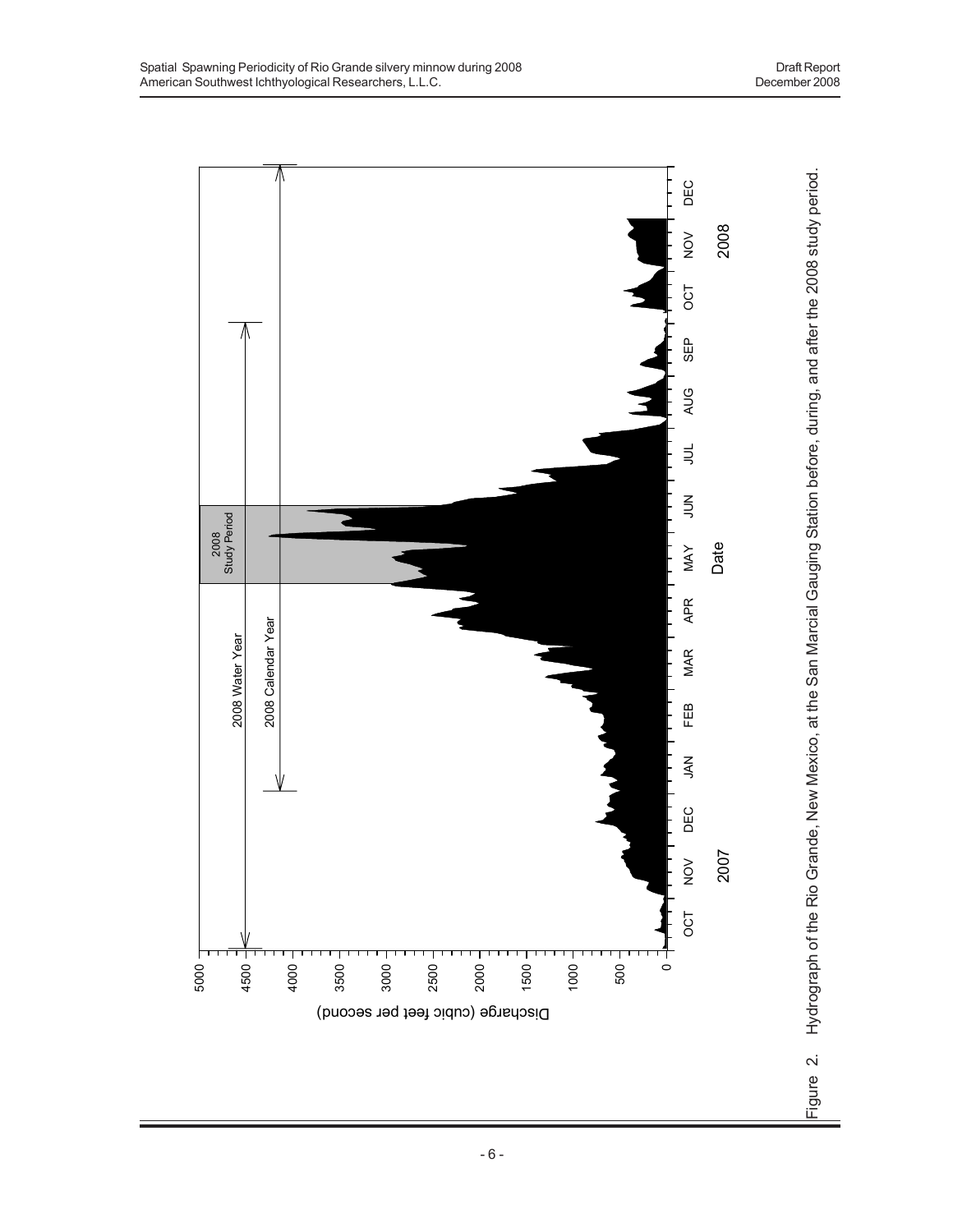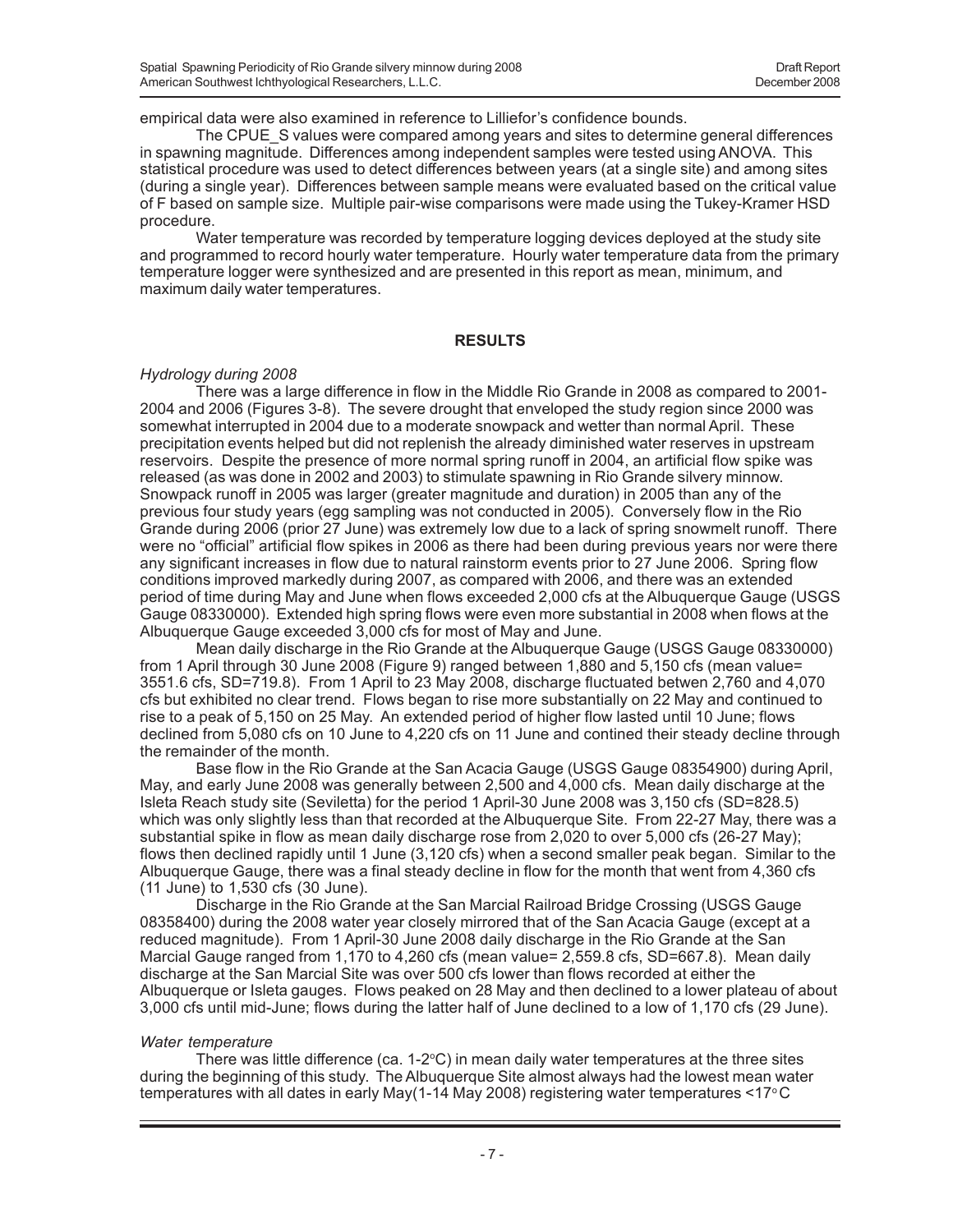empirical data were also examined in reference to Lilliefor's confidence bounds.

The CPUE S values were compared among years and sites to determine general differences in spawning magnitude. Differences among independent samples were tested using ANOVA. This statistical procedure was used to detect differences between years (at a single site) and among sites (during a single year). Differences between sample means were evaluated based on the critical value of F based on sample size. Multiple pair-wise comparisons were made using the Tukey-Kramer HSD procedure.

Water temperature was recorded by temperature logging devices deployed at the study site and programmed to record hourly water temperature. Hourly water temperature data from the primary temperature logger were synthesized and are presented in this report as mean, minimum, and maximum daily water temperatures.

#### **RESULTS**

#### *Hydrology during 2008*

There was a large difference in flow in the Middle Rio Grande in 2008 as compared to 2001- 2004 and 2006 (Figures 3-8). The severe drought that enveloped the study region since 2000 was somewhat interrupted in 2004 due to a moderate snowpack and wetter than normal April. These precipitation events helped but did not replenish the already diminished water reserves in upstream reservoirs. Despite the presence of more normal spring runoff in 2004, an artificial flow spike was released (as was done in 2002 and 2003) to stimulate spawning in Rio Grande silvery minnow. Snowpack runoff in 2005 was larger (greater magnitude and duration) in 2005 than any of the previous four study years (egg sampling was not conducted in 2005). Conversely flow in the Rio Grande during 2006 (prior 27 June) was extremely low due to a lack of spring snowmelt runoff. There were no "official" artificial flow spikes in 2006 as there had been during previous years nor were there any significant increases in flow due to natural rainstorm events prior to 27 June 2006. Spring flow conditions improved markedly during 2007, as compared with 2006, and there was an extended period of time during May and June when flows exceeded 2,000 cfs at the Albuquerque Gauge (USGS Gauge 08330000). Extended high spring flows were even more substantial in 2008 when flows at the Albuquerque Gauge exceeded 3,000 cfs for most of May and June.

Mean daily discharge in the Rio Grande at the Albuquerque Gauge (USGS Gauge 08330000) from 1 April through 30 June 2008 (Figure 9) ranged between 1,880 and 5,150 cfs (mean value= 3551.6 cfs, SD=719.8). From 1 April to 23 May 2008, discharge fluctuated betwen 2,760 and 4,070 cfs but exhibited no clear trend. Flows began to rise more substantially on 22 May and continued to rise to a peak of 5,150 on 25 May. An extended period of higher flow lasted until 10 June; flows declined from 5,080 cfs on 10 June to 4,220 cfs on 11 June and contined their steady decline through the remainder of the month.

Base flow in the Rio Grande at the San Acacia Gauge (USGS Gauge 08354900) during April, May, and early June 2008 was generally between 2,500 and 4,000 cfs. Mean daily discharge at the Isleta Reach study site (Seviletta) for the period 1 April-30 June 2008 was 3,150 cfs (SD=828.5) which was only slightly less than that recorded at the Albuquerque Site. From 22-27 May, there was a substantial spike in flow as mean daily discharge rose from 2,020 to over 5,000 cfs (26-27 May); flows then declined rapidly until 1 June (3,120 cfs) when a second smaller peak began. Similar to the Albuquerque Gauge, there was a final steady decline in flow for the month that went from 4,360 cfs (11 June) to 1,530 cfs (30 June).

Discharge in the Rio Grande at the San Marcial Railroad Bridge Crossing (USGS Gauge 08358400) during the 2008 water year closely mirrored that of the San Acacia Gauge (except at a reduced magnitude). From 1 April-30 June 2008 daily discharge in the Rio Grande at the San Marcial Gauge ranged from 1,170 to 4,260 cfs (mean value= 2,559.8 cfs, SD=667.8). Mean daily discharge at the San Marcial Site was over 500 cfs lower than flows recorded at either the Albuquerque or Isleta gauges. Flows peaked on 28 May and then declined to a lower plateau of about 3,000 cfs until mid-June; flows during the latter half of June declined to a low of 1,170 cfs (29 June).

#### *Water temperature*

There was little difference (ca. 1-2°C) in mean daily water temperatures at the three sites during the beginning of this study. The Albuquerque Site almost always had the lowest mean water temperatures with all dates in early May(1-14 May 2008) registering water temperatures <17°C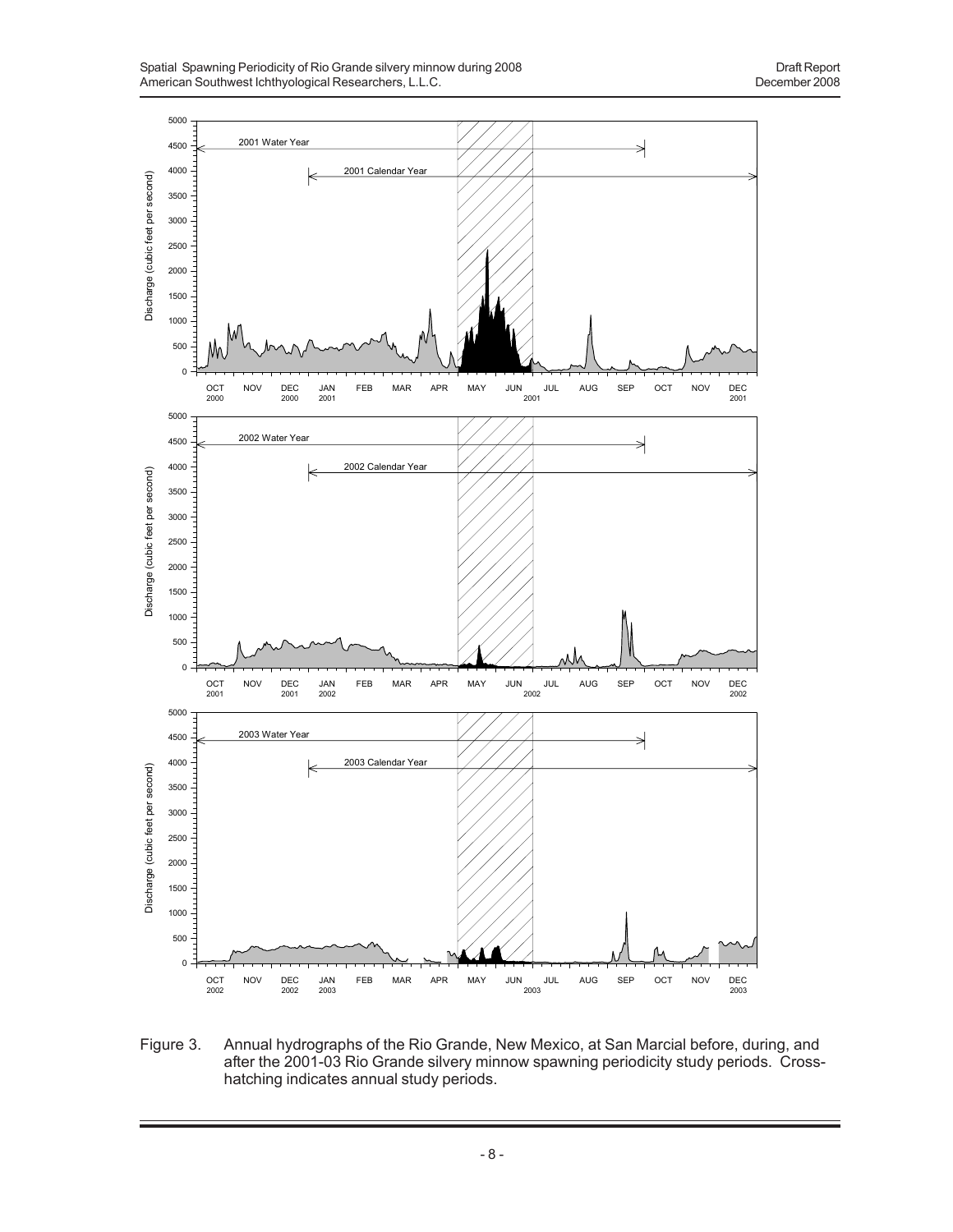

Figure 3. Annual hydrographs of the Rio Grande, New Mexico, at San Marcial before, during, and after the 2001-03 Rio Grande silvery minnow spawning periodicity study periods. Crosshatching indicates annual study periods.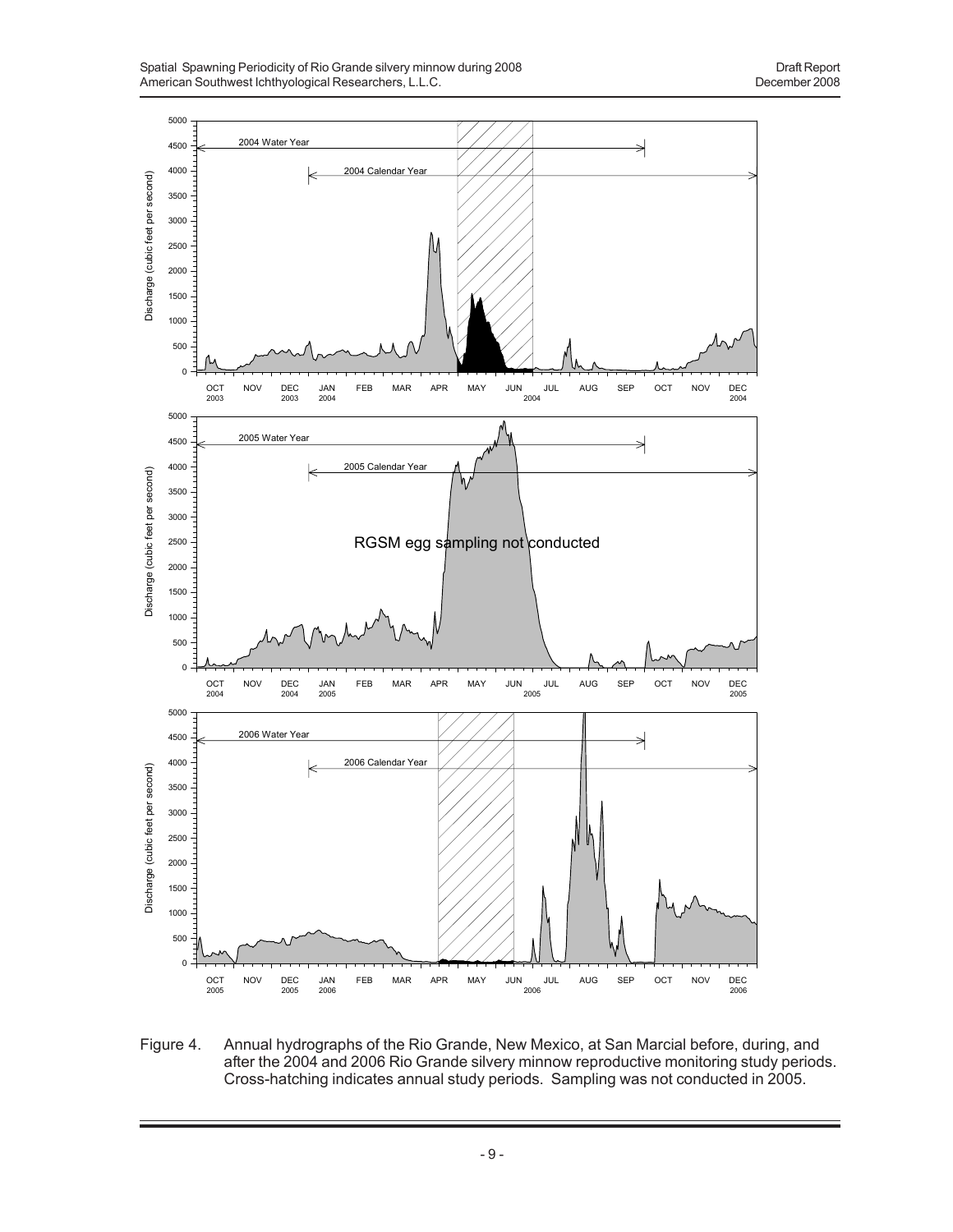

Figure 4. Annual hydrographs of the Rio Grande, New Mexico, at San Marcial before, during, and after the 2004 and 2006 Rio Grande silvery minnow reproductive monitoring study periods. Cross-hatching indicates annual study periods. Sampling was not conducted in 2005.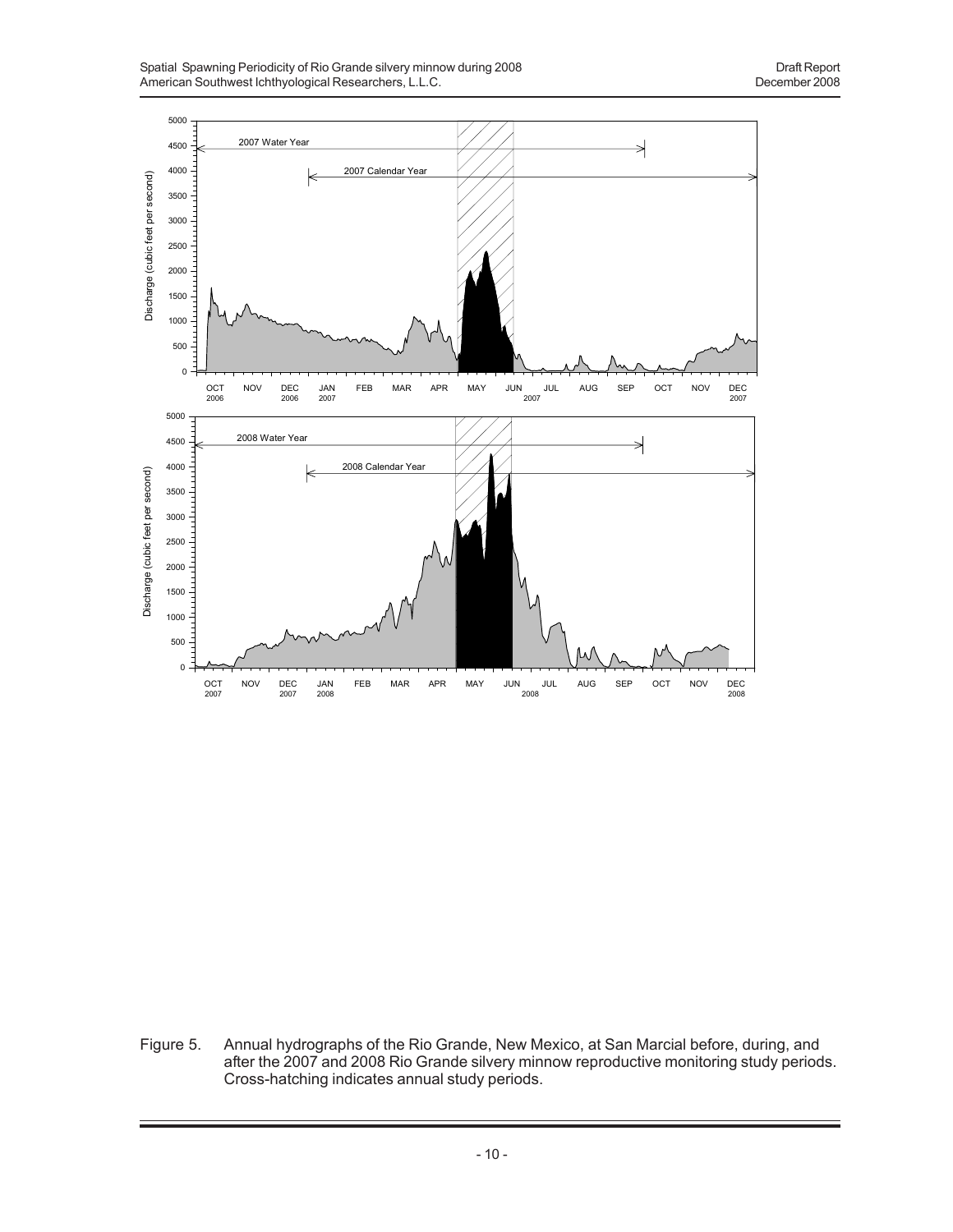

Figure 5. Annual hydrographs of the Rio Grande, New Mexico, at San Marcial before, during, and after the 2007 and 2008 Rio Grande silvery minnow reproductive monitoring study periods. Cross-hatching indicates annual study periods.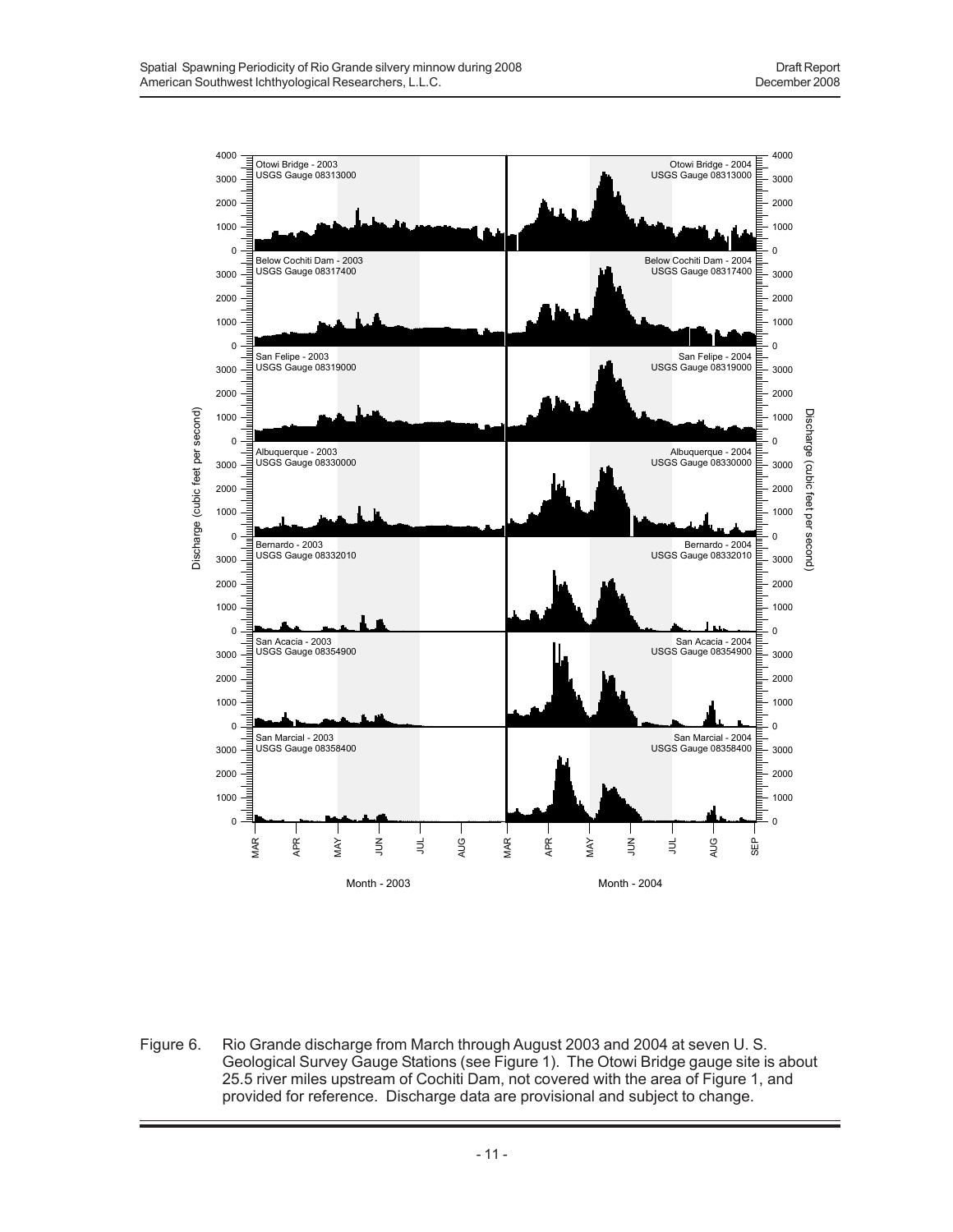

Figure 6. Rio Grande discharge from March through August 2003 and 2004 at seven U. S. Geological Survey Gauge Stations (see Figure 1). The Otowi Bridge gauge site is about 25.5 river miles upstream of Cochiti Dam, not covered with the area of Figure 1, and provided for reference. Discharge data are provisional and subject to change.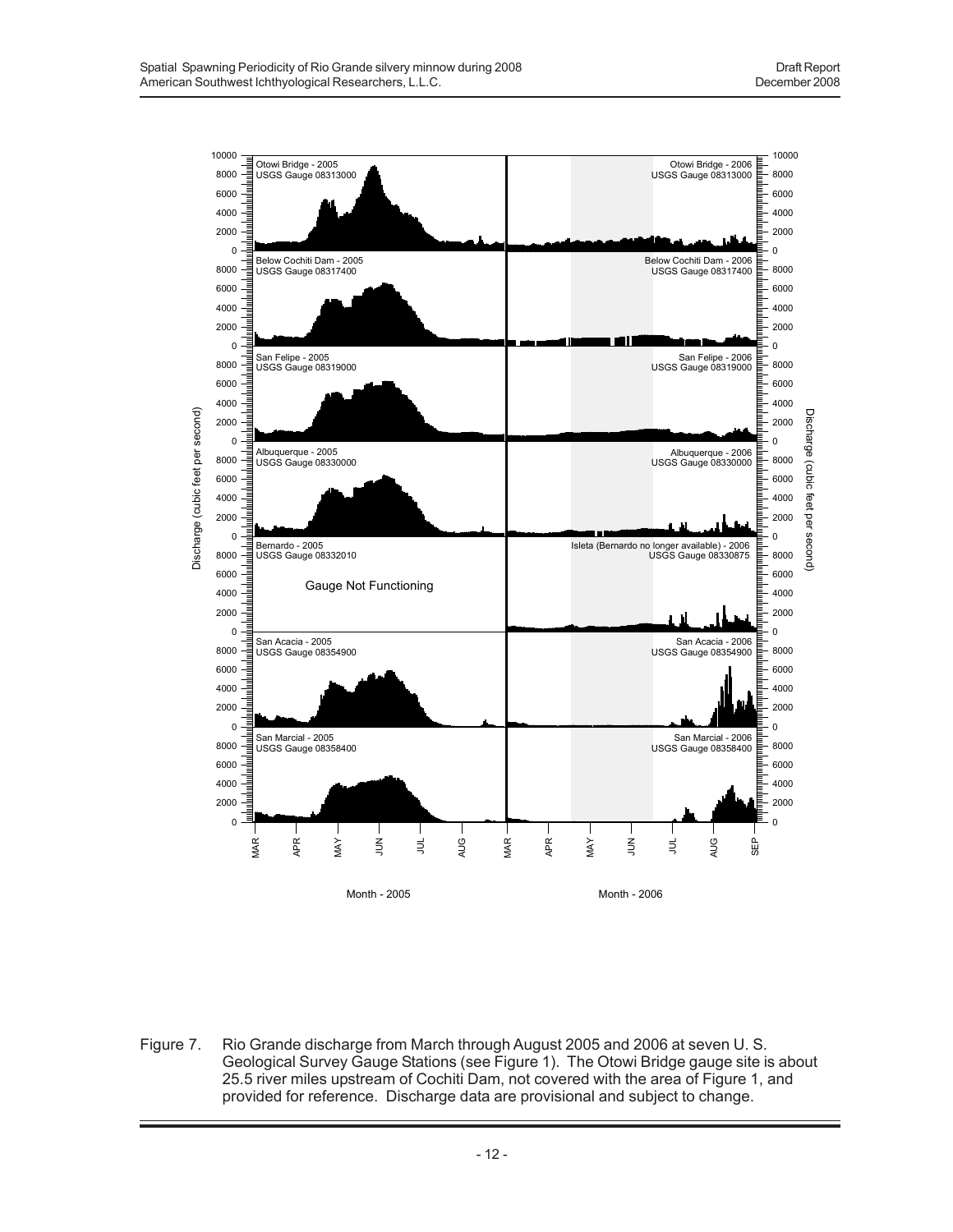

Figure 7. Rio Grande discharge from March through August 2005 and 2006 at seven U. S. Geological Survey Gauge Stations (see Figure 1). The Otowi Bridge gauge site is about 25.5 river miles upstream of Cochiti Dam, not covered with the area of Figure 1, and provided for reference. Discharge data are provisional and subject to change.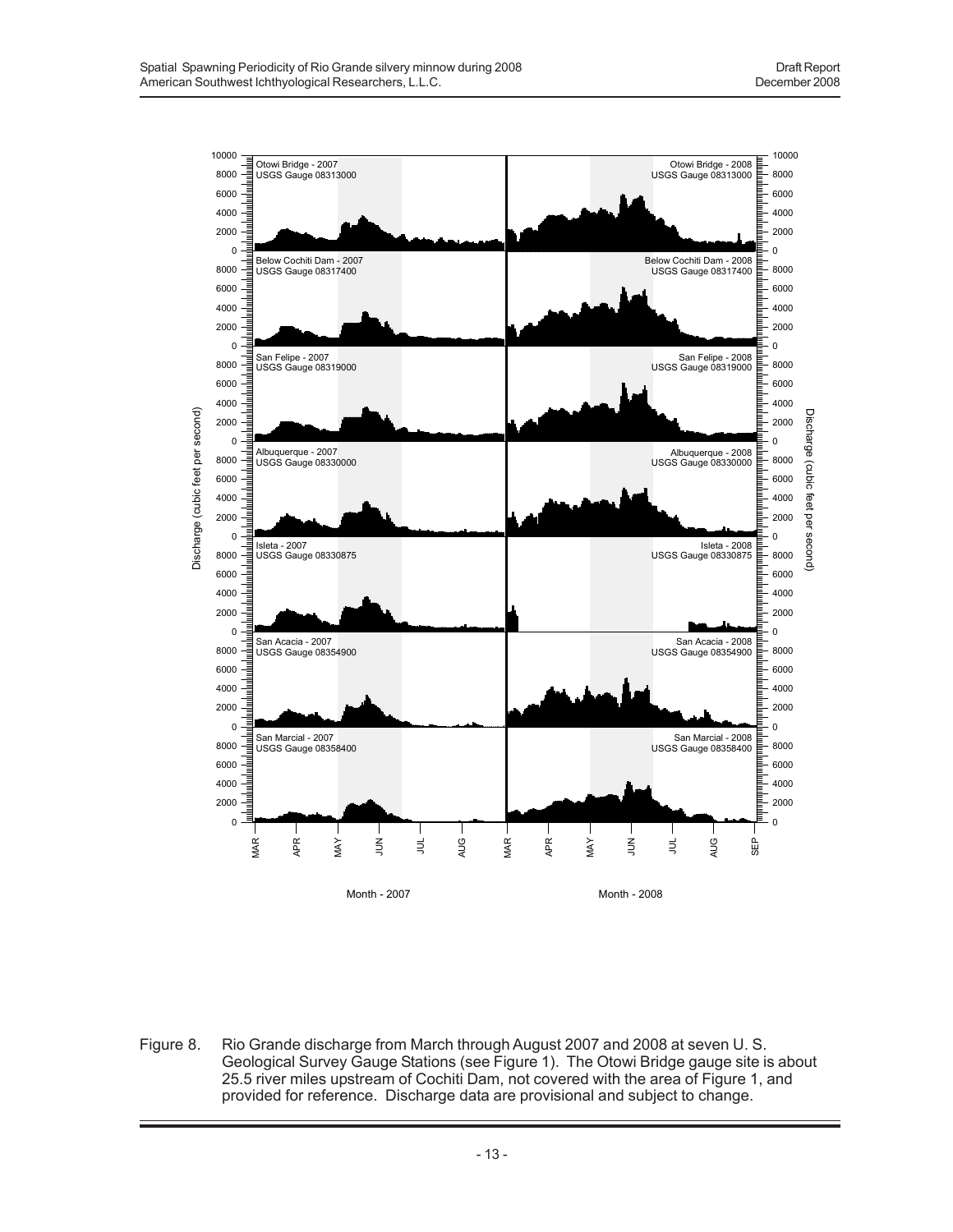

Figure 8. Rio Grande discharge from March through August 2007 and 2008 at seven U. S. Geological Survey Gauge Stations (see Figure 1). The Otowi Bridge gauge site is about 25.5 river miles upstream of Cochiti Dam, not covered with the area of Figure 1, and provided for reference. Discharge data are provisional and subject to change.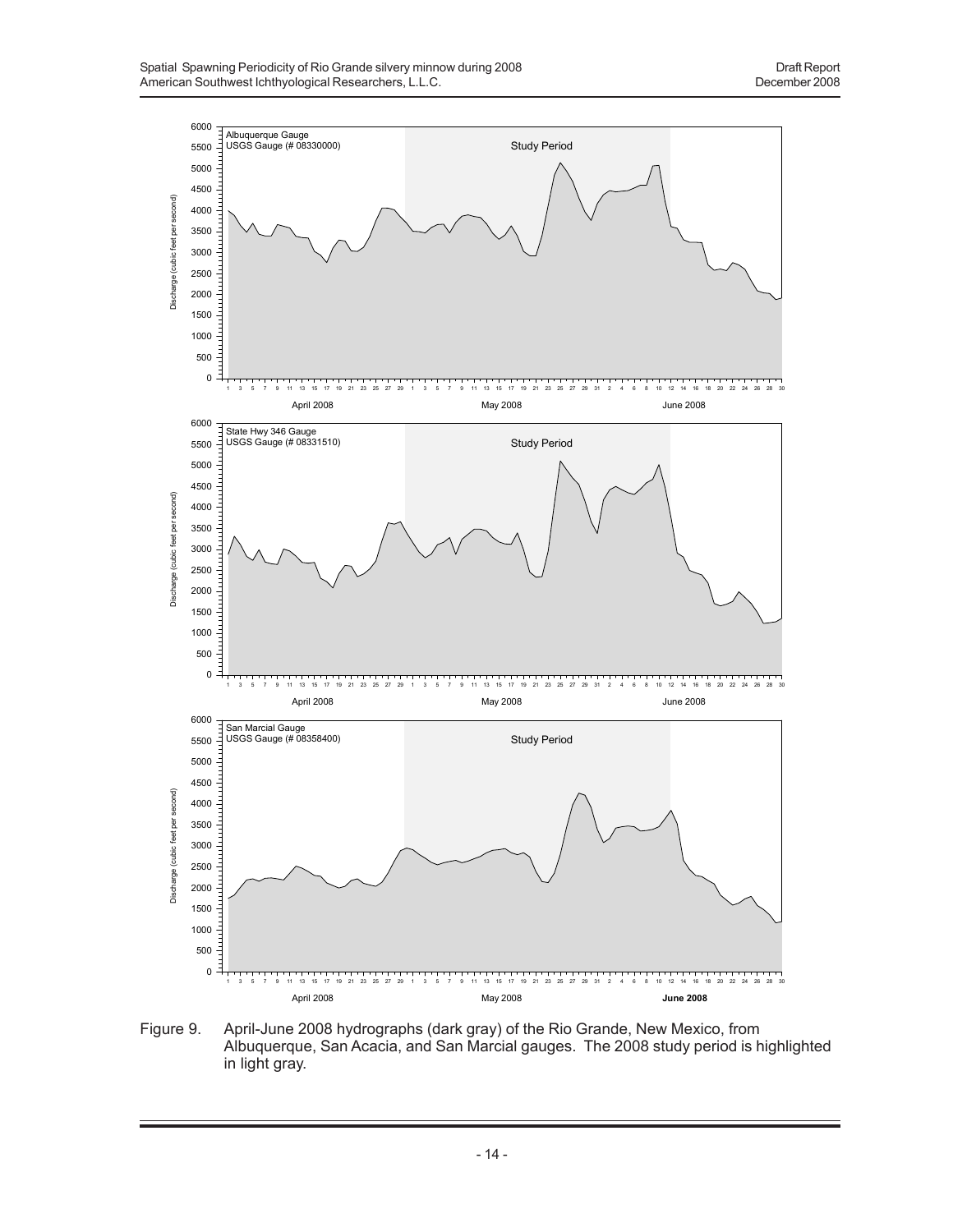

Figure 9. April-June 2008 hydrographs (dark gray) of the Rio Grande, New Mexico, from Albuquerque, San Acacia, and San Marcial gauges. The 2008 study period is highlighted in light gray.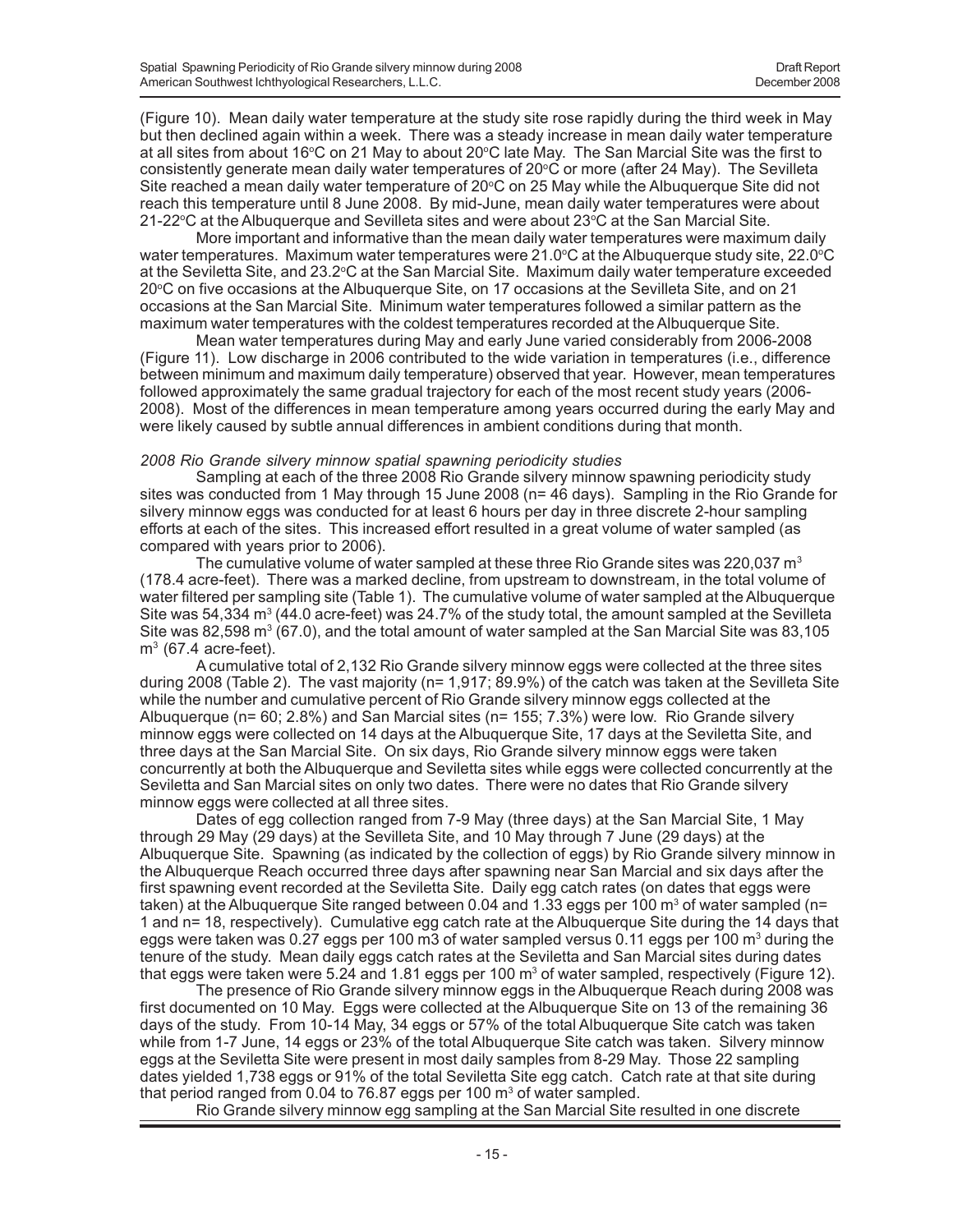(Figure 10). Mean daily water temperature at the study site rose rapidly during the third week in May but then declined again within a week. There was a steady increase in mean daily water temperature at all sites from about 16°C on 21 May to about 20°C late May. The San Marcial Site was the first to consistently generate mean daily water temperatures of  $20^{\circ}$ C or more (after 24 May). The Sevilleta Site reached a mean daily water temperature of 20°C on 25 May while the Albuquerque Site did not reach this temperature until 8 June 2008. By mid-June, mean daily water temperatures were about 21-22 $\degree$ C at the Albuquerque and Sevilleta sites and were about 23 $\degree$ C at the San Marcial Site.

More important and informative than the mean daily water temperatures were maximum daily water temperatures. Maximum water temperatures were 21.0°C at the Albuquerque study site, 22.0°C at the Seviletta Site, and 23.2°C at the San Marcial Site. Maximum daily water temperature exceeded 20°C on five occasions at the Albuquerque Site, on 17 occasions at the Sevilleta Site, and on 21 occasions at the San Marcial Site. Minimum water temperatures followed a similar pattern as the maximum water temperatures with the coldest temperatures recorded at the Albuquerque Site.

Mean water temperatures during May and early June varied considerably from 2006-2008 (Figure 11). Low discharge in 2006 contributed to the wide variation in temperatures (i.e., difference between minimum and maximum daily temperature) observed that year. However, mean temperatures followed approximately the same gradual trajectory for each of the most recent study years (2006- 2008). Most of the differences in mean temperature among years occurred during the early May and were likely caused by subtle annual differences in ambient conditions during that month.

#### *2008 Rio Grande silvery minnow spatial spawning periodicity studies*

Sampling at each of the three 2008 Rio Grande silvery minnow spawning periodicity study sites was conducted from 1 May through 15 June 2008 (n= 46 days). Sampling in the Rio Grande for silvery minnow eggs was conducted for at least 6 hours per day in three discrete 2-hour sampling efforts at each of the sites. This increased effort resulted in a great volume of water sampled (as compared with years prior to 2006).

The cumulative volume of water sampled at these three Rio Grande sites was 220,037  $m<sup>3</sup>$ (178.4 acre-feet). There was a marked decline, from upstream to downstream, in the total volume of water filtered per sampling site (Table 1). The cumulative volume of water sampled at the Albuquerque Site was 54,334 m<sup>3</sup> (44.0 acre-feet) was 24.7% of the study total, the amount sampled at the Sevilleta Site was 82,598  $\text{m}^3$  (67.0), and the total amount of water sampled at the San Marcial Site was 83,105  $m<sup>3</sup>$  (67.4 acre-feet).

A cumulative total of 2,132 Rio Grande silvery minnow eggs were collected at the three sites during 2008 (Table 2). The vast majority (n= 1,917; 89.9%) of the catch was taken at the Sevilleta Site while the number and cumulative percent of Rio Grande silvery minnow eggs collected at the Albuquerque (n= 60; 2.8%) and San Marcial sites (n= 155; 7.3%) were low. Rio Grande silvery minnow eggs were collected on 14 days at the Albuquerque Site, 17 days at the Seviletta Site, and three days at the San Marcial Site. On six days, Rio Grande silvery minnow eggs were taken concurrently at both the Albuquerque and Seviletta sites while eggs were collected concurrently at the Seviletta and San Marcial sites on only two dates. There were no dates that Rio Grande silvery minnow eggs were collected at all three sites.

Dates of egg collection ranged from 7-9 May (three days) at the San Marcial Site, 1 May through 29 May (29 days) at the Sevilleta Site, and 10 May through 7 June (29 days) at the Albuquerque Site. Spawning (as indicated by the collection of eggs) by Rio Grande silvery minnow in the Albuquerque Reach occurred three days after spawning near San Marcial and six days after the first spawning event recorded at the Seviletta Site. Daily egg catch rates (on dates that eggs were taken) at the Albuquerque Site ranged between 0.04 and 1.33 eggs per 100 m $^{\rm 3}$  of water sampled (n= 1 and n= 18, respectively). Cumulative egg catch rate at the Albuquerque Site during the 14 days that eggs were taken was 0.27 eggs per 100 m3 of water sampled versus 0.11 eggs per 100 m<sup>3</sup> during the tenure of the study. Mean daily eggs catch rates at the Seviletta and San Marcial sites during dates that eggs were taken were 5.24 and 1.81 eggs per 100 m<sup>3</sup> of water sampled, respectively (Figure 12).

The presence of Rio Grande silvery minnow eggs in the Albuquerque Reach during 2008 was first documented on 10 May. Eggs were collected at the Albuquerque Site on 13 of the remaining 36 days of the study. From 10-14 May, 34 eggs or 57% of the total Albuquerque Site catch was taken while from 1-7 June, 14 eggs or 23% of the total Albuquerque Site catch was taken. Silvery minnow eggs at the Seviletta Site were present in most daily samples from 8-29 May. Those 22 sampling dates yielded 1,738 eggs or 91% of the total Seviletta Site egg catch. Catch rate at that site during that period ranged from 0.04 to 76.87 eggs per 100  $\text{m}^3$  of water sampled.

Rio Grande silvery minnow egg sampling at the San Marcial Site resulted in one discrete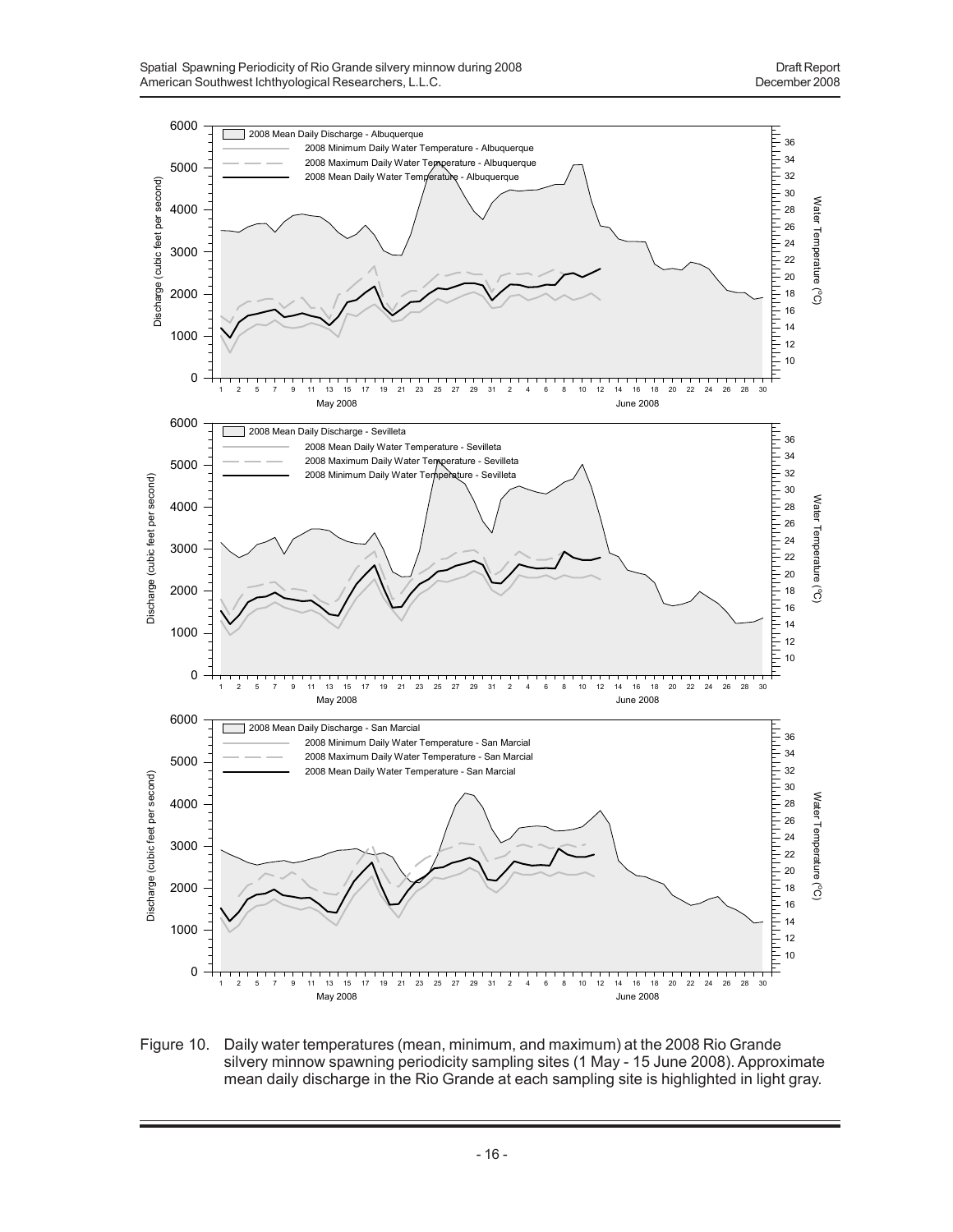

Figure 10. Daily water temperatures (mean, minimum, and maximum) at the 2008 Rio Grande silvery minnow spawning periodicity sampling sites (1 May - 15 June 2008). Approximate mean daily discharge in the Rio Grande at each sampling site is highlighted in light gray.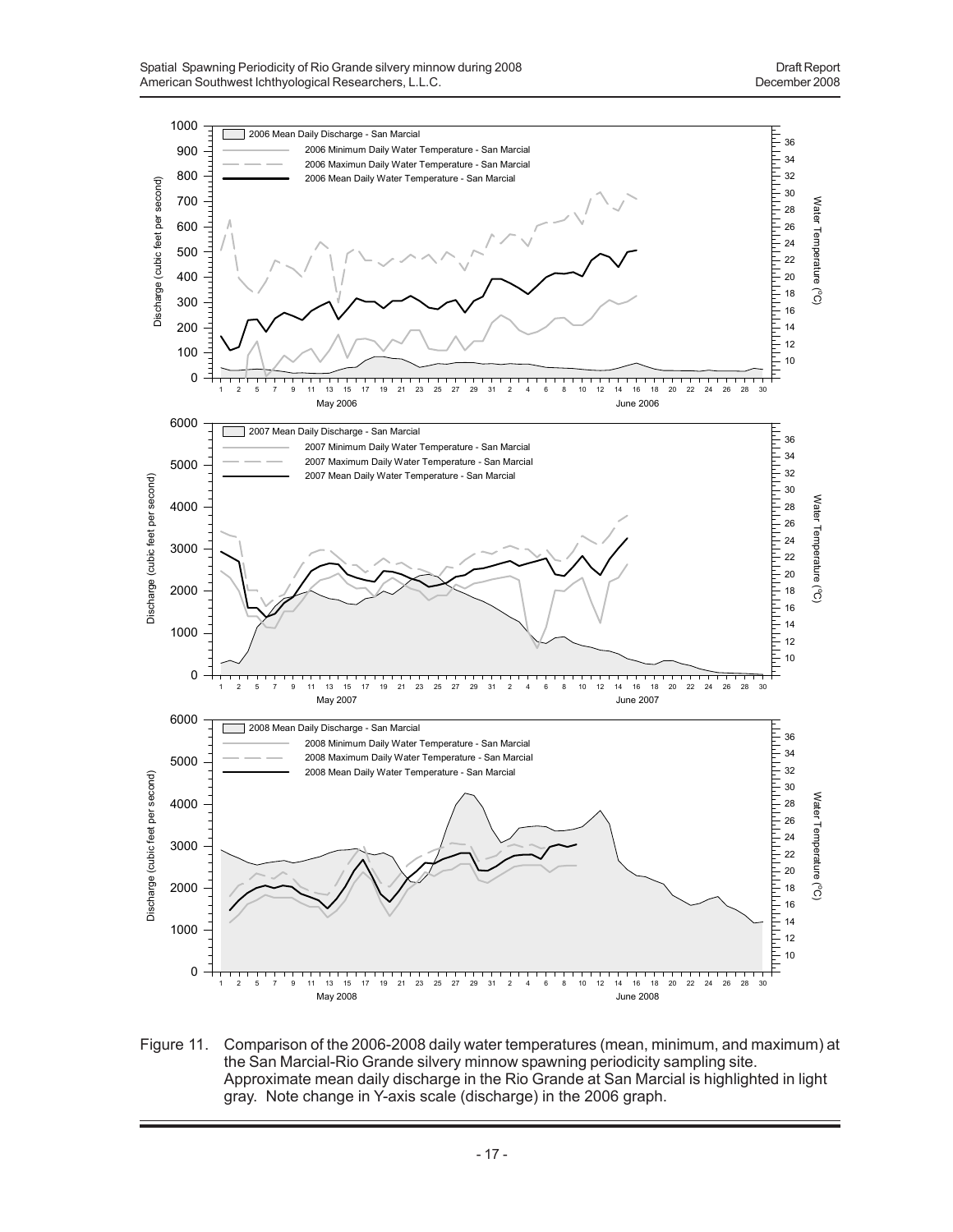

Figure 11. Comparison of the 2006-2008 daily water temperatures (mean, minimum, and maximum) at the San Marcial-Rio Grande silvery minnow spawning periodicity sampling site. Approximate mean daily discharge in the Rio Grande at San Marcial is highlighted in light gray. Note change in Y-axis scale (discharge) in the 2006 graph.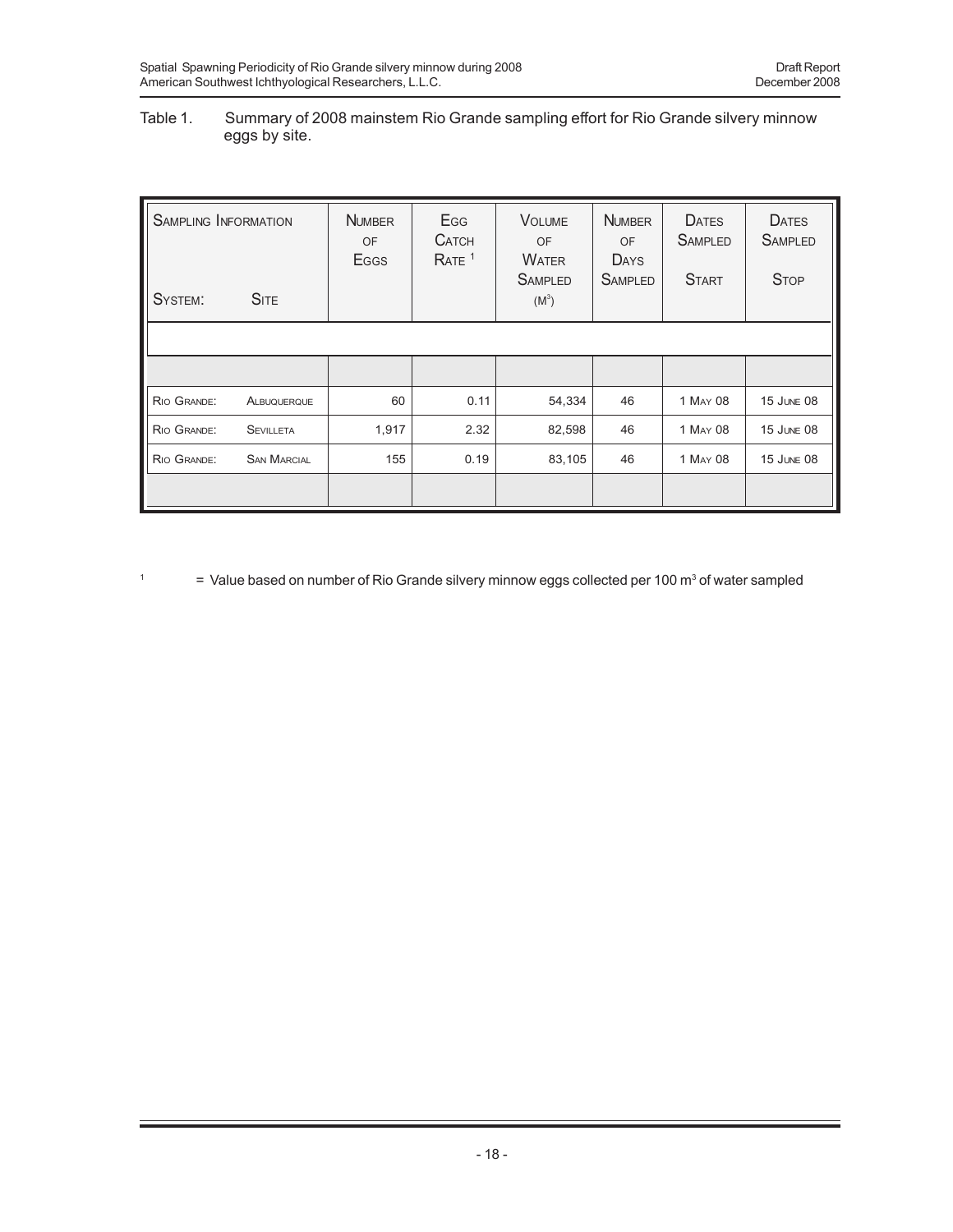## Table 1. Summary of 2008 mainstem Rio Grande sampling effort for Rio Grande silvery minnow eggs by site.

| <b>SAMPLING INFORMATION</b><br><b>SITE</b><br>SYSTEM: |                    | <b>NUMBER</b><br>OF<br>Eggs | Egg<br><b>CATCH</b><br>RATE <sup>1</sup> | <b>VOLUME</b><br><b>OF</b><br><b>WATER</b><br><b>SAMPLED</b><br>$(M^3)$ | <b>NUMBER</b><br>OF<br>DAYS<br><b>SAMPLED</b> | <b>DATES</b><br><b>SAMPLED</b><br><b>START</b> | <b>DATES</b><br><b>SAMPLED</b><br><b>STOP</b> |
|-------------------------------------------------------|--------------------|-----------------------------|------------------------------------------|-------------------------------------------------------------------------|-----------------------------------------------|------------------------------------------------|-----------------------------------------------|
|                                                       |                    |                             |                                          |                                                                         |                                               |                                                |                                               |
|                                                       |                    |                             |                                          |                                                                         |                                               |                                                |                                               |
| RIO GRANDE:                                           | ALBUQUERQUE        | 60                          | 0.11                                     | 54,334                                                                  | 46                                            | 1 MAY 08                                       | <b>15 JUNE 08</b>                             |
| RIO GRANDE:                                           | <b>SEVILLETA</b>   | 1,917                       | 2.32                                     | 82,598                                                                  | 46                                            | 1 MAY 08                                       | <b>15 JUNE 08</b>                             |
| RIO GRANDE:                                           | <b>SAN MARCIAL</b> | 155<br>0.19                 |                                          | 83,105                                                                  | 46                                            | 1 MAY 08                                       | <b>15 JUNE 08</b>                             |
|                                                       |                    |                             |                                          |                                                                         |                                               |                                                |                                               |

<sup>1</sup>  $=$  Value based on number of Rio Grande silvery minnow eggs collected per 100 m<sup>3</sup> of water sampled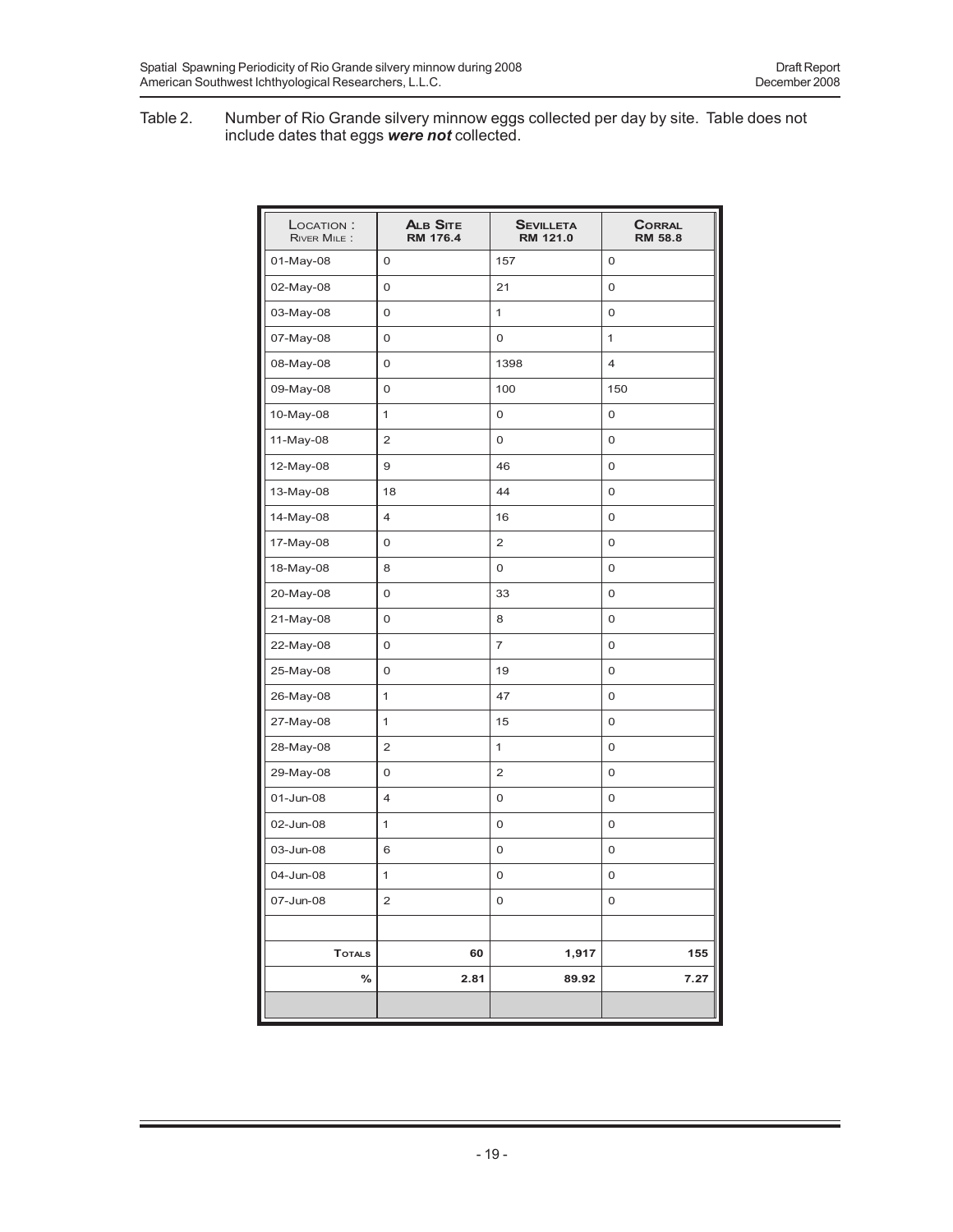#### Table 2. Number of Rio Grande silvery minnow eggs collected per day by site. Table does not include dates that eggs *were not* collected.

| LOCATION:<br>RIVER MILE: | <b>ALB SITE</b><br><b>RM 176.4</b> | <b>SEVILLETA</b><br>RM 121.0 | <b>CORRAL</b><br><b>RM 58.8</b> |
|--------------------------|------------------------------------|------------------------------|---------------------------------|
| 01-May-08                | 0                                  | 157                          | 0                               |
| 02-May-08                | 0                                  | 21                           | 0                               |
| 03-May-08                | 0                                  | $\mathbf{1}$                 | 0                               |
| 07-May-08                | 0                                  | 0                            | 1                               |
| 08-May-08                | 0                                  | 1398                         | $\overline{4}$                  |
| 09-May-08                | 0                                  | 100                          | 150                             |
| 10-May-08                | 1                                  | 0                            | 0                               |
| 11-May-08                | $\overline{2}$                     | 0                            | 0                               |
| 12-May-08                | 9                                  | 46                           | 0                               |
| 13-May-08                | 18                                 | 44                           | 0                               |
| 14-May-08                | $\overline{4}$                     | 16                           | 0                               |
| 17-May-08                | 0                                  | $\overline{2}$               | 0                               |
| 18-May-08                | 8                                  | 0                            | 0                               |
| 20-May-08                | 0                                  | 33                           | 0                               |
| 21-May-08                | 0                                  | 8                            | 0                               |
| 22-May-08                | 0                                  | $\overline{7}$               | 0                               |
| 25-May-08                | 0                                  | 19                           | 0                               |
| 26-May-08                | 1                                  | 47                           | 0                               |
| 27-May-08                | 1                                  | 15                           | 0                               |
| 28-May-08                | 2                                  | 1                            | 0                               |
| 29-May-08                | 0                                  | $\overline{2}$               | 0                               |
| 01-Jun-08                | 4                                  | 0                            | 0                               |
| 02-Jun-08                | 1                                  | 0                            | 0                               |
| 03-Jun-08                | 6                                  | 0                            | 0                               |
| 04-Jun-08                | 1                                  | 0                            | 0                               |
| 07-Jun-08                | 2                                  | 0                            | 0                               |
|                          |                                    |                              |                                 |
| <b>TOTALS</b>            | 60                                 | 1,917                        | 155                             |
| %                        | 2.81                               | 89.92                        | 7.27                            |
|                          |                                    |                              |                                 |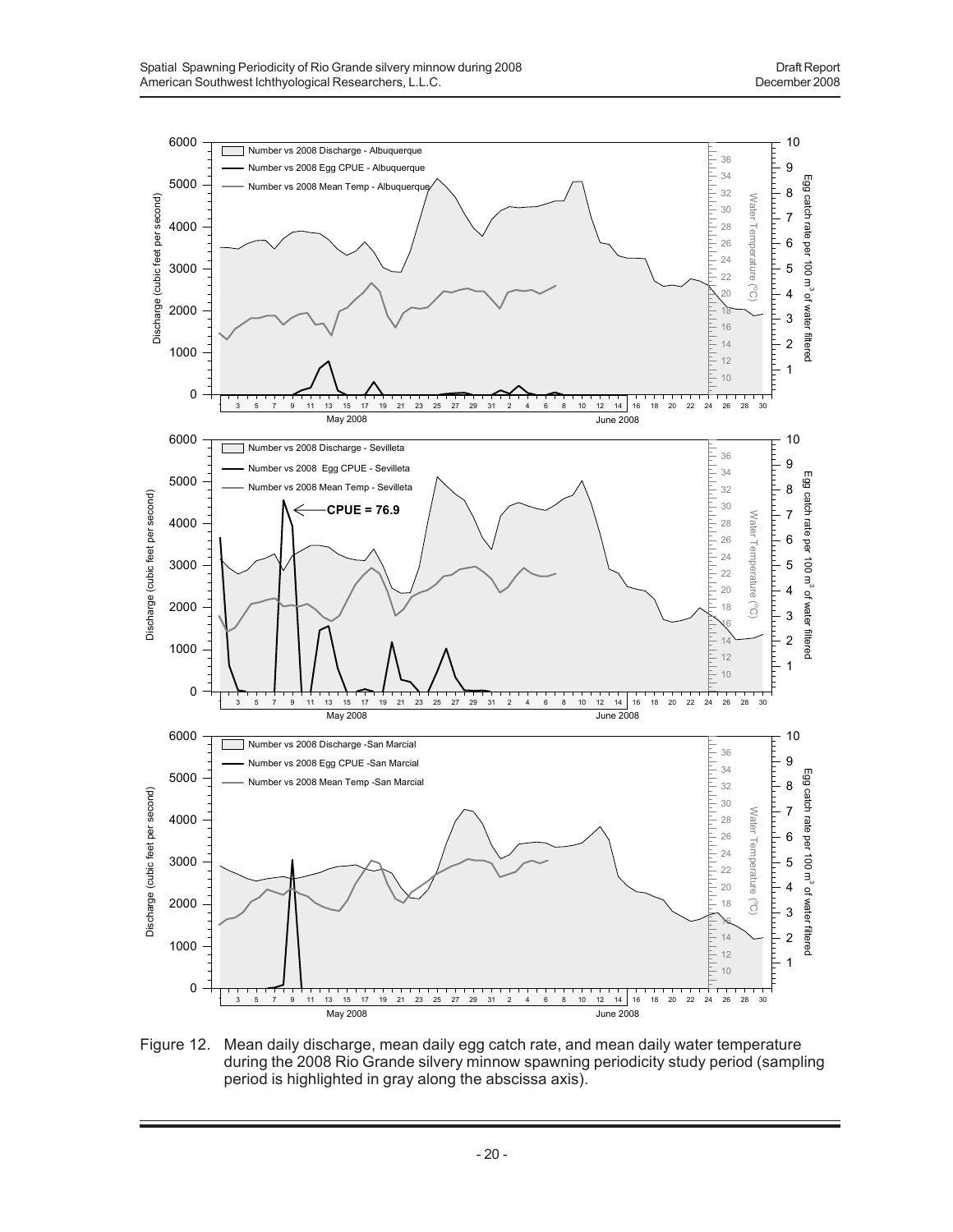

Figure 12. Mean daily discharge, mean daily egg catch rate, and mean daily water temperature during the 2008 Rio Grande silvery minnow spawning periodicity study period (sampling period is highlighted in gray along the abscissa axis).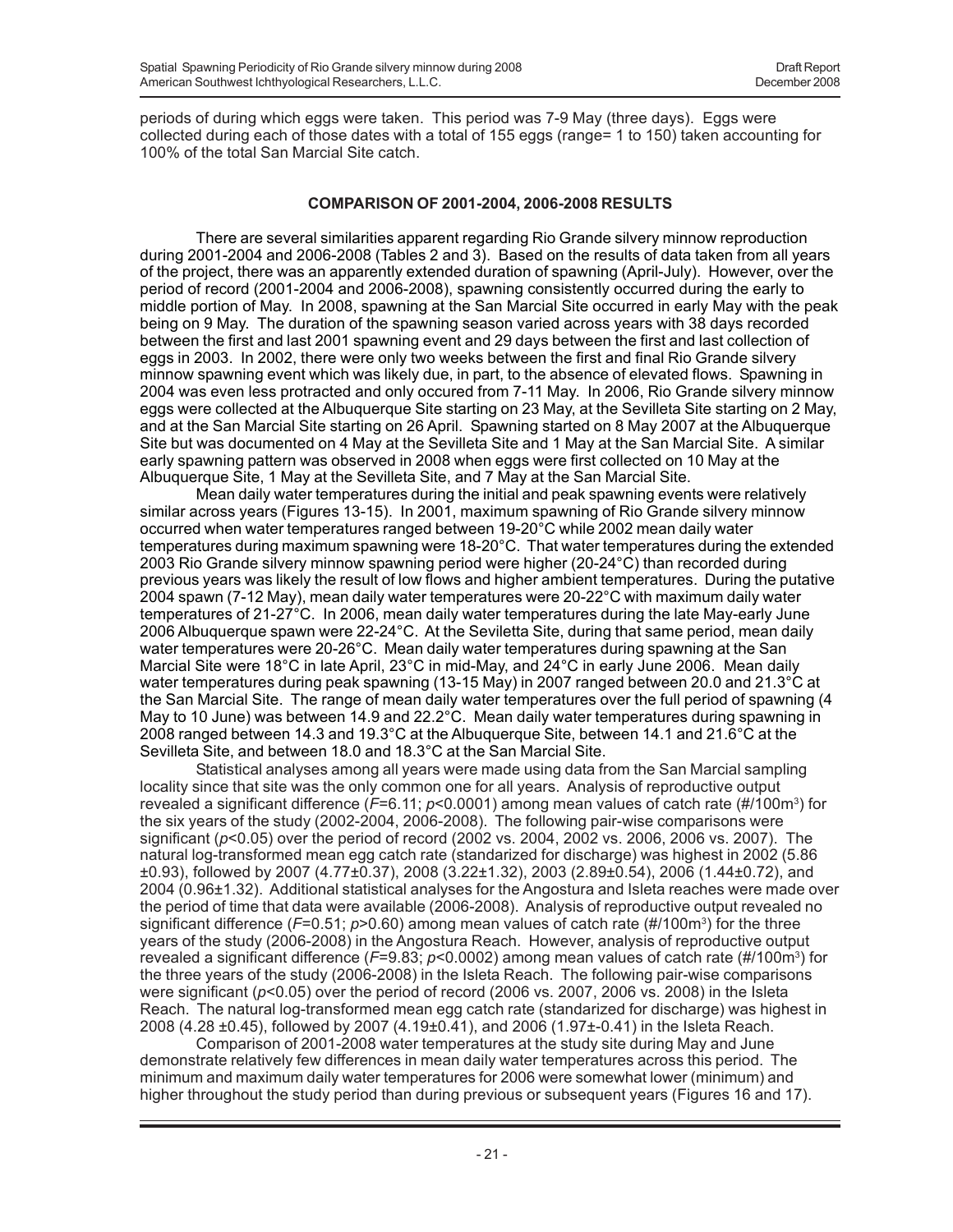periods of during which eggs were taken. This period was 7-9 May (three days). Eggs were collected during each of those dates with a total of 155 eggs (range= 1 to 150) taken accounting for 100% of the total San Marcial Site catch.

## **COMPARISON OF 2001-2004, 2006-2008 RESULTS**

There are several similarities apparent regarding Rio Grande silvery minnow reproduction during 2001-2004 and 2006-2008 (Tables 2 and 3). Based on the results of data taken from all years of the project, there was an apparently extended duration of spawning (April-July). However, over the period of record (2001-2004 and 2006-2008), spawning consistently occurred during the early to middle portion of May. In 2008, spawning at the San Marcial Site occurred in early May with the peak being on 9 May. The duration of the spawning season varied across years with 38 days recorded between the first and last 2001 spawning event and 29 days between the first and last collection of eggs in 2003. In 2002, there were only two weeks between the first and final Rio Grande silvery minnow spawning event which was likely due, in part, to the absence of elevated flows. Spawning in 2004 was even less protracted and only occured from 7-11 May. In 2006, Rio Grande silvery minnow eggs were collected at the Albuquerque Site starting on 23 May, at the Sevilleta Site starting on 2 May, and at the San Marcial Site starting on 26 April. Spawning started on 8 May 2007 at the Albuquerque Site but was documented on 4 May at the Sevilleta Site and 1 May at the San Marcial Site. A similar early spawning pattern was observed in 2008 when eggs were first collected on 10 May at the Albuquerque Site, 1 May at the Sevilleta Site, and 7 May at the San Marcial Site.

Mean daily water temperatures during the initial and peak spawning events were relatively similar across years (Figures 13-15). In 2001, maximum spawning of Rio Grande silvery minnow occurred when water temperatures ranged between 19-20°C while 2002 mean daily water temperatures during maximum spawning were 18-20°C. That water temperatures during the extended 2003 Rio Grande silvery minnow spawning period were higher (20-24°C) than recorded during previous years was likely the result of low flows and higher ambient temperatures. During the putative 2004 spawn (7-12 May), mean daily water temperatures were 20-22°C with maximum daily water temperatures of 21-27°C. In 2006, mean daily water temperatures during the late May-early June 2006 Albuquerque spawn were 22-24°C. At the Seviletta Site, during that same period, mean daily water temperatures were 20-26°C. Mean daily water temperatures during spawning at the San Marcial Site were 18°C in late April, 23°C in mid-May, and 24°C in early June 2006. Mean daily water temperatures during peak spawning (13-15 May) in 2007 ranged between 20.0 and 21.3°C at the San Marcial Site. The range of mean daily water temperatures over the full period of spawning (4 May to 10 June) was between 14.9 and 22.2°C. Mean daily water temperatures during spawning in 2008 ranged between 14.3 and 19.3°C at the Albuquerque Site, between 14.1 and 21.6°C at the Sevilleta Site, and between 18.0 and 18.3°C at the San Marcial Site.

Statistical analyses among all years were made using data from the San Marcial sampling locality since that site was the only common one for all years. Analysis of reproductive output revealed a significant difference (F=6.11; *p*<0.0001) among mean values of catch rate (#/100m<sup>3</sup>) for the six years of the study (2002-2004, 2006-2008). The following pair-wise comparisons were significant (*p*<0.05) over the period of record (2002 vs. 2004, 2002 vs. 2006, 2006 vs. 2007). The natural log-transformed mean egg catch rate (standarized for discharge) was highest in 2002 (5.86 ±0.93), followed by 2007 (4.77±0.37), 2008 (3.22±1.32), 2003 (2.89±0.54), 2006 (1.44±0.72), and 2004 (0.96±1.32). Additional statistical analyses for the Angostura and Isleta reaches were made over the period of time that data were available (2006-2008). Analysis of reproductive output revealed no significant difference (*F*=0.51; *p*>0.60) among mean values of catch rate (#/100m3) for the three years of the study (2006-2008) in the Angostura Reach. However, analysis of reproductive output revealed a significant difference (*F*=9.83; *p*<0.0002) among mean values of catch rate (#/100m3 ) for the three years of the study (2006-2008) in the Isleta Reach. The following pair-wise comparisons were significant (*p*<0.05) over the period of record (2006 vs. 2007, 2006 vs. 2008) in the Isleta Reach. The natural log-transformed mean egg catch rate (standarized for discharge) was highest in 2008 (4.28 ±0.45), followed by 2007 (4.19±0.41), and 2006 (1.97±-0.41) in the Isleta Reach.

Comparison of 2001-2008 water temperatures at the study site during May and June demonstrate relatively few differences in mean daily water temperatures across this period. The minimum and maximum daily water temperatures for 2006 were somewhat lower (minimum) and higher throughout the study period than during previous or subsequent years (Figures 16 and 17).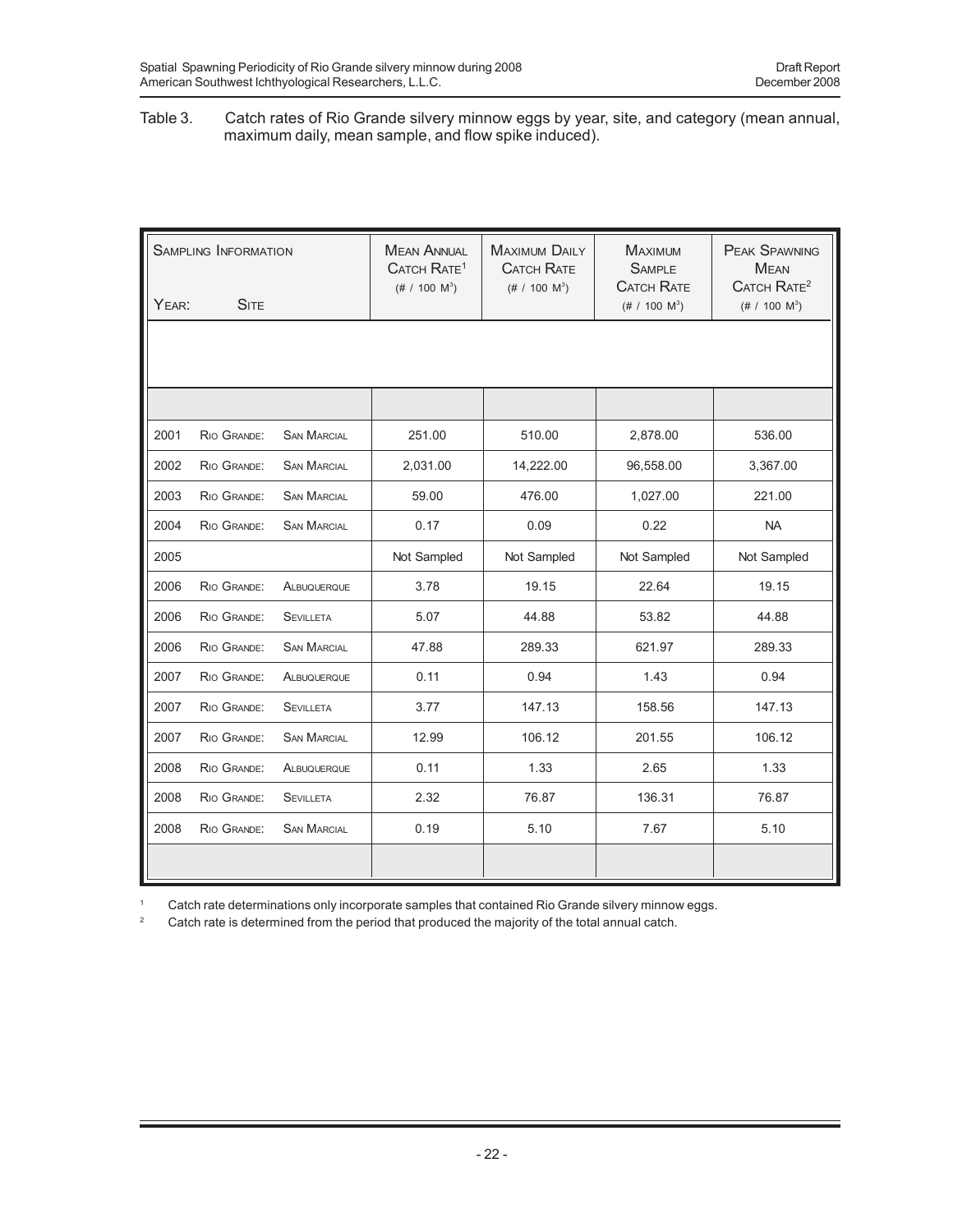#### Table 3. Catch rates of Rio Grande silvery minnow eggs by year, site, and category (mean annual, maximum daily, mean sample, and flow spike induced).

| <b>SAMPLING INFORMATION</b><br><b>SITE</b><br>YEAR: |             | <b>MEAN ANNUAL</b><br>CATCH RATE <sup>1</sup><br>$(\# / 100 \text{ M}^3)$ | <b>MAXIMUM DAILY</b><br><b>CATCH RATE</b><br>$(\# 7 100 M^3)$ | <b>MAXIMUM</b><br><b>SAMPLE</b><br><b>CATCH RATE</b><br>$(\# 7 100 M^3)$ | <b>PEAK SPAWNING</b><br><b>MEAN</b><br>CATCH RATE <sup>2</sup><br>$(\# 7 100 M^3)$ |             |
|-----------------------------------------------------|-------------|---------------------------------------------------------------------------|---------------------------------------------------------------|--------------------------------------------------------------------------|------------------------------------------------------------------------------------|-------------|
|                                                     |             |                                                                           |                                                               |                                                                          |                                                                                    |             |
|                                                     |             |                                                                           |                                                               |                                                                          |                                                                                    |             |
|                                                     |             |                                                                           |                                                               |                                                                          |                                                                                    |             |
| 2001                                                | RIO GRANDE: | <b>SAN MARCIAL</b>                                                        | 251.00                                                        | 510.00                                                                   | 2,878.00                                                                           | 536.00      |
| 2002                                                | RIO GRANDE: | <b>SAN MARCIAL</b>                                                        | 2,031.00                                                      | 14,222.00                                                                | 96,558.00                                                                          | 3,367.00    |
| 2003                                                | RIO GRANDE: | <b>SAN MARCIAL</b>                                                        | 59.00                                                         | 476.00                                                                   | 1,027.00                                                                           | 221.00      |
| 2004                                                | RIO GRANDE: | <b>SAN MARCIAL</b>                                                        | 0.17                                                          | 0.09                                                                     | 0.22                                                                               | <b>NA</b>   |
| 2005                                                |             |                                                                           | Not Sampled                                                   | Not Sampled                                                              | Not Sampled                                                                        | Not Sampled |
| 2006                                                | RIO GRANDE: | ALBUQUERQUE                                                               | 3.78                                                          | 19.15                                                                    | 22.64                                                                              | 19.15       |
| 2006                                                | RIO GRANDE: | <b>SEVILLETA</b>                                                          | 5.07                                                          | 44.88                                                                    | 53.82                                                                              | 44.88       |
| 2006                                                | RIO GRANDE: | <b>SAN MARCIAL</b>                                                        | 47.88                                                         | 289.33                                                                   | 621.97                                                                             | 289.33      |
| 2007                                                | RIO GRANDE: | ALBUQUERQUE                                                               | 0.11                                                          | 0.94                                                                     | 1.43                                                                               | 0.94        |
| 2007                                                | RIO GRANDE: | <b>SEVILLETA</b>                                                          | 3.77                                                          | 147.13                                                                   | 158.56                                                                             | 147.13      |
| 2007                                                | RIO GRANDE: | <b>SAN MARCIAL</b>                                                        | 12.99                                                         | 106.12                                                                   | 201.55                                                                             | 106.12      |
| 2008                                                | RIO GRANDE: | ALBUQUERQUE                                                               | 0.11                                                          | 1.33                                                                     | 2.65                                                                               | 1.33        |
| 2008                                                | RIO GRANDE: | <b>SEVILLETA</b>                                                          | 2.32                                                          | 76.87                                                                    | 136.31                                                                             | 76.87       |
| 2008                                                | RIO GRANDE: | <b>SAN MARCIAL</b>                                                        | 0.19                                                          | 5.10                                                                     | 7.67                                                                               | 5.10        |
|                                                     |             |                                                                           |                                                               |                                                                          |                                                                                    |             |

1 Catch rate determinations only incorporate samples that contained Rio Grande silvery minnow eggs.<br>2 Catch rate is determined from the period that produced the maiority of the total annual catch

<sup>2</sup> Catch rate is determined from the period that produced the majority of the total annual catch.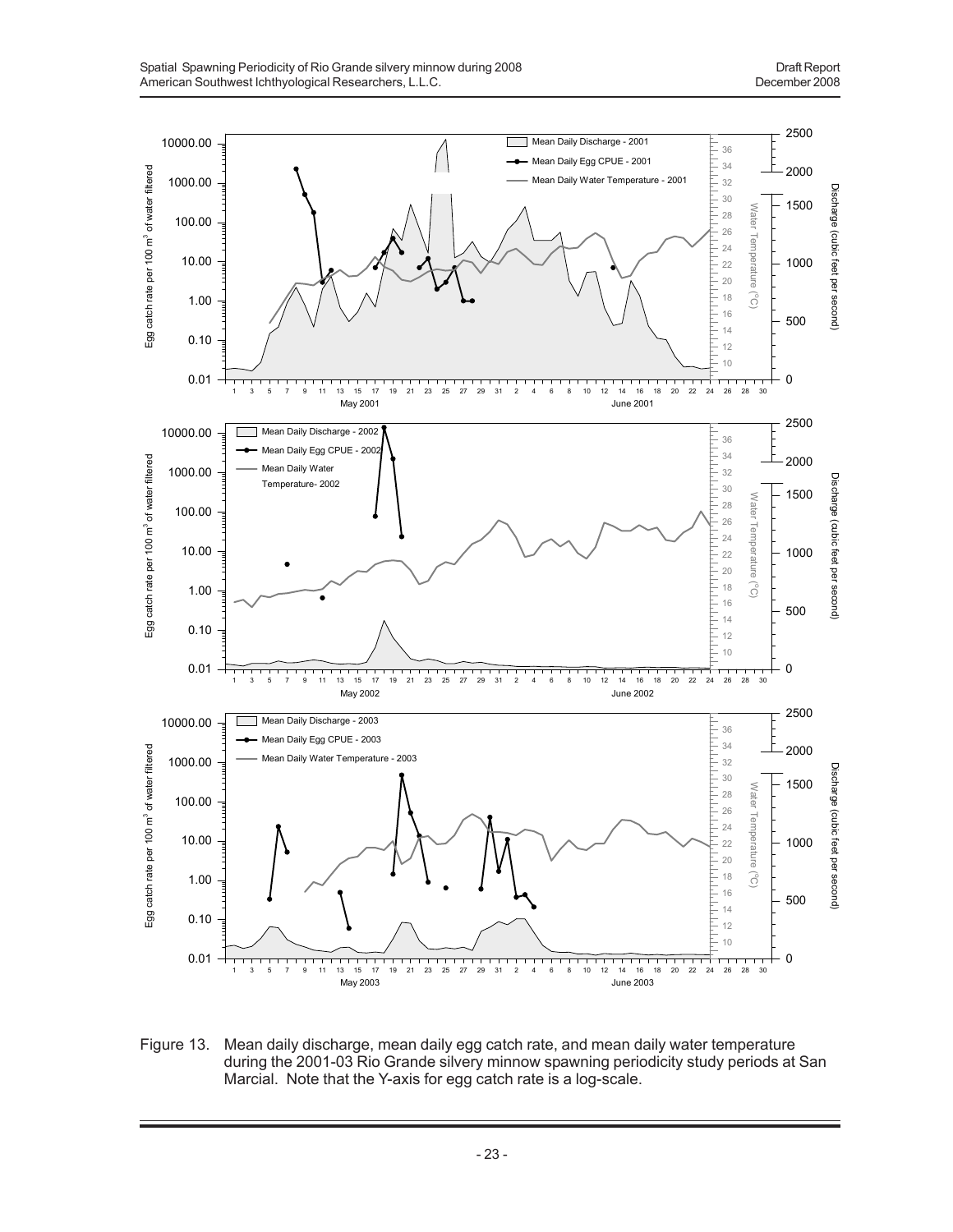

Figure 13. Mean daily discharge, mean daily egg catch rate, and mean daily water temperature during the 2001-03 Rio Grande silvery minnow spawning periodicity study periods at San Marcial. Note that the Y-axis for egg catch rate is a log-scale.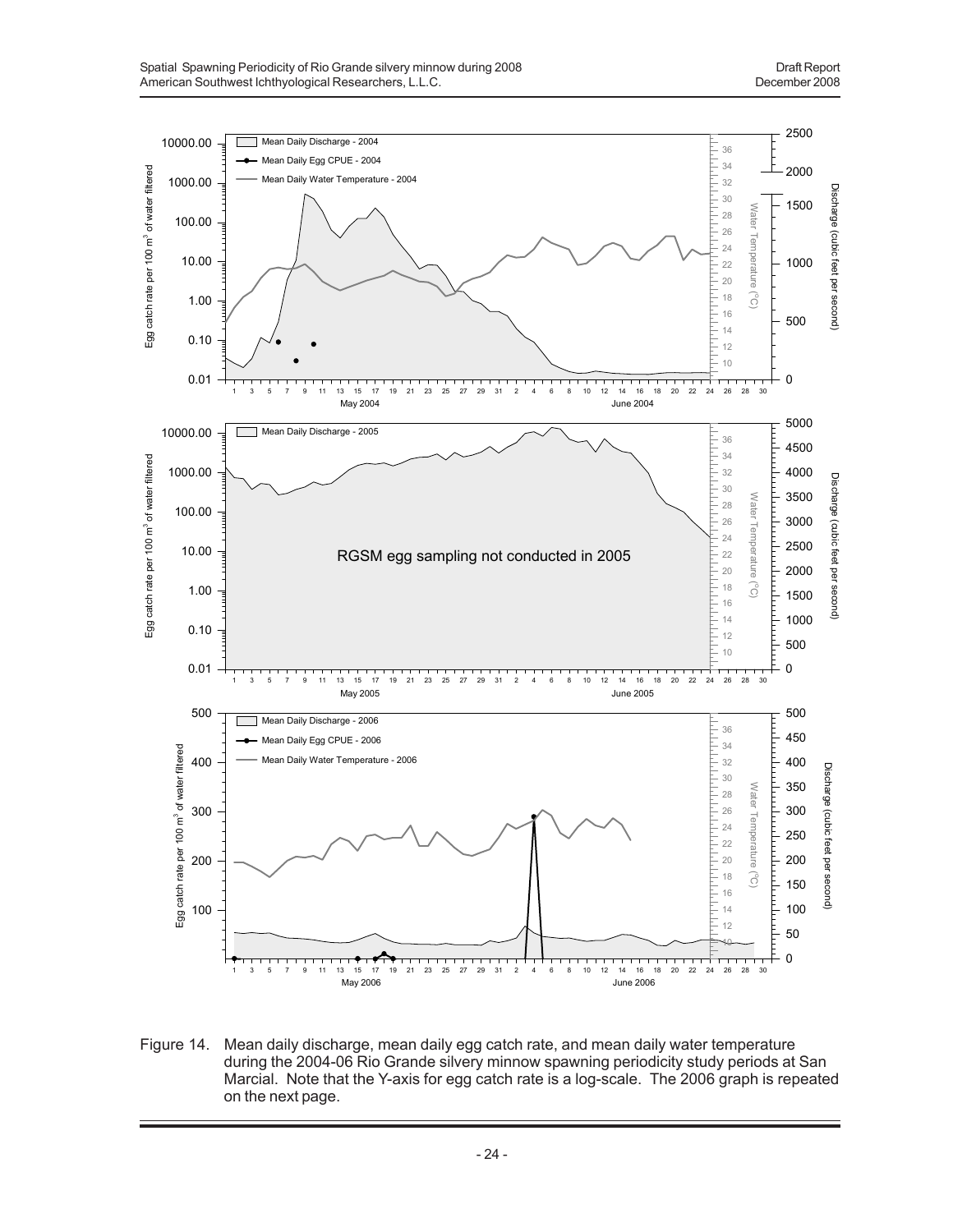

Figure 14. Mean daily discharge, mean daily egg catch rate, and mean daily water temperature during the 2004-06 Rio Grande silvery minnow spawning periodicity study periods at San Marcial. Note that the Y-axis for egg catch rate is a log-scale. The 2006 graph is repeated on the next page.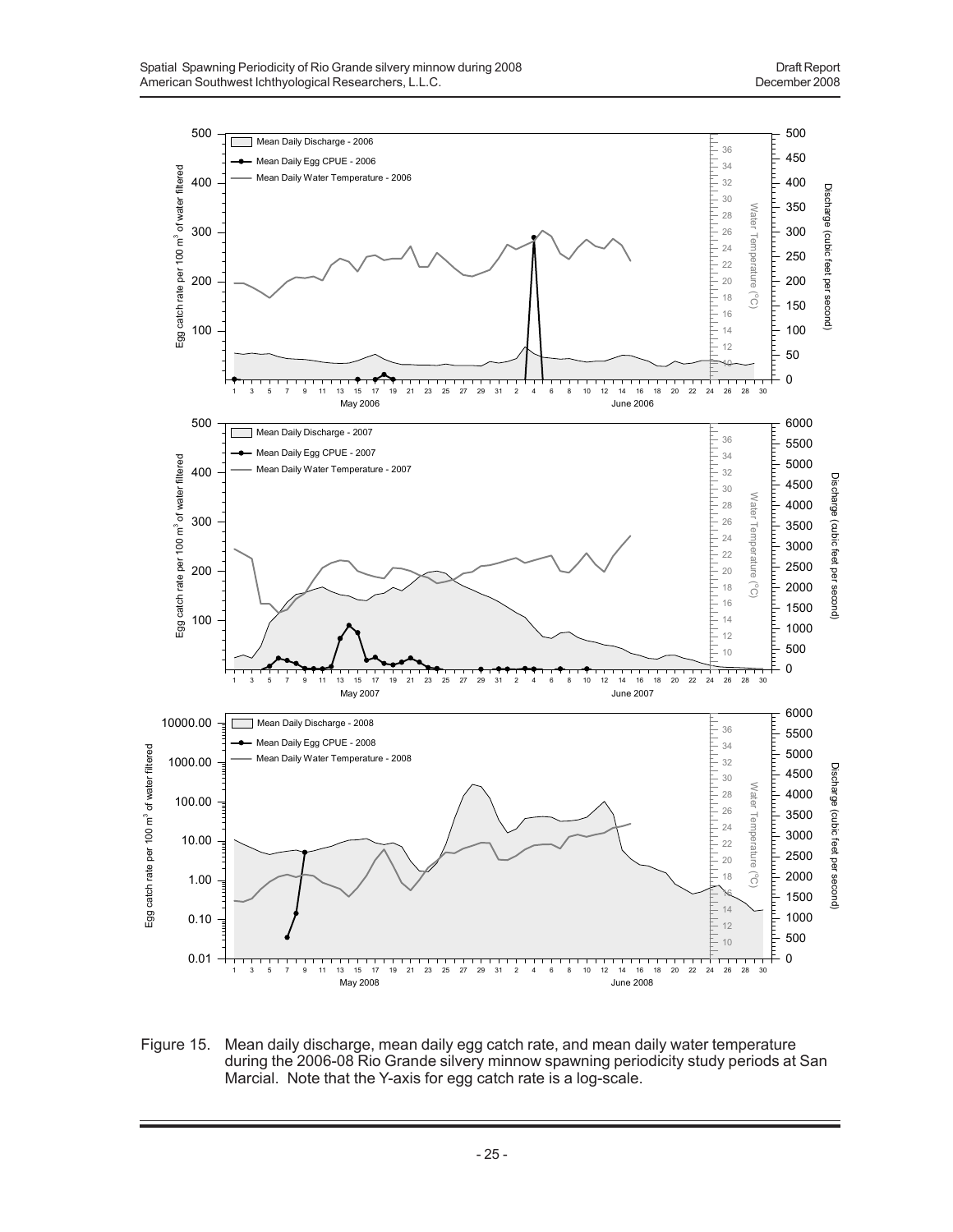

Figure 15. Mean daily discharge, mean daily egg catch rate, and mean daily water temperature during the 2006-08 Rio Grande silvery minnow spawning periodicity study periods at San Marcial. Note that the Y-axis for egg catch rate is a log-scale.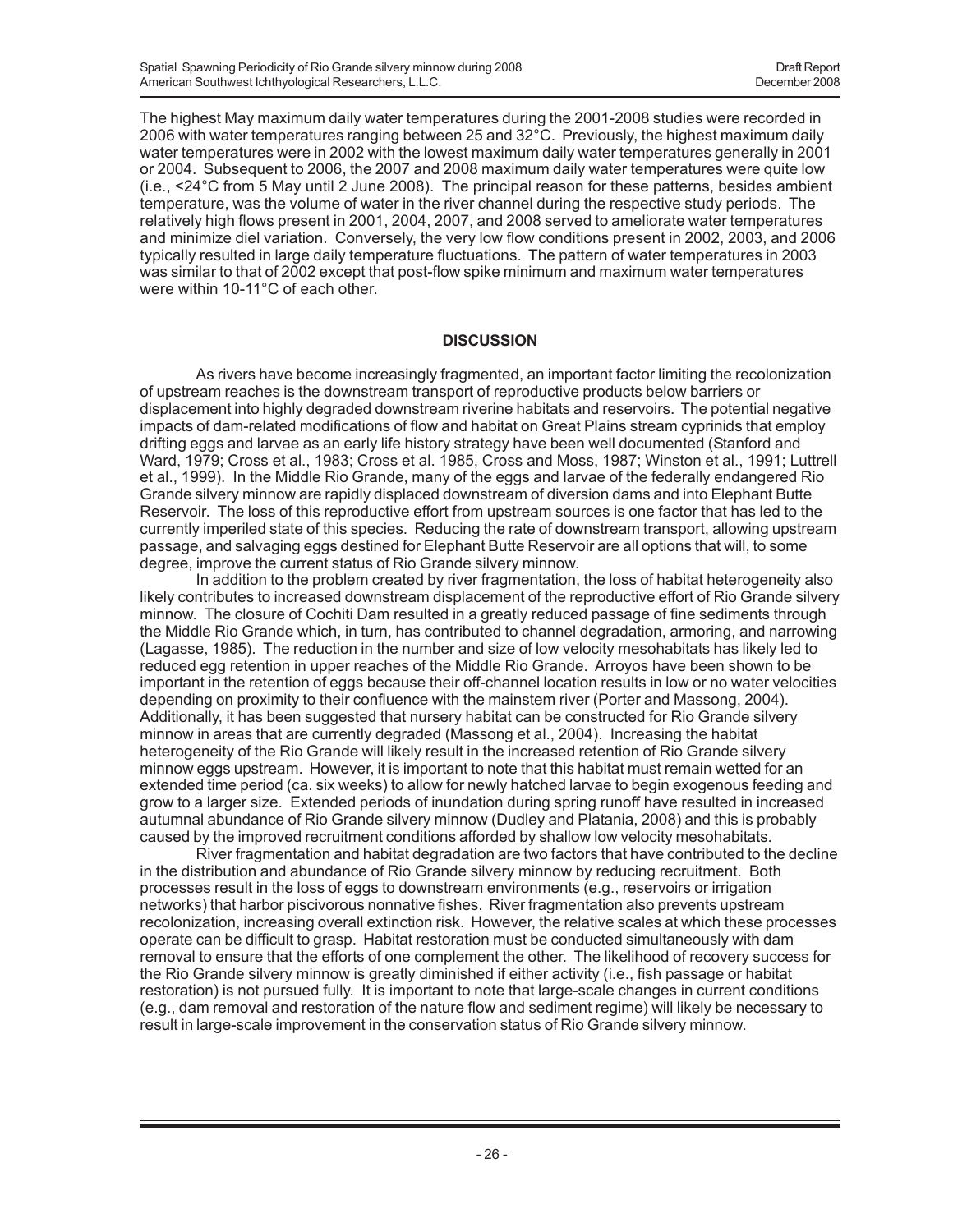The highest May maximum daily water temperatures during the 2001-2008 studies were recorded in 2006 with water temperatures ranging between 25 and 32°C. Previously, the highest maximum daily water temperatures were in 2002 with the lowest maximum daily water temperatures generally in 2001 or 2004. Subsequent to 2006, the 2007 and 2008 maximum daily water temperatures were quite low (i.e., <24°C from 5 May until 2 June 2008). The principal reason for these patterns, besides ambient temperature, was the volume of water in the river channel during the respective study periods. The relatively high flows present in 2001, 2004, 2007, and 2008 served to ameliorate water temperatures and minimize diel variation. Conversely, the very low flow conditions present in 2002, 2003, and 2006 typically resulted in large daily temperature fluctuations. The pattern of water temperatures in 2003 was similar to that of 2002 except that post-flow spike minimum and maximum water temperatures were within 10-11°C of each other.

### **DISCUSSION**

As rivers have become increasingly fragmented, an important factor limiting the recolonization of upstream reaches is the downstream transport of reproductive products below barriers or displacement into highly degraded downstream riverine habitats and reservoirs. The potential negative impacts of dam-related modifications of flow and habitat on Great Plains stream cyprinids that employ drifting eggs and larvae as an early life history strategy have been well documented (Stanford and Ward, 1979; Cross et al., 1983; Cross et al. 1985, Cross and Moss, 1987; Winston et al., 1991; Luttrell et al., 1999). In the Middle Rio Grande, many of the eggs and larvae of the federally endangered Rio Grande silvery minnow are rapidly displaced downstream of diversion dams and into Elephant Butte Reservoir. The loss of this reproductive effort from upstream sources is one factor that has led to the currently imperiled state of this species. Reducing the rate of downstream transport, allowing upstream passage, and salvaging eggs destined for Elephant Butte Reservoir are all options that will, to some degree, improve the current status of Rio Grande silvery minnow.

In addition to the problem created by river fragmentation, the loss of habitat heterogeneity also likely contributes to increased downstream displacement of the reproductive effort of Rio Grande silvery minnow. The closure of Cochiti Dam resulted in a greatly reduced passage of fine sediments through the Middle Rio Grande which, in turn, has contributed to channel degradation, armoring, and narrowing (Lagasse, 1985). The reduction in the number and size of low velocity mesohabitats has likely led to reduced egg retention in upper reaches of the Middle Rio Grande. Arroyos have been shown to be important in the retention of eggs because their off-channel location results in low or no water velocities depending on proximity to their confluence with the mainstem river (Porter and Massong, 2004). Additionally, it has been suggested that nursery habitat can be constructed for Rio Grande silvery minnow in areas that are currently degraded (Massong et al., 2004). Increasing the habitat heterogeneity of the Rio Grande will likely result in the increased retention of Rio Grande silvery minnow eggs upstream. However, it is important to note that this habitat must remain wetted for an extended time period (ca. six weeks) to allow for newly hatched larvae to begin exogenous feeding and grow to a larger size. Extended periods of inundation during spring runoff have resulted in increased autumnal abundance of Rio Grande silvery minnow (Dudley and Platania, 2008) and this is probably caused by the improved recruitment conditions afforded by shallow low velocity mesohabitats.

River fragmentation and habitat degradation are two factors that have contributed to the decline in the distribution and abundance of Rio Grande silvery minnow by reducing recruitment. Both processes result in the loss of eggs to downstream environments (e.g., reservoirs or irrigation networks) that harbor piscivorous nonnative fishes. River fragmentation also prevents upstream recolonization, increasing overall extinction risk. However, the relative scales at which these processes operate can be difficult to grasp. Habitat restoration must be conducted simultaneously with dam removal to ensure that the efforts of one complement the other. The likelihood of recovery success for the Rio Grande silvery minnow is greatly diminished if either activity (i.e., fish passage or habitat restoration) is not pursued fully. It is important to note that large-scale changes in current conditions (e.g., dam removal and restoration of the nature flow and sediment regime) will likely be necessary to result in large-scale improvement in the conservation status of Rio Grande silvery minnow.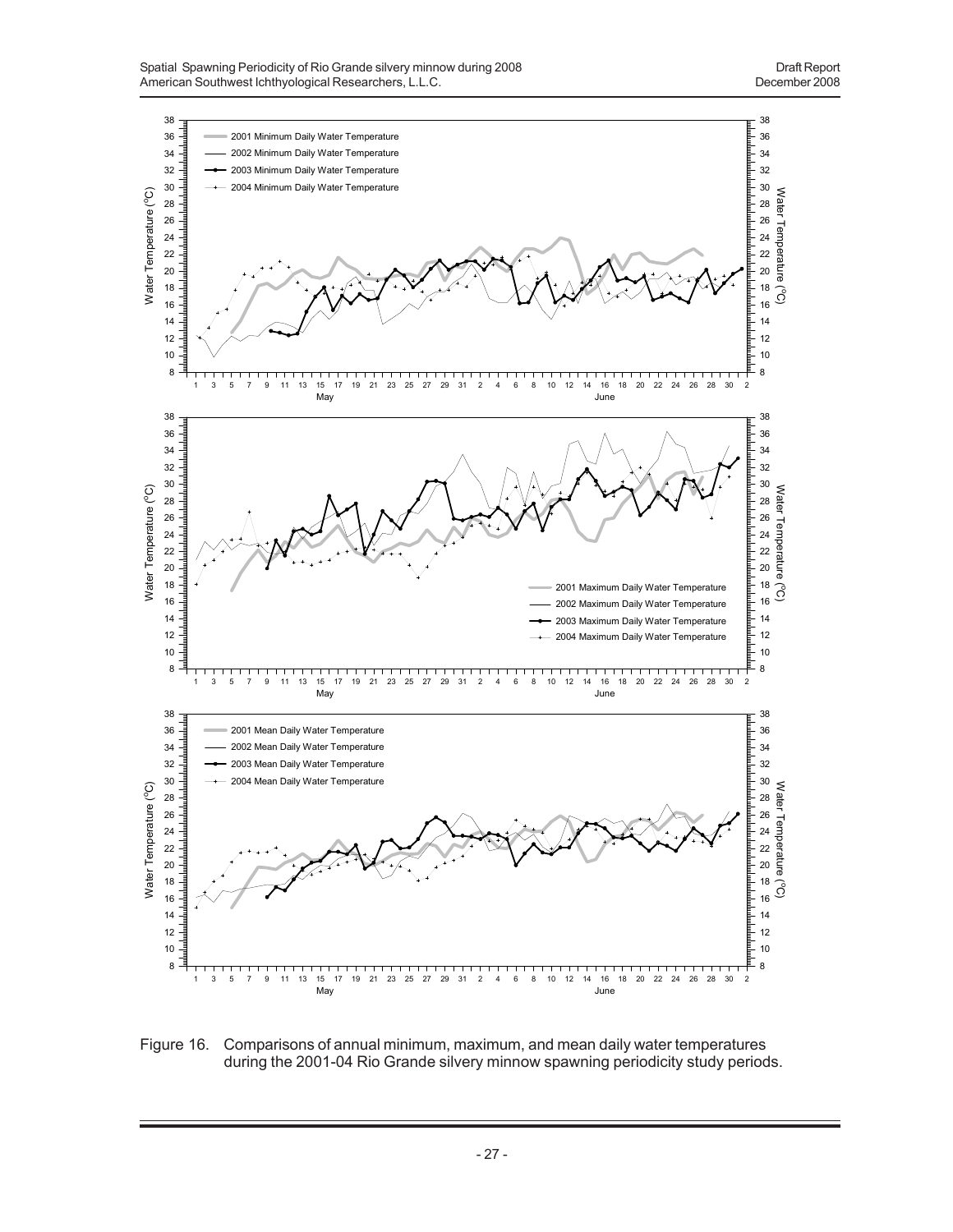

Figure 16. Comparisons of annual minimum, maximum, and mean daily water temperatures during the 2001-04 Rio Grande silvery minnow spawning periodicity study periods.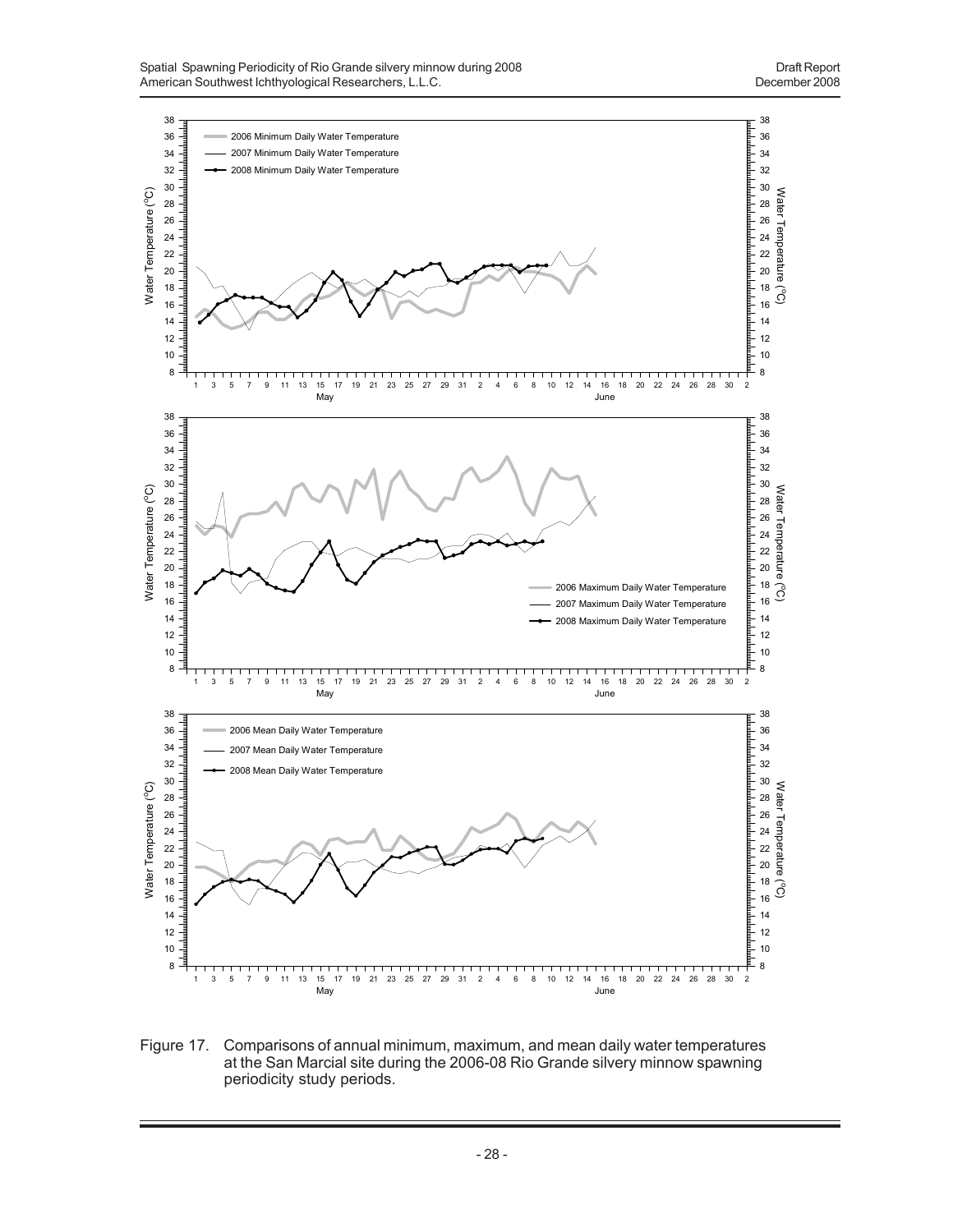

Figure 17. Comparisons of annual minimum, maximum, and mean daily water temperatures at the San Marcial site during the 2006-08 Rio Grande silvery minnow spawning periodicity study periods.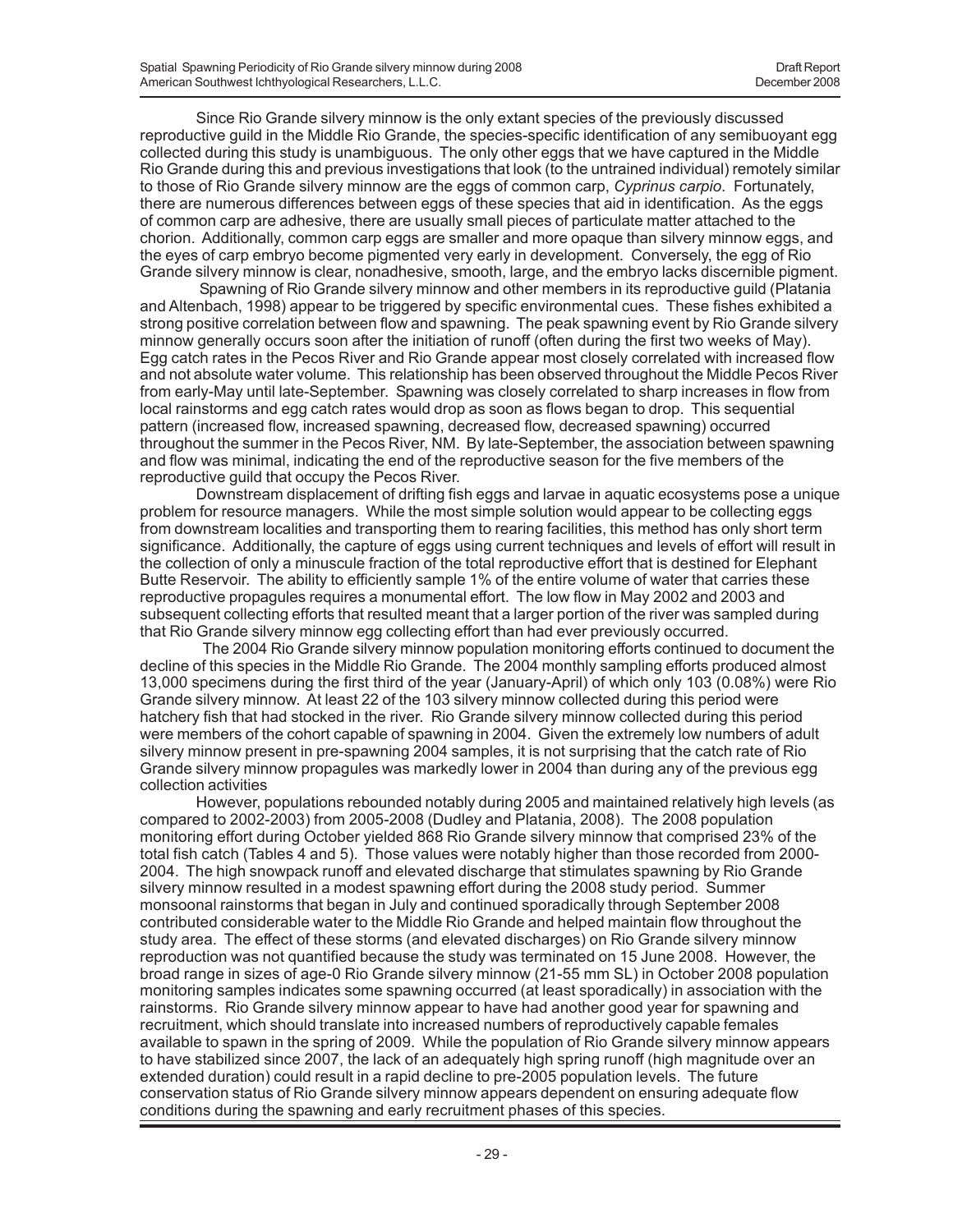Since Rio Grande silvery minnow is the only extant species of the previously discussed reproductive guild in the Middle Rio Grande, the species-specific identification of any semibuoyant egg collected during this study is unambiguous. The only other eggs that we have captured in the Middle Rio Grande during this and previous investigations that look (to the untrained individual) remotely similar to those of Rio Grande silvery minnow are the eggs of common carp, *Cyprinus carpio*. Fortunately, there are numerous differences between eggs of these species that aid in identification. As the eggs of common carp are adhesive, there are usually small pieces of particulate matter attached to the chorion. Additionally, common carp eggs are smaller and more opaque than silvery minnow eggs, and the eyes of carp embryo become pigmented very early in development. Conversely, the egg of Rio Grande silvery minnow is clear, nonadhesive, smooth, large, and the embryo lacks discernible pigment.

 Spawning of Rio Grande silvery minnow and other members in its reproductive guild (Platania and Altenbach, 1998) appear to be triggered by specific environmental cues. These fishes exhibited a strong positive correlation between flow and spawning. The peak spawning event by Rio Grande silvery minnow generally occurs soon after the initiation of runoff (often during the first two weeks of May). Egg catch rates in the Pecos River and Rio Grande appear most closely correlated with increased flow and not absolute water volume. This relationship has been observed throughout the Middle Pecos River from early-May until late-September. Spawning was closely correlated to sharp increases in flow from local rainstorms and egg catch rates would drop as soon as flows began to drop. This sequential pattern (increased flow, increased spawning, decreased flow, decreased spawning) occurred throughout the summer in the Pecos River, NM. By late-September, the association between spawning and flow was minimal, indicating the end of the reproductive season for the five members of the reproductive guild that occupy the Pecos River.

Downstream displacement of drifting fish eggs and larvae in aquatic ecosystems pose a unique problem for resource managers. While the most simple solution would appear to be collecting eggs from downstream localities and transporting them to rearing facilities, this method has only short term significance. Additionally, the capture of eggs using current techniques and levels of effort will result in the collection of only a minuscule fraction of the total reproductive effort that is destined for Elephant Butte Reservoir. The ability to efficiently sample 1% of the entire volume of water that carries these reproductive propagules requires a monumental effort. The low flow in May 2002 and 2003 and subsequent collecting efforts that resulted meant that a larger portion of the river was sampled during that Rio Grande silvery minnow egg collecting effort than had ever previously occurred.

 The 2004 Rio Grande silvery minnow population monitoring efforts continued to document the decline of this species in the Middle Rio Grande. The 2004 monthly sampling efforts produced almost 13,000 specimens during the first third of the year (January-April) of which only 103 (0.08%) were Rio Grande silvery minnow. At least 22 of the 103 silvery minnow collected during this period were hatchery fish that had stocked in the river. Rio Grande silvery minnow collected during this period were members of the cohort capable of spawning in 2004. Given the extremely low numbers of adult silvery minnow present in pre-spawning 2004 samples, it is not surprising that the catch rate of Rio Grande silvery minnow propagules was markedly lower in 2004 than during any of the previous egg collection activities

However, populations rebounded notably during 2005 and maintained relatively high levels (as compared to 2002-2003) from 2005-2008 (Dudley and Platania, 2008). The 2008 population monitoring effort during October yielded 868 Rio Grande silvery minnow that comprised 23% of the total fish catch (Tables 4 and 5). Those values were notably higher than those recorded from 2000- 2004. The high snowpack runoff and elevated discharge that stimulates spawning by Rio Grande silvery minnow resulted in a modest spawning effort during the 2008 study period. Summer monsoonal rainstorms that began in July and continued sporadically through September 2008 contributed considerable water to the Middle Rio Grande and helped maintain flow throughout the study area. The effect of these storms (and elevated discharges) on Rio Grande silvery minnow reproduction was not quantified because the study was terminated on 15 June 2008. However, the broad range in sizes of age-0 Rio Grande silvery minnow (21-55 mm SL) in October 2008 population monitoring samples indicates some spawning occurred (at least sporadically) in association with the rainstorms. Rio Grande silvery minnow appear to have had another good year for spawning and recruitment, which should translate into increased numbers of reproductively capable females available to spawn in the spring of 2009. While the population of Rio Grande silvery minnow appears to have stabilized since 2007, the lack of an adequately high spring runoff (high magnitude over an extended duration) could result in a rapid decline to pre-2005 population levels. The future conservation status of Rio Grande silvery minnow appears dependent on ensuring adequate flow conditions during the spawning and early recruitment phases of this species.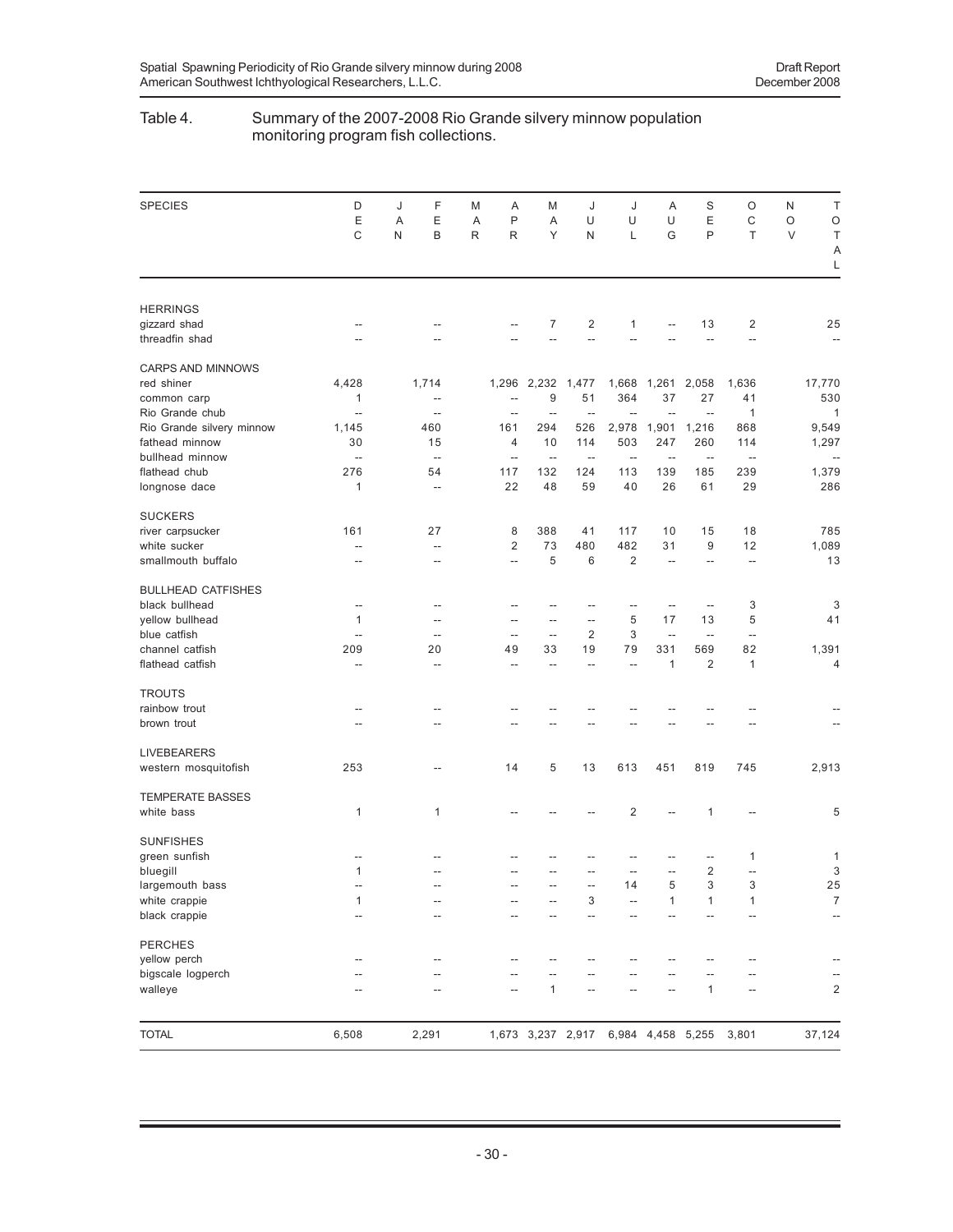#### Table 4. Summary of the 2007-2008 Rio Grande silvery minnow population monitoring program fish collections.

| <b>SPECIES</b>            | D<br>E<br>C              | J<br>Α<br>N | F<br>E<br>B              | M<br>A<br>R | Α<br>P<br>R              | M<br>Α<br>Υ              | J<br>U<br>N              | J<br>U<br>L                         | Α<br>U<br>G              | S<br>E<br>P              | O<br>C<br>T              | N<br>O<br>$\vee$ | T<br>$\circ$<br>Τ        |
|---------------------------|--------------------------|-------------|--------------------------|-------------|--------------------------|--------------------------|--------------------------|-------------------------------------|--------------------------|--------------------------|--------------------------|------------------|--------------------------|
|                           |                          |             |                          |             |                          |                          |                          |                                     |                          |                          |                          |                  | Α<br>L                   |
| <b>HERRINGS</b>           |                          |             |                          |             |                          |                          |                          |                                     |                          |                          |                          |                  |                          |
| gizzard shad              | $\overline{a}$           |             |                          |             | $\overline{a}$           | 7                        | $\overline{2}$           | $\mathbf{1}$                        | $\overline{a}$           | 13                       | 2                        |                  | 25                       |
| threadfin shad            | $-$                      |             |                          |             |                          |                          |                          |                                     |                          | $-$                      | $\overline{a}$           |                  | $\overline{a}$           |
| <b>CARPS AND MINNOWS</b>  |                          |             |                          |             |                          |                          |                          |                                     |                          |                          |                          |                  |                          |
| red shiner                | 4,428                    |             | 1,714                    |             |                          | 1,296 2,232              | 1,477                    | 1,668                               | 1,261                    | 2,058                    | 1,636                    |                  | 17,770                   |
| common carp               | 1                        |             | $\overline{\phantom{a}}$ |             | $-$                      | 9                        | 51                       | 364                                 | 37                       | 27                       | 41                       |                  | 530                      |
| Rio Grande chub           | --                       |             | $\overline{\phantom{a}}$ |             | $-$                      | ٠.                       | н,                       | $\overline{a}$                      | $\overline{\phantom{a}}$ | $\overline{\phantom{a}}$ | 1                        |                  | $\mathbf{1}$             |
| Rio Grande silvery minnow | 1,145                    |             | 460                      |             | 161                      | 294                      | 526                      | 2,978                               | 1,901                    | 1,216                    | 868                      |                  | 9,549                    |
| fathead minnow            | 30                       |             | 15                       |             | $\overline{4}$           | 10                       | 114                      | 503                                 | 247                      | 260                      | 114                      |                  | 1,297                    |
| bullhead minnow           | $\overline{\phantom{a}}$ |             | $\overline{\phantom{a}}$ |             | $\overline{\phantom{a}}$ | $\overline{\phantom{a}}$ | $\qquad \qquad -$        | $\overline{\phantom{a}}$            | $\overline{\phantom{a}}$ | $\ddotsc$                | $\overline{\phantom{a}}$ |                  |                          |
| flathead chub             | 276                      |             | 54                       |             | 117                      | 132                      | 124                      | 113                                 | 139                      | 185                      | 239                      |                  | 1,379                    |
| longnose dace             | 1                        |             | $\overline{\phantom{a}}$ |             | 22                       | 48                       | 59                       | 40                                  | 26                       | 61                       | 29                       |                  | 286                      |
| <b>SUCKERS</b>            |                          |             |                          |             |                          |                          |                          |                                     |                          |                          |                          |                  |                          |
| river carpsucker          | 161                      |             | 27                       |             | 8                        | 388                      | 41                       | 117                                 | 10                       | 15                       | 18                       |                  | 785                      |
| white sucker              | $\overline{\phantom{a}}$ |             | --                       |             | 2                        | 73                       | 480                      | 482                                 | 31                       | 9                        | 12                       |                  | 1,089                    |
| smallmouth buffalo        | --                       |             | $\overline{\phantom{a}}$ |             | $\qquad \qquad -$        | 5                        | 6                        | $\overline{2}$                      | $\overline{\phantom{a}}$ | $\qquad \qquad -$        | $\overline{\phantom{m}}$ |                  | 13                       |
| <b>BULLHEAD CATFISHES</b> |                          |             |                          |             |                          |                          |                          |                                     |                          |                          |                          |                  |                          |
| black bullhead            | $\overline{a}$           |             | --                       |             | --                       | --                       | --                       | --                                  | $\overline{a}$           | $\overline{\phantom{a}}$ | 3                        |                  | 3                        |
| yellow bullhead           | 1                        |             | $-$                      |             | $-$                      | $\overline{a}$           | $\overline{\phantom{a}}$ | 5                                   | 17                       | 13                       | 5                        |                  | 41                       |
| blue catfish              | $\overline{a}$           |             | $\overline{a}$           |             | $\overline{\phantom{a}}$ | $\overline{\phantom{a}}$ | $\overline{2}$           | 3                                   | $\overline{\phantom{a}}$ | $\overline{\phantom{a}}$ | $\overline{\phantom{a}}$ |                  |                          |
| channel catfish           | 209                      |             | 20                       |             | 49                       | 33                       | 19                       | 79                                  | 331                      | 569                      | 82                       |                  | 1,391                    |
| flathead catfish          | $\overline{a}$           |             | $\overline{\phantom{a}}$ |             | $\overline{a}$           | $\overline{a}$           | $\overline{a}$           | $\overline{\phantom{a}}$            | 1                        | $\overline{2}$           | 1                        |                  | 4                        |
| <b>TROUTS</b>             |                          |             |                          |             |                          |                          |                          |                                     |                          |                          |                          |                  |                          |
| rainbow trout             | --                       |             |                          |             |                          |                          |                          |                                     |                          |                          |                          |                  |                          |
| brown trout               | $-$                      |             |                          |             |                          |                          |                          |                                     |                          |                          |                          |                  |                          |
| <b>LIVEBEARERS</b>        |                          |             |                          |             |                          |                          |                          |                                     |                          |                          |                          |                  |                          |
| western mosquitofish      | 253                      |             | $\overline{\phantom{a}}$ |             | 14                       | 5                        | 13                       | 613                                 | 451                      | 819                      | 745                      |                  | 2,913                    |
| <b>TEMPERATE BASSES</b>   |                          |             |                          |             |                          |                          |                          |                                     |                          |                          |                          |                  |                          |
| white bass                | 1                        |             | $\mathbf{1}$             |             |                          |                          |                          | $\overline{2}$                      |                          | 1                        |                          |                  | 5                        |
| <b>SUNFISHES</b>          |                          |             |                          |             |                          |                          |                          |                                     |                          |                          |                          |                  |                          |
| green sunfish             | --                       |             |                          |             |                          |                          |                          |                                     |                          |                          | 1                        |                  | 1                        |
| bluegill                  | 1                        |             |                          |             |                          |                          |                          |                                     | $\overline{a}$           | $\overline{2}$           | Ξ.                       |                  | 3                        |
| largemouth bass           | --                       |             | $\overline{\phantom{a}}$ |             |                          |                          |                          | 14                                  | 5                        | 3                        | 3                        |                  | 25                       |
| white crappie             | $\mathbf{1}$             |             | $\overline{\phantom{a}}$ |             |                          |                          | 3                        | --                                  | 1                        | $\mathbf{1}$             | $\mathbf{1}$             |                  | $\overline{7}$           |
| black crappie             | $\overline{\phantom{a}}$ |             | $\overline{\phantom{a}}$ |             | --                       | --                       | $\overline{\phantom{a}}$ | $\overline{\phantom{a}}$            | $\overline{\phantom{a}}$ | $\overline{a}$           | $\overline{\phantom{a}}$ |                  | $\overline{\phantom{a}}$ |
| <b>PERCHES</b>            |                          |             |                          |             |                          |                          |                          |                                     |                          |                          |                          |                  |                          |
| yellow perch              | --                       |             |                          |             |                          |                          |                          |                                     |                          |                          |                          |                  |                          |
| bigscale logperch         | --                       |             |                          |             | $-$                      | $-$                      |                          |                                     |                          |                          |                          |                  |                          |
| walleye                   |                          |             |                          |             | $\overline{a}$           | 1                        |                          |                                     |                          | 1                        | --                       |                  | $\overline{\mathbf{c}}$  |
|                           |                          |             |                          |             |                          |                          |                          |                                     |                          |                          |                          |                  |                          |
| <b>TOTAL</b>              | 6,508                    |             | 2,291                    |             |                          |                          |                          | 1,673 3,237 2,917 6,984 4,458 5,255 |                          |                          | 3,801                    |                  | 37,124                   |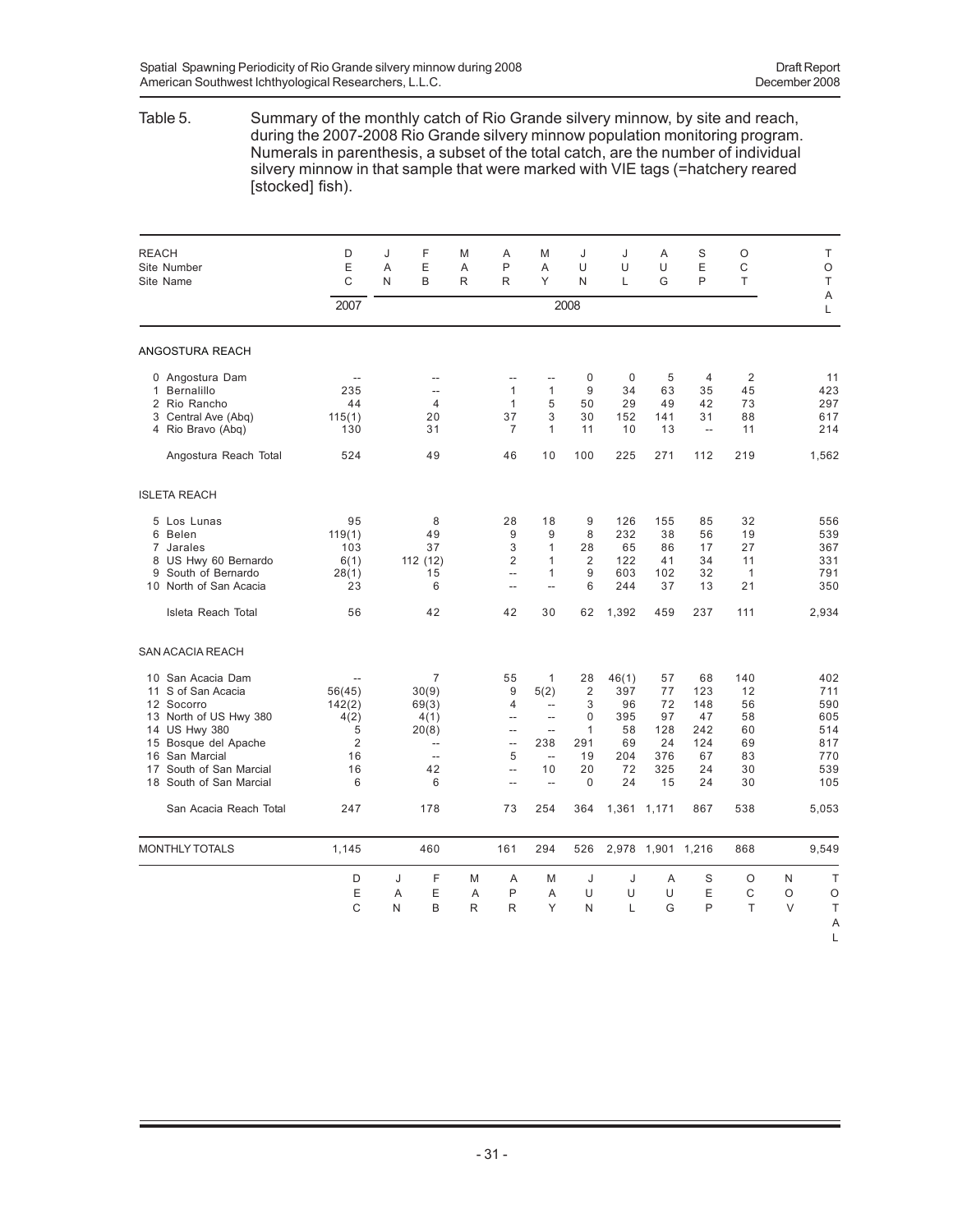#### Table 5. Summary of the monthly catch of Rio Grande silvery minnow, by site and reach, during the 2007-2008 Rio Grande silvery minnow population monitoring program. Numerals in parenthesis, a subset of the total catch, are the number of individual silvery minnow in that sample that were marked with VIE tags (=hatchery reared [stocked] fish).

| <b>REACH</b><br>Site Number<br>Site Name                                                                                                                                                                                 | D<br>E<br>C                                                                        | J<br>A<br>N | F<br>E<br>B                                                                                      | M<br>A<br>R            | Α<br>P<br>R                                                                                                                                | M<br>A<br>Υ                                                                                                        | J<br>U<br>N                                                                             | J<br>U<br>L                                              | A<br>U<br>G                                           | S<br>E<br>P                                            | O<br>C<br>T                                         |                  | Τ<br>O<br>T                                                 |
|--------------------------------------------------------------------------------------------------------------------------------------------------------------------------------------------------------------------------|------------------------------------------------------------------------------------|-------------|--------------------------------------------------------------------------------------------------|------------------------|--------------------------------------------------------------------------------------------------------------------------------------------|--------------------------------------------------------------------------------------------------------------------|-----------------------------------------------------------------------------------------|----------------------------------------------------------|-------------------------------------------------------|--------------------------------------------------------|-----------------------------------------------------|------------------|-------------------------------------------------------------|
|                                                                                                                                                                                                                          | 2007                                                                               |             |                                                                                                  |                        |                                                                                                                                            |                                                                                                                    | 2008                                                                                    |                                                          |                                                       |                                                        |                                                     |                  | A<br>Г                                                      |
| ANGOSTURA REACH                                                                                                                                                                                                          |                                                                                    |             |                                                                                                  |                        |                                                                                                                                            |                                                                                                                    |                                                                                         |                                                          |                                                       |                                                        |                                                     |                  |                                                             |
| 0 Angostura Dam<br>Bernalillo<br>$\mathbf{1}$<br>2 Rio Rancho<br>3 Central Ave (Abq)<br>4 Rio Bravo (Abq)<br>Angostura Reach Total                                                                                       | $\sim$<br>235<br>44<br>115(1)<br>130<br>524                                        |             | --<br>$\overline{a}$<br>$\overline{4}$<br>20<br>31<br>49                                         |                        | $\overline{a}$<br>$\mathbf{1}$<br>$\mathbf{1}$<br>37<br>$\overline{7}$<br>46                                                               | $\overline{a}$<br>$\mathbf{1}$<br>5<br>3<br>$\mathbf{1}$<br>10                                                     | $\mathbf 0$<br>9<br>50<br>30<br>11<br>100                                               | 0<br>34<br>29<br>152<br>10<br>225                        | 5<br>63<br>49<br>141<br>13<br>271                     | $\overline{4}$<br>35<br>42<br>31<br>$\sim$<br>112      | $\overline{2}$<br>45<br>73<br>88<br>11<br>219       |                  | 11<br>423<br>297<br>617<br>214<br>1,562                     |
| <b>ISLETA REACH</b>                                                                                                                                                                                                      |                                                                                    |             |                                                                                                  |                        |                                                                                                                                            |                                                                                                                    |                                                                                         |                                                          |                                                       |                                                        |                                                     |                  |                                                             |
| 5 Los Lunas<br>6<br>Belen<br>7 Jarales<br>8 US Hwy 60 Bernardo<br>South of Bernardo<br>9<br>10 North of San Acacia<br>Isleta Reach Total                                                                                 | 95<br>119(1)<br>103<br>6(1)<br>28(1)<br>23<br>56                                   |             | 8<br>49<br>37<br>112 (12)<br>15<br>6<br>42                                                       |                        | 28<br>9<br>3<br>$\overline{2}$<br>$\overline{a}$<br>$\overline{a}$<br>42                                                                   | 18<br>9<br>$\mathbf{1}$<br>$\mathbf{1}$<br>$\mathbf{1}$<br>$\overline{a}$<br>30                                    | 9<br>8<br>28<br>$\overline{2}$<br>9<br>6<br>62                                          | 126<br>232<br>65<br>122<br>603<br>244<br>1,392           | 155<br>38<br>86<br>41<br>102<br>37<br>459             | 85<br>56<br>17<br>34<br>32<br>13<br>237                | 32<br>19<br>27<br>11<br>$\mathbf{1}$<br>21<br>111   |                  | 556<br>539<br>367<br>331<br>791<br>350<br>2,934             |
| <b>SAN ACACIA REACH</b>                                                                                                                                                                                                  |                                                                                    |             |                                                                                                  |                        |                                                                                                                                            |                                                                                                                    |                                                                                         |                                                          |                                                       |                                                        |                                                     |                  |                                                             |
| San Acacia Dam<br>10<br>S of San Acacia<br>11<br>Socorro<br>12<br>North of US Hwy 380<br>13<br>14 US Hwy 380<br>Bosque del Apache<br>15<br>San Marcial<br>16<br>South of San Marcial<br>17<br>South of San Marcial<br>18 | $\overline{a}$<br>56(45)<br>142(2)<br>4(2)<br>5<br>$\overline{2}$<br>16<br>16<br>6 |             | $\overline{7}$<br>30(9)<br>69(3)<br>4(1)<br>20(8)<br>$\overline{a}$<br>$\overline{a}$<br>42<br>6 |                        | 55<br>9<br>4<br>$\overline{\phantom{m}}$<br>$\overline{\phantom{a}}$<br>$\bar{\phantom{a}}$<br>5<br>$\ddot{\phantom{a}}$<br>$\overline{a}$ | 1<br>5(2)<br>$\overline{a}$<br>$\overline{a}$<br>$\overline{\phantom{a}}$<br>238<br>$\sim$<br>10<br>$\overline{a}$ | 28<br>$\overline{2}$<br>3<br>$\Omega$<br>$\mathbf{1}$<br>291<br>19<br>20<br>$\mathbf 0$ | 46(1)<br>397<br>96<br>395<br>58<br>69<br>204<br>72<br>24 | 57<br>77<br>72<br>97<br>128<br>24<br>376<br>325<br>15 | 68<br>123<br>148<br>47<br>242<br>124<br>67<br>24<br>24 | 140<br>12<br>56<br>58<br>60<br>69<br>83<br>30<br>30 |                  | 402<br>711<br>590<br>605<br>514<br>817<br>770<br>539<br>105 |
| San Acacia Reach Total                                                                                                                                                                                                   | 247                                                                                |             | 178                                                                                              |                        | 73                                                                                                                                         | 254                                                                                                                | 364                                                                                     |                                                          | 1,361 1,171                                           | 867                                                    | 538                                                 |                  | 5,053                                                       |
| <b>MONTHLY TOTALS</b>                                                                                                                                                                                                    | 1,145                                                                              |             | 460                                                                                              |                        | 161                                                                                                                                        | 294                                                                                                                | 526                                                                                     |                                                          | 2,978 1,901 1,216                                     |                                                        | 868                                                 |                  | 9,549                                                       |
|                                                                                                                                                                                                                          | D<br>E<br>C                                                                        | J<br>A<br>N | F<br>E<br>B                                                                                      | M<br>A<br>$\mathsf{R}$ | A<br>P<br>R                                                                                                                                | M<br>A<br>Y                                                                                                        | J<br>U<br>N                                                                             | J<br>U<br>L                                              | A<br>U<br>G                                           | S<br>E<br>P                                            | O<br>C<br>T                                         | N<br>O<br>$\vee$ | T<br>O<br>T<br>A<br>L                                       |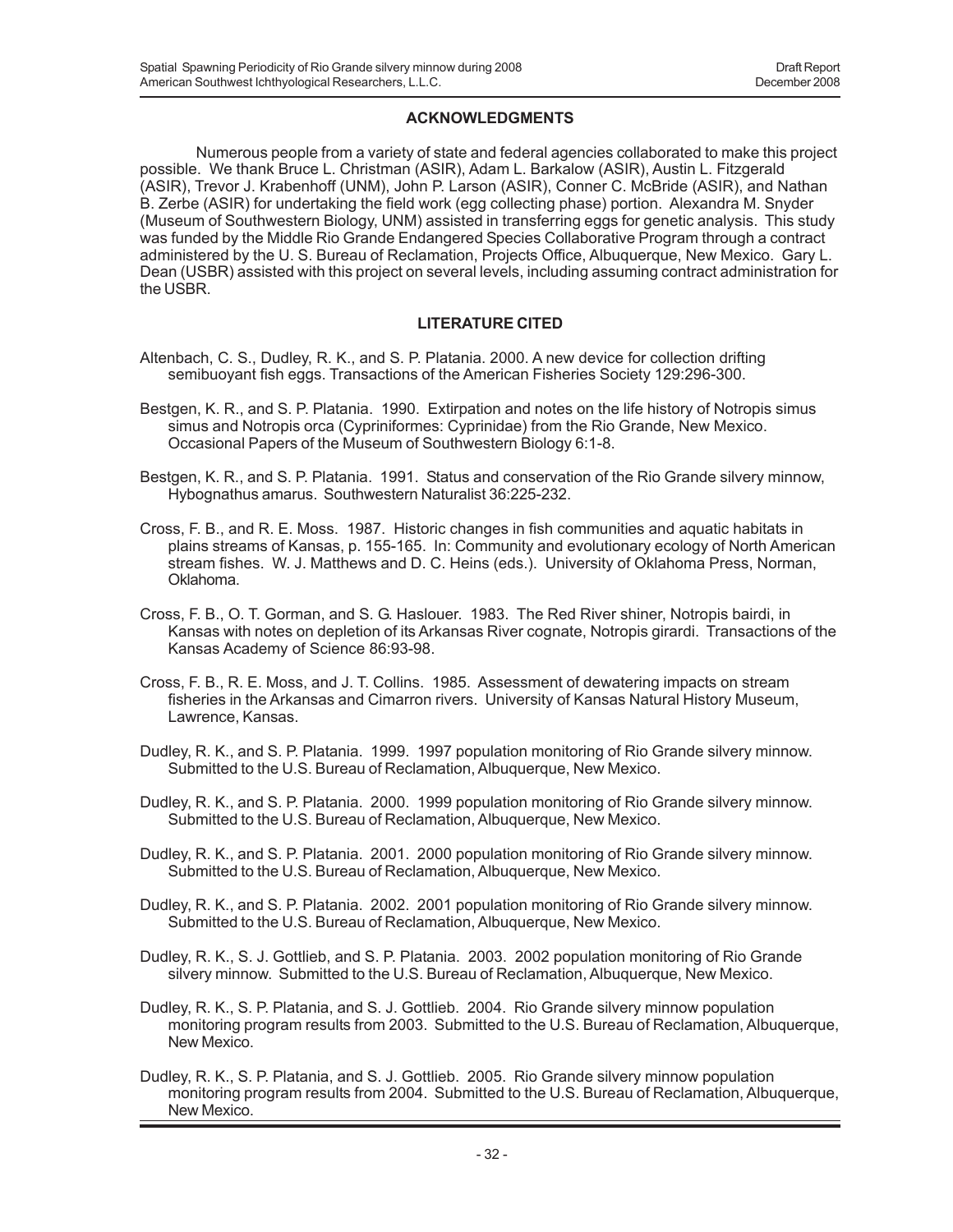### **ACKNOWLEDGMENTS**

Numerous people from a variety of state and federal agencies collaborated to make this project possible. We thank Bruce L. Christman (ASIR), Adam L. Barkalow (ASIR), Austin L. Fitzgerald (ASIR), Trevor J. Krabenhoff (UNM), John P. Larson (ASIR), Conner C. McBride (ASIR), and Nathan B. Zerbe (ASIR) for undertaking the field work (egg collecting phase) portion. Alexandra M. Snyder (Museum of Southwestern Biology, UNM) assisted in transferring eggs for genetic analysis. This study was funded by the Middle Rio Grande Endangered Species Collaborative Program through a contract administered by the U. S. Bureau of Reclamation, Projects Office, Albuquerque, New Mexico. Gary L. Dean (USBR) assisted with this project on several levels, including assuming contract administration for the USBR.

## **LITERATURE CITED**

- Altenbach, C. S., Dudley, R. K., and S. P. Platania. 2000. A new device for collection drifting semibuoyant fish eggs. Transactions of the American Fisheries Society 129:296-300.
- Bestgen, K. R., and S. P. Platania. 1990. Extirpation and notes on the life history of Notropis simus simus and Notropis orca (Cypriniformes: Cyprinidae) from the Rio Grande, New Mexico. Occasional Papers of the Museum of Southwestern Biology 6:1-8.
- Bestgen, K. R., and S. P. Platania. 1991. Status and conservation of the Rio Grande silvery minnow, Hybognathus amarus. Southwestern Naturalist 36:225-232.
- Cross, F. B., and R. E. Moss. 1987. Historic changes in fish communities and aquatic habitats in plains streams of Kansas, p. 155-165. In: Community and evolutionary ecology of North American stream fishes. W. J. Matthews and D. C. Heins (eds.). University of Oklahoma Press, Norman, Oklahoma.
- Cross, F. B., O. T. Gorman, and S. G. Haslouer. 1983. The Red River shiner, Notropis bairdi, in Kansas with notes on depletion of its Arkansas River cognate, Notropis girardi. Transactions of the Kansas Academy of Science 86:93-98.
- Cross, F. B., R. E. Moss, and J. T. Collins. 1985. Assessment of dewatering impacts on stream fisheries in the Arkansas and Cimarron rivers. University of Kansas Natural History Museum, Lawrence, Kansas.
- Dudley, R. K., and S. P. Platania. 1999. 1997 population monitoring of Rio Grande silvery minnow. Submitted to the U.S. Bureau of Reclamation, Albuquerque, New Mexico.
- Dudley, R. K., and S. P. Platania. 2000. 1999 population monitoring of Rio Grande silvery minnow. Submitted to the U.S. Bureau of Reclamation, Albuquerque, New Mexico.
- Dudley, R. K., and S. P. Platania. 2001. 2000 population monitoring of Rio Grande silvery minnow. Submitted to the U.S. Bureau of Reclamation, Albuquerque, New Mexico.
- Dudley, R. K., and S. P. Platania. 2002. 2001 population monitoring of Rio Grande silvery minnow. Submitted to the U.S. Bureau of Reclamation, Albuquerque, New Mexico.
- Dudley, R. K., S. J. Gottlieb, and S. P. Platania. 2003. 2002 population monitoring of Rio Grande silvery minnow. Submitted to the U.S. Bureau of Reclamation, Albuquerque, New Mexico.
- Dudley, R. K., S. P. Platania, and S. J. Gottlieb. 2004. Rio Grande silvery minnow population monitoring program results from 2003. Submitted to the U.S. Bureau of Reclamation, Albuquerque, New Mexico.
- Dudley, R. K., S. P. Platania, and S. J. Gottlieb. 2005. Rio Grande silvery minnow population monitoring program results from 2004. Submitted to the U.S. Bureau of Reclamation, Albuquerque, New Mexico.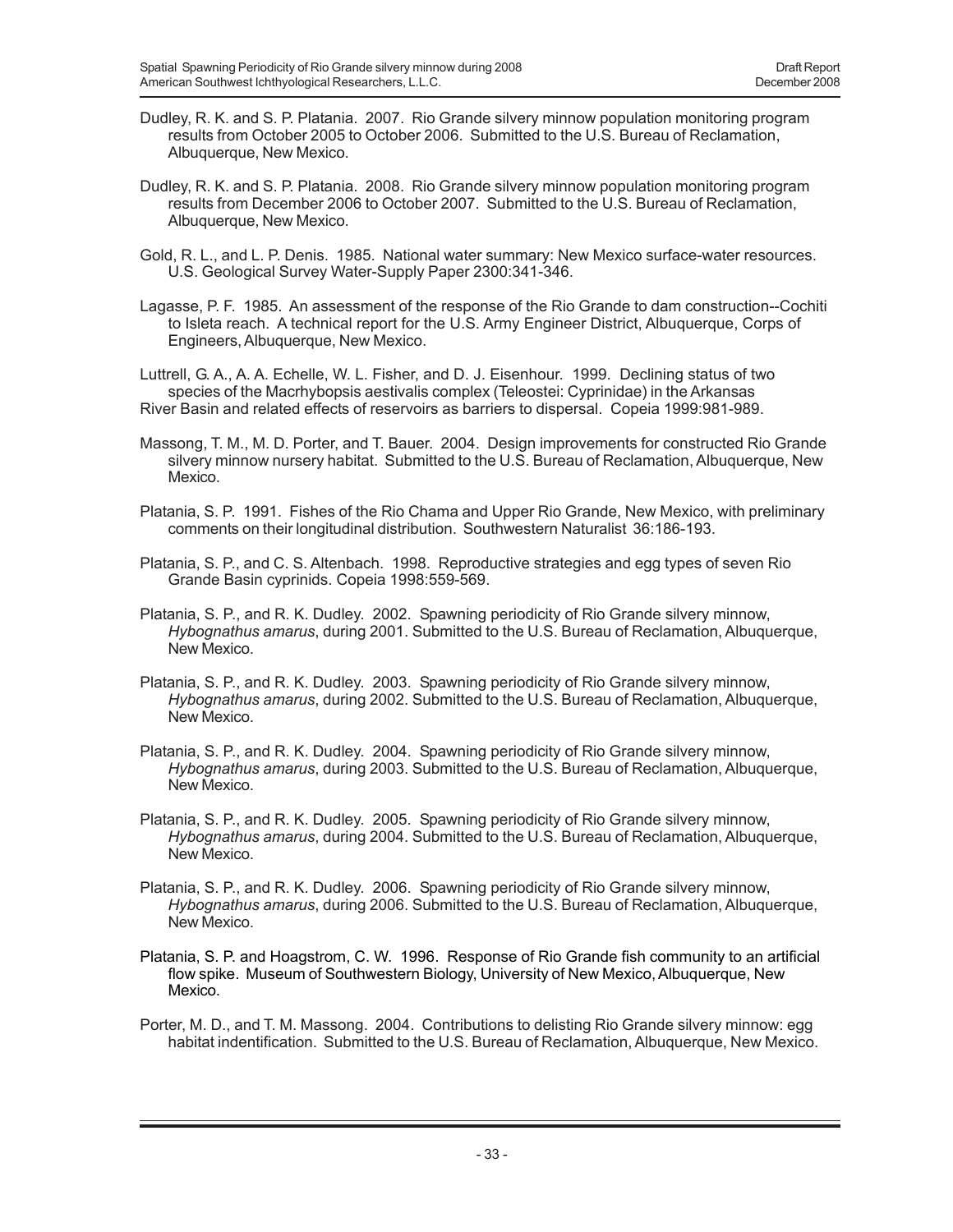- Dudley, R. K. and S. P. Platania. 2007. Rio Grande silvery minnow population monitoring program results from October 2005 to October 2006. Submitted to the U.S. Bureau of Reclamation, Albuquerque, New Mexico.
- Dudley, R. K. and S. P. Platania. 2008. Rio Grande silvery minnow population monitoring program results from December 2006 to October 2007. Submitted to the U.S. Bureau of Reclamation, Albuquerque, New Mexico.
- Gold, R. L., and L. P. Denis. 1985. National water summary: New Mexico surface-water resources. U.S. Geological Survey Water-Supply Paper 2300:341-346.
- Lagasse, P. F. 1985. An assessment of the response of the Rio Grande to dam construction--Cochiti to Isleta reach. A technical report for the U.S. Army Engineer District, Albuquerque, Corps of Engineers, Albuquerque, New Mexico.

Luttrell, G. A., A. A. Echelle, W. L. Fisher, and D. J. Eisenhour. 1999. Declining status of two species of the Macrhybopsis aestivalis complex (Teleostei: Cyprinidae) in the Arkansas River Basin and related effects of reservoirs as barriers to dispersal. Copeia 1999:981-989.

- Massong, T. M., M. D. Porter, and T. Bauer. 2004. Design improvements for constructed Rio Grande silvery minnow nursery habitat. Submitted to the U.S. Bureau of Reclamation, Albuquerque, New Mexico.
- Platania, S. P. 1991. Fishes of the Rio Chama and Upper Rio Grande, New Mexico, with preliminary comments on their longitudinal distribution. Southwestern Naturalist 36:186-193.
- Platania, S. P., and C. S. Altenbach. 1998. Reproductive strategies and egg types of seven Rio Grande Basin cyprinids. Copeia 1998:559-569.
- Platania, S. P., and R. K. Dudley. 2002. Spawning periodicity of Rio Grande silvery minnow, *Hybognathus amarus*, during 2001. Submitted to the U.S. Bureau of Reclamation, Albuquerque, New Mexico.
- Platania, S. P., and R. K. Dudley. 2003. Spawning periodicity of Rio Grande silvery minnow, *Hybognathus amarus*, during 2002. Submitted to the U.S. Bureau of Reclamation, Albuquerque, New Mexico.
- Platania, S. P., and R. K. Dudley. 2004. Spawning periodicity of Rio Grande silvery minnow, *Hybognathus amarus*, during 2003. Submitted to the U.S. Bureau of Reclamation, Albuquerque, New Mexico.
- Platania, S. P., and R. K. Dudley. 2005. Spawning periodicity of Rio Grande silvery minnow, *Hybognathus amarus*, during 2004. Submitted to the U.S. Bureau of Reclamation, Albuquerque, New Mexico.
- Platania, S. P., and R. K. Dudley. 2006. Spawning periodicity of Rio Grande silvery minnow, *Hybognathus amarus*, during 2006. Submitted to the U.S. Bureau of Reclamation, Albuquerque, New Mexico.
- Platania, S. P. and Hoagstrom, C. W. 1996. Response of Rio Grande fish community to an artificial flow spike. Museum of Southwestern Biology, University of New Mexico, Albuquerque, New Mexico.
- Porter, M. D., and T. M. Massong. 2004. Contributions to delisting Rio Grande silvery minnow: egg habitat indentification. Submitted to the U.S. Bureau of Reclamation, Albuquerque, New Mexico.